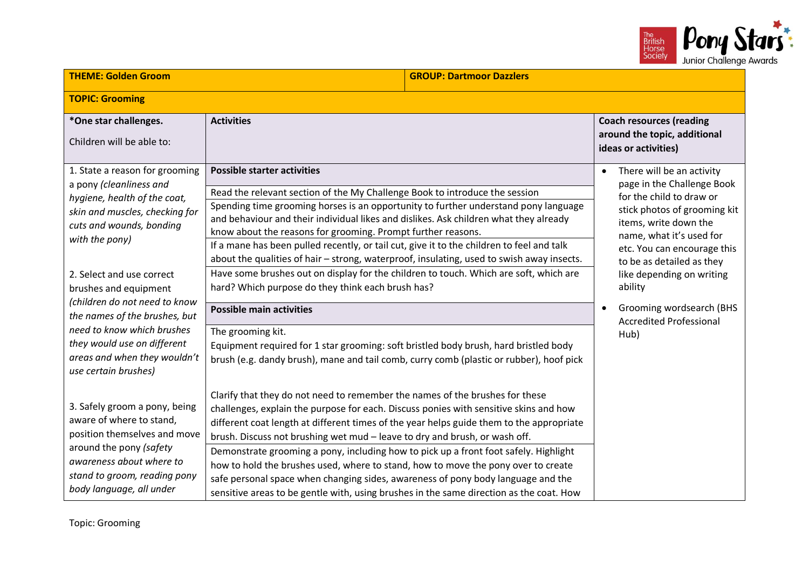

| <b>THEME: Golden Groom</b>                                                                                                                                                                                                                                                                                                                                                                                             | <b>GROUP: Dartmoor Dazzlers</b>                                                                                                                                                                                                                                                                                                                                                                                                                                                                                                                                                                                                                                                                                                                                                                                                                                                                                                                      |                                                                                                                                                                                                                                                                                                                                                                 |
|------------------------------------------------------------------------------------------------------------------------------------------------------------------------------------------------------------------------------------------------------------------------------------------------------------------------------------------------------------------------------------------------------------------------|------------------------------------------------------------------------------------------------------------------------------------------------------------------------------------------------------------------------------------------------------------------------------------------------------------------------------------------------------------------------------------------------------------------------------------------------------------------------------------------------------------------------------------------------------------------------------------------------------------------------------------------------------------------------------------------------------------------------------------------------------------------------------------------------------------------------------------------------------------------------------------------------------------------------------------------------------|-----------------------------------------------------------------------------------------------------------------------------------------------------------------------------------------------------------------------------------------------------------------------------------------------------------------------------------------------------------------|
| <b>TOPIC: Grooming</b>                                                                                                                                                                                                                                                                                                                                                                                                 |                                                                                                                                                                                                                                                                                                                                                                                                                                                                                                                                                                                                                                                                                                                                                                                                                                                                                                                                                      |                                                                                                                                                                                                                                                                                                                                                                 |
| *One star challenges.<br>Children will be able to:                                                                                                                                                                                                                                                                                                                                                                     | <b>Activities</b>                                                                                                                                                                                                                                                                                                                                                                                                                                                                                                                                                                                                                                                                                                                                                                                                                                                                                                                                    | <b>Coach resources (reading</b><br>around the topic, additional<br>ideas or activities)                                                                                                                                                                                                                                                                         |
| 1. State a reason for grooming<br>a pony (cleanliness and<br>hygiene, health of the coat,<br>skin and muscles, checking for<br>cuts and wounds, bonding<br>with the pony)<br>2. Select and use correct<br>brushes and equipment<br>(children do not need to know<br>the names of the brushes, but<br>need to know which brushes<br>they would use on different<br>areas and when they wouldn't<br>use certain brushes) | <b>Possible starter activities</b><br>Read the relevant section of the My Challenge Book to introduce the session<br>Spending time grooming horses is an opportunity to further understand pony language<br>and behaviour and their individual likes and dislikes. Ask children what they already<br>know about the reasons for grooming. Prompt further reasons.<br>If a mane has been pulled recently, or tail cut, give it to the children to feel and talk<br>about the qualities of hair - strong, waterproof, insulating, used to swish away insects.<br>Have some brushes out on display for the children to touch. Which are soft, which are<br>hard? Which purpose do they think each brush has?<br><b>Possible main activities</b><br>The grooming kit.<br>Equipment required for 1 star grooming: soft bristled body brush, hard bristled body<br>brush (e.g. dandy brush), mane and tail comb, curry comb (plastic or rubber), hoof pick | There will be an activity<br>$\bullet$<br>page in the Challenge Book<br>for the child to draw or<br>stick photos of grooming kit<br>items, write down the<br>name, what it's used for<br>etc. You can encourage this<br>to be as detailed as they<br>like depending on writing<br>ability<br>Grooming wordsearch (BHS<br><b>Accredited Professional</b><br>Hub) |
| 3. Safely groom a pony, being<br>aware of where to stand,<br>position themselves and move<br>around the pony (safety<br>awareness about where to<br>stand to groom, reading pony<br>body language, all under                                                                                                                                                                                                           | Clarify that they do not need to remember the names of the brushes for these<br>challenges, explain the purpose for each. Discuss ponies with sensitive skins and how<br>different coat length at different times of the year helps guide them to the appropriate<br>brush. Discuss not brushing wet mud - leave to dry and brush, or wash off.<br>Demonstrate grooming a pony, including how to pick up a front foot safely. Highlight<br>how to hold the brushes used, where to stand, how to move the pony over to create<br>safe personal space when changing sides, awareness of pony body language and the<br>sensitive areas to be gentle with, using brushes in the same direction as the coat. How                                                                                                                                                                                                                                          |                                                                                                                                                                                                                                                                                                                                                                 |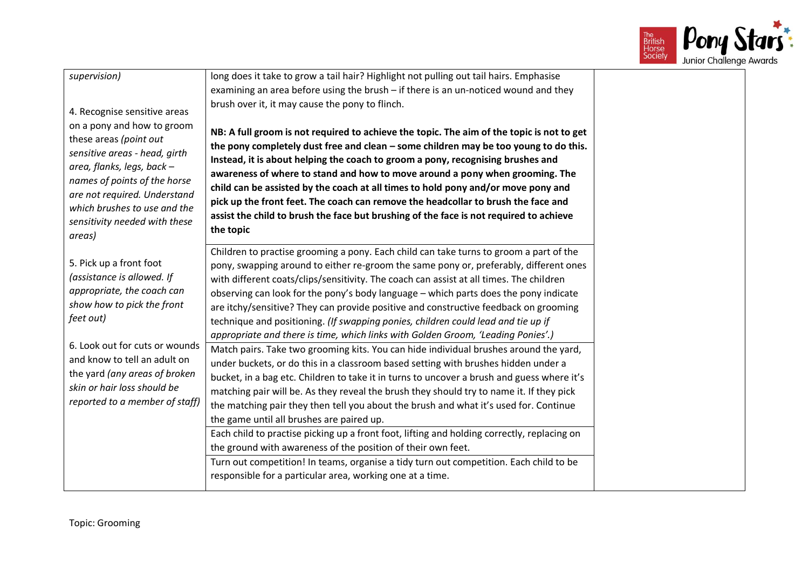

| supervision)<br>4. Recognise sensitive areas<br>on a pony and how to groom<br>these areas (point out<br>sensitive areas - head, girth<br>area, flanks, legs, back -<br>names of points of the horse<br>are not required. Understand<br>which brushes to use and the<br>sensitivity needed with these<br>areas) | long does it take to grow a tail hair? Highlight not pulling out tail hairs. Emphasise<br>examining an area before using the brush - if there is an un-noticed wound and they<br>brush over it, it may cause the pony to flinch.<br>NB: A full groom is not required to achieve the topic. The aim of the topic is not to get<br>the pony completely dust free and clean - some children may be too young to do this.<br>Instead, it is about helping the coach to groom a pony, recognising brushes and<br>awareness of where to stand and how to move around a pony when grooming. The<br>child can be assisted by the coach at all times to hold pony and/or move pony and<br>pick up the front feet. The coach can remove the headcollar to brush the face and<br>assist the child to brush the face but brushing of the face is not required to achieve<br>the topic |
|----------------------------------------------------------------------------------------------------------------------------------------------------------------------------------------------------------------------------------------------------------------------------------------------------------------|---------------------------------------------------------------------------------------------------------------------------------------------------------------------------------------------------------------------------------------------------------------------------------------------------------------------------------------------------------------------------------------------------------------------------------------------------------------------------------------------------------------------------------------------------------------------------------------------------------------------------------------------------------------------------------------------------------------------------------------------------------------------------------------------------------------------------------------------------------------------------|
| 5. Pick up a front foot<br>(assistance is allowed. If<br>appropriate, the coach can<br>show how to pick the front<br>feet out)                                                                                                                                                                                 | Children to practise grooming a pony. Each child can take turns to groom a part of the<br>pony, swapping around to either re-groom the same pony or, preferably, different ones<br>with different coats/clips/sensitivity. The coach can assist at all times. The children<br>observing can look for the pony's body language - which parts does the pony indicate<br>are itchy/sensitive? They can provide positive and constructive feedback on grooming<br>technique and positioning. (If swapping ponies, children could lead and tie up if<br>appropriate and there is time, which links with Golden Groom, 'Leading Ponies'.)                                                                                                                                                                                                                                       |
| 6. Look out for cuts or wounds<br>and know to tell an adult on<br>the yard (any areas of broken<br>skin or hair loss should be<br>reported to a member of staff)                                                                                                                                               | Match pairs. Take two grooming kits. You can hide individual brushes around the yard,<br>under buckets, or do this in a classroom based setting with brushes hidden under a<br>bucket, in a bag etc. Children to take it in turns to uncover a brush and guess where it's<br>matching pair will be. As they reveal the brush they should try to name it. If they pick<br>the matching pair they then tell you about the brush and what it's used for. Continue<br>the game until all brushes are paired up.<br>Each child to practise picking up a front foot, lifting and holding correctly, replacing on<br>the ground with awareness of the position of their own feet.                                                                                                                                                                                                |
|                                                                                                                                                                                                                                                                                                                | Turn out competition! In teams, organise a tidy turn out competition. Each child to be<br>responsible for a particular area, working one at a time.                                                                                                                                                                                                                                                                                                                                                                                                                                                                                                                                                                                                                                                                                                                       |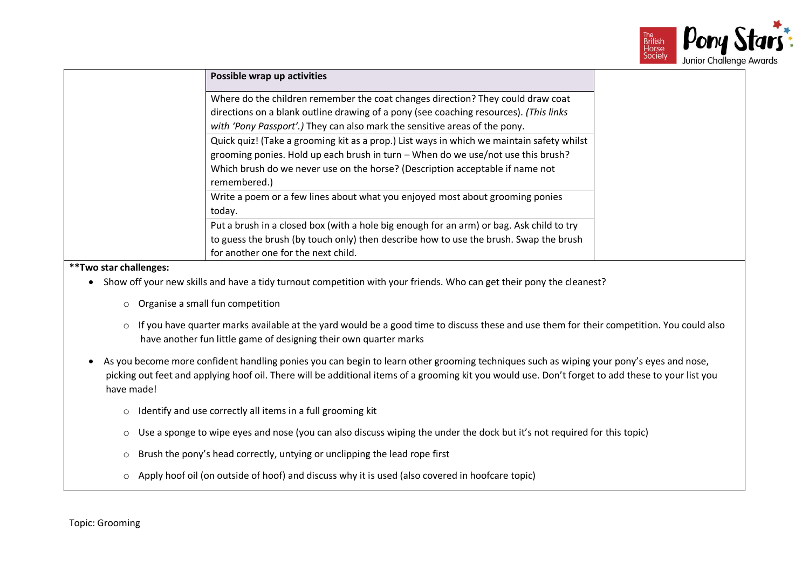

| Possible wrap up activities                                                               |
|-------------------------------------------------------------------------------------------|
|                                                                                           |
| Where do the children remember the coat changes direction? They could draw coat           |
| directions on a blank outline drawing of a pony (see coaching resources). (This links     |
| with 'Pony Passport'.) They can also mark the sensitive areas of the pony.                |
| Quick quiz! (Take a grooming kit as a prop.) List ways in which we maintain safety whilst |
| grooming ponies. Hold up each brush in turn - When do we use/not use this brush?          |
| Which brush do we never use on the horse? (Description acceptable if name not             |
| remembered.)                                                                              |
| Write a poem or a few lines about what you enjoyed most about grooming ponies             |
| today.                                                                                    |
| Put a brush in a closed box (with a hole big enough for an arm) or bag. Ask child to try  |
| to guess the brush (by touch only) then describe how to use the brush. Swap the brush     |
| for another one for the next child.                                                       |

- Show off your new skills and have a tidy turnout competition with your friends. Who can get their pony the cleanest?
	- o Organise a small fun competition
	- o If you have quarter marks available at the yard would be a good time to discuss these and use them for their competition. You could also have another fun little game of designing their own quarter marks
- As you become more confident handling ponies you can begin to learn other grooming techniques such as wiping your pony's eyes and nose, picking out feet and applying hoof oil. There will be additional items of a grooming kit you would use. Don't forget to add these to your list you have made!
	- o Identify and use correctly all items in a full grooming kit
	- o Use a sponge to wipe eyes and nose (you can also discuss wiping the under the dock but it's not required for this topic)
	- o Brush the pony's head correctly, untying or unclipping the lead rope first
	- o Apply hoof oil (on outside of hoof) and discuss why it is used (also covered in hoofcare topic)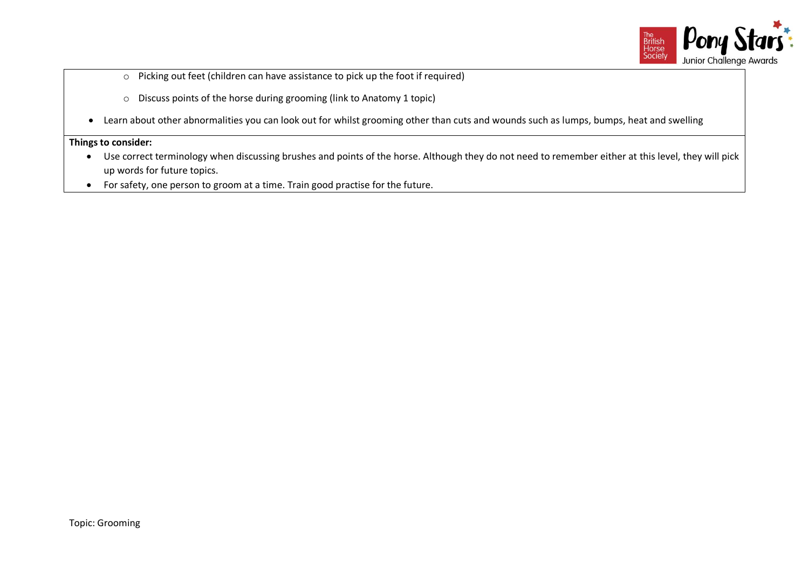

- o Picking out feet (children can have assistance to pick up the foot if required)
- o Discuss points of the horse during grooming (link to Anatomy 1 topic)
- Learn about other abnormalities you can look out for whilst grooming other than cuts and wounds such as lumps, bumps, heat and swelling

- Use correct terminology when discussing brushes and points of the horse. Although they do not need to remember either at this level, they will pick up words for future topics.
- For safety, one person to groom at a time. Train good practise for the future.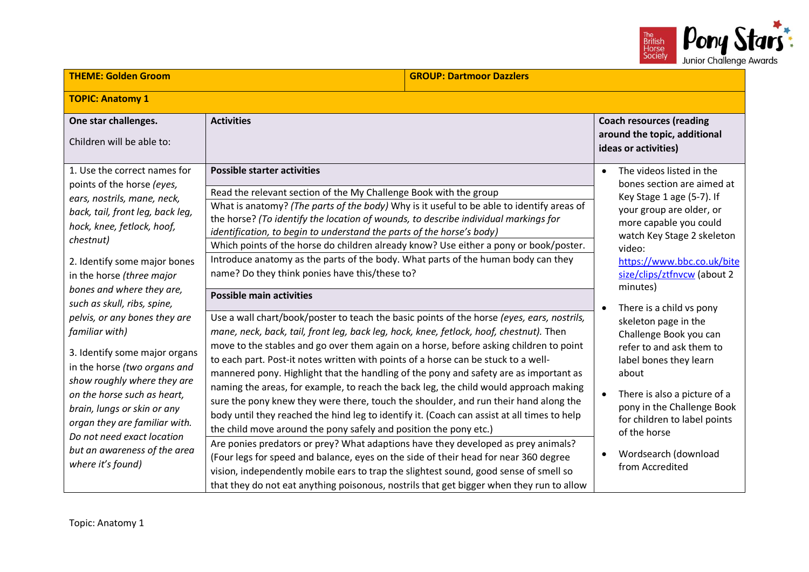

| <b>THEME: Golden Groom</b>                                                                                                                                                                                                                                                                                                                           |                                                                                                                                                                                                                                                                                                                                                                                                                                                                                                                                                                                                                                                                                                                                                                                                                                                                                                                                                                                              | <b>GROUP: Dartmoor Dazzlers</b> |                                                                                                                                                                                                                                                                                                                             |
|------------------------------------------------------------------------------------------------------------------------------------------------------------------------------------------------------------------------------------------------------------------------------------------------------------------------------------------------------|----------------------------------------------------------------------------------------------------------------------------------------------------------------------------------------------------------------------------------------------------------------------------------------------------------------------------------------------------------------------------------------------------------------------------------------------------------------------------------------------------------------------------------------------------------------------------------------------------------------------------------------------------------------------------------------------------------------------------------------------------------------------------------------------------------------------------------------------------------------------------------------------------------------------------------------------------------------------------------------------|---------------------------------|-----------------------------------------------------------------------------------------------------------------------------------------------------------------------------------------------------------------------------------------------------------------------------------------------------------------------------|
| <b>TOPIC: Anatomy 1</b>                                                                                                                                                                                                                                                                                                                              |                                                                                                                                                                                                                                                                                                                                                                                                                                                                                                                                                                                                                                                                                                                                                                                                                                                                                                                                                                                              |                                 |                                                                                                                                                                                                                                                                                                                             |
| One star challenges.<br>Children will be able to:                                                                                                                                                                                                                                                                                                    | <b>Activities</b>                                                                                                                                                                                                                                                                                                                                                                                                                                                                                                                                                                                                                                                                                                                                                                                                                                                                                                                                                                            |                                 | <b>Coach resources (reading</b><br>around the topic, additional<br>ideas or activities)                                                                                                                                                                                                                                     |
| 1. Use the correct names for<br>points of the horse (eyes,<br>ears, nostrils, mane, neck,<br>back, tail, front leg, back leg,<br>hock, knee, fetlock, hoof,<br>chestnut)<br>2. Identify some major bones<br>in the horse (three major<br>bones and where they are,<br>such as skull, ribs, spine,<br>pelvis, or any bones they are<br>familiar with) | <b>Possible starter activities</b><br>Read the relevant section of the My Challenge Book with the group<br>What is anatomy? (The parts of the body) Why is it useful to be able to identify areas of<br>the horse? (To identify the location of wounds, to describe individual markings for<br>identification, to begin to understand the parts of the horse's body)<br>Which points of the horse do children already know? Use either a pony or book/poster.<br>Introduce anatomy as the parts of the body. What parts of the human body can they<br>name? Do they think ponies have this/these to?<br><b>Possible main activities</b><br>Use a wall chart/book/poster to teach the basic points of the horse (eyes, ears, nostrils,<br>mane, neck, back, tail, front leg, back leg, hock, knee, fetlock, hoof, chestnut). Then                                                                                                                                                             |                                 | The videos listed in the<br>bones section are aimed at<br>Key Stage 1 age (5-7). If<br>your group are older, or<br>more capable you could<br>watch Key Stage 2 skeleton<br>video:<br>https://www.bbc.co.uk/bite<br>size/clips/ztfnvcw (about 2<br>minutes)<br>There is a child vs pony<br>$\bullet$<br>skeleton page in the |
| 3. Identify some major organs<br>in the horse (two organs and<br>show roughly where they are<br>on the horse such as heart,<br>brain, lungs or skin or any<br>organ they are familiar with.<br>Do not need exact location<br>but an awareness of the area<br>where it's found)                                                                       | move to the stables and go over them again on a horse, before asking children to point<br>to each part. Post-it notes written with points of a horse can be stuck to a well-<br>mannered pony. Highlight that the handling of the pony and safety are as important as<br>naming the areas, for example, to reach the back leg, the child would approach making<br>sure the pony knew they were there, touch the shoulder, and run their hand along the<br>body until they reached the hind leg to identify it. (Coach can assist at all times to help<br>the child move around the pony safely and position the pony etc.)<br>Are ponies predators or prey? What adaptions have they developed as prey animals?<br>(Four legs for speed and balance, eyes on the side of their head for near 360 degree<br>vision, independently mobile ears to trap the slightest sound, good sense of smell so<br>that they do not eat anything poisonous, nostrils that get bigger when they run to allow |                                 | Challenge Book you can<br>refer to and ask them to<br>label bones they learn<br>about<br>There is also a picture of a<br>pony in the Challenge Book<br>for children to label points<br>of the horse<br>Wordsearch (download<br>from Accredited                                                                              |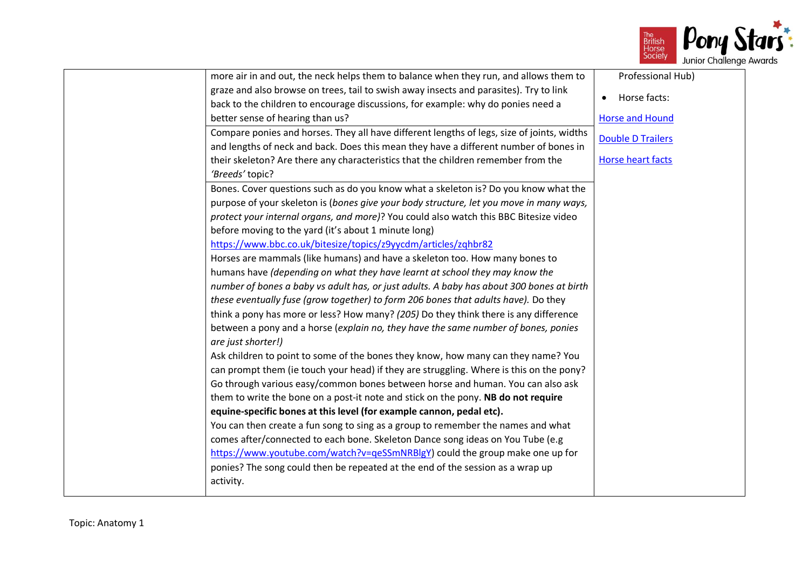

| more air in and out, the neck helps them to balance when they run, and allows them to      | Professional Hub)         |
|--------------------------------------------------------------------------------------------|---------------------------|
| graze and also browse on trees, tail to swish away insects and parasites). Try to link     | Horse facts:<br>$\bullet$ |
| back to the children to encourage discussions, for example: why do ponies need a           |                           |
| better sense of hearing than us?                                                           | <b>Horse and Hound</b>    |
| Compare ponies and horses. They all have different lengths of legs, size of joints, widths | <b>Double D Trailers</b>  |
| and lengths of neck and back. Does this mean they have a different number of bones in      |                           |
| their skeleton? Are there any characteristics that the children remember from the          | <b>Horse heart facts</b>  |
| 'Breeds' topic?                                                                            |                           |
| Bones. Cover questions such as do you know what a skeleton is? Do you know what the        |                           |
| purpose of your skeleton is (bones give your body structure, let you move in many ways,    |                           |
| protect your internal organs, and more)? You could also watch this BBC Bitesize video      |                           |
| before moving to the yard (it's about 1 minute long)                                       |                           |
| https://www.bbc.co.uk/bitesize/topics/z9yycdm/articles/zqhbr82                             |                           |
| Horses are mammals (like humans) and have a skeleton too. How many bones to                |                           |
| humans have (depending on what they have learnt at school they may know the                |                           |
| number of bones a baby vs adult has, or just adults. A baby has about 300 bones at birth   |                           |
| these eventually fuse (grow together) to form 206 bones that adults have). Do they         |                           |
| think a pony has more or less? How many? (205) Do they think there is any difference       |                           |
| between a pony and a horse (explain no, they have the same number of bones, ponies         |                           |
| are just shorter!)                                                                         |                           |
| Ask children to point to some of the bones they know, how many can they name? You          |                           |
| can prompt them (ie touch your head) if they are struggling. Where is this on the pony?    |                           |
| Go through various easy/common bones between horse and human. You can also ask             |                           |
| them to write the bone on a post-it note and stick on the pony. NB do not require          |                           |
| equine-specific bones at this level (for example cannon, pedal etc).                       |                           |
| You can then create a fun song to sing as a group to remember the names and what           |                           |
| comes after/connected to each bone. Skeleton Dance song ideas on You Tube (e.g             |                           |
| https://www.youtube.com/watch?v=qeSSmNRBlgY) could the group make one up for               |                           |
| ponies? The song could then be repeated at the end of the session as a wrap up             |                           |
| activity.                                                                                  |                           |
|                                                                                            |                           |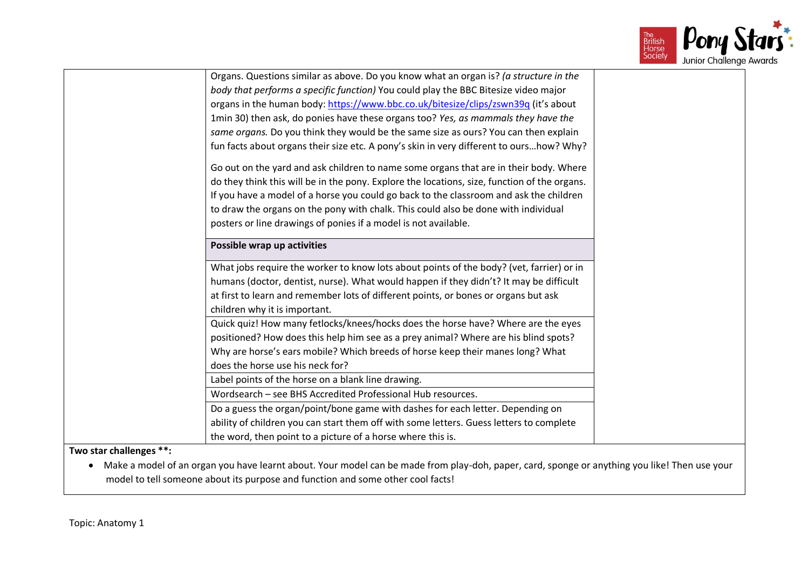

|                         | Organs. Questions similar as above. Do you know what an organ is? (a structure in the        |
|-------------------------|----------------------------------------------------------------------------------------------|
|                         | body that performs a specific function) You could play the BBC Bitesize video major          |
|                         | organs in the human body: https://www.bbc.co.uk/bitesize/clips/zswn39q (it's about           |
|                         | 1min 30) then ask, do ponies have these organs too? Yes, as mammals they have the            |
|                         | same organs. Do you think they would be the same size as ours? You can then explain          |
|                         | fun facts about organs their size etc. A pony's skin in very different to ourshow? Why?      |
|                         | Go out on the yard and ask children to name some organs that are in their body. Where        |
|                         | do they think this will be in the pony. Explore the locations, size, function of the organs. |
|                         | If you have a model of a horse you could go back to the classroom and ask the children       |
|                         | to draw the organs on the pony with chalk. This could also be done with individual           |
|                         | posters or line drawings of ponies if a model is not available.                              |
|                         | Possible wrap up activities                                                                  |
|                         |                                                                                              |
|                         | What jobs require the worker to know lots about points of the body? (vet, farrier) or in     |
|                         | humans (doctor, dentist, nurse). What would happen if they didn't? It may be difficult       |
|                         | at first to learn and remember lots of different points, or bones or organs but ask          |
|                         | children why it is important.                                                                |
|                         | Quick quiz! How many fetlocks/knees/hocks does the horse have? Where are the eyes            |
|                         | positioned? How does this help him see as a prey animal? Where are his blind spots?          |
|                         | Why are horse's ears mobile? Which breeds of horse keep their manes long? What               |
|                         | does the horse use his neck for?                                                             |
|                         | Label points of the horse on a blank line drawing.                                           |
|                         | Wordsearch - see BHS Accredited Professional Hub resources.                                  |
|                         | Do a guess the organ/point/bone game with dashes for each letter. Depending on               |
|                         | ability of children you can start them off with some letters. Guess letters to complete      |
|                         | the word, then point to a picture of a horse where this is.                                  |
| Two star challenges **: |                                                                                              |
|                         |                                                                                              |

• Make a model of an organ you have learnt about. Your model can be made from play-doh, paper, card, sponge or anything you like! Then use your model to tell someone about its purpose and function and some other cool facts!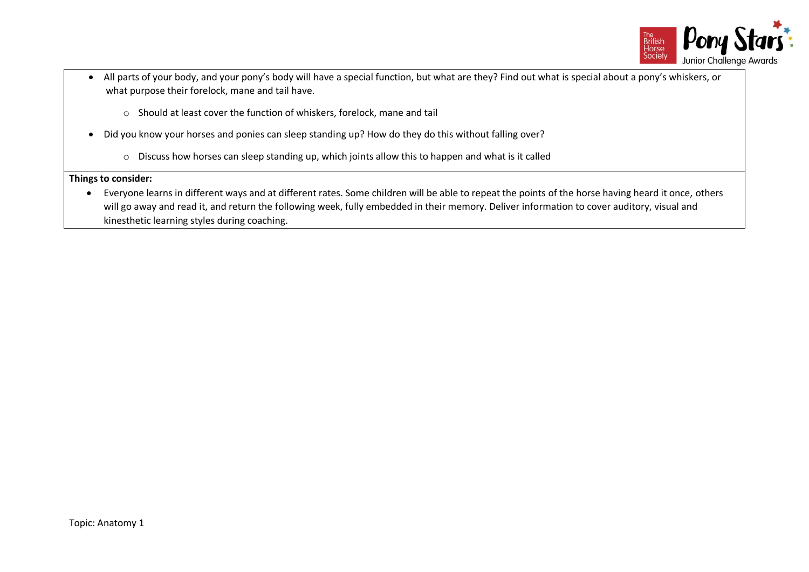

- All parts of your body, and your pony's body will have a special function, but what are they? Find out what is special about a pony's whiskers, or what purpose their forelock, mane and tail have.
	- o Should at least cover the function of whiskers, forelock, mane and tail
- Did you know your horses and ponies can sleep standing up? How do they do this without falling over?
	- o Discuss how horses can sleep standing up, which joints allow this to happen and what is it called

• Everyone learns in different ways and at different rates. Some children will be able to repeat the points of the horse having heard it once, others will go away and read it, and return the following week, fully embedded in their memory. Deliver information to cover auditory, visual and kinesthetic learning styles during coaching.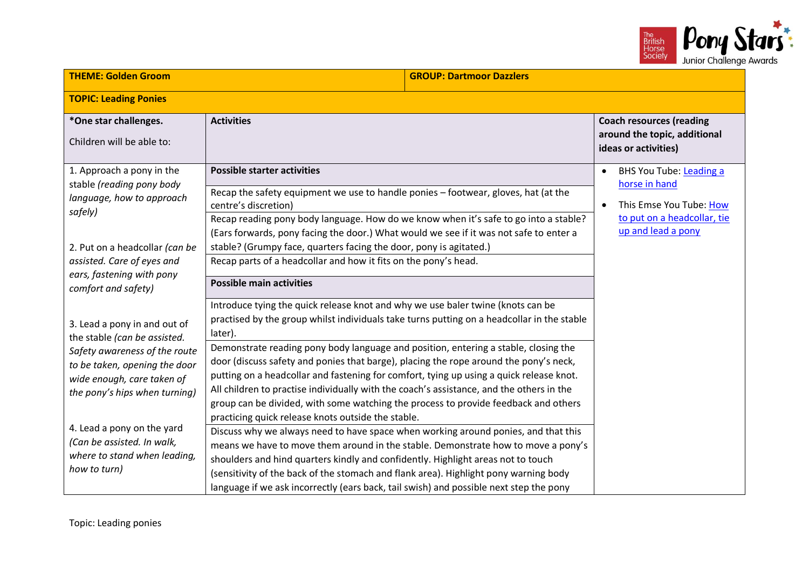

| <b>THEME: Golden Groom</b>                                                                                                                                                                                                                                                                                | <b>GROUP: Dartmoor Dazzlers</b>                                                                                                                                                                                                                                                                                                                                                                                                                                                                                                                                                                                                                                                                                                                                                                                                                                                                                                                                                                                                                                                                                                                               |                                                                                                                                       |
|-----------------------------------------------------------------------------------------------------------------------------------------------------------------------------------------------------------------------------------------------------------------------------------------------------------|---------------------------------------------------------------------------------------------------------------------------------------------------------------------------------------------------------------------------------------------------------------------------------------------------------------------------------------------------------------------------------------------------------------------------------------------------------------------------------------------------------------------------------------------------------------------------------------------------------------------------------------------------------------------------------------------------------------------------------------------------------------------------------------------------------------------------------------------------------------------------------------------------------------------------------------------------------------------------------------------------------------------------------------------------------------------------------------------------------------------------------------------------------------|---------------------------------------------------------------------------------------------------------------------------------------|
| <b>TOPIC: Leading Ponies</b>                                                                                                                                                                                                                                                                              |                                                                                                                                                                                                                                                                                                                                                                                                                                                                                                                                                                                                                                                                                                                                                                                                                                                                                                                                                                                                                                                                                                                                                               |                                                                                                                                       |
| *One star challenges.<br>Children will be able to:                                                                                                                                                                                                                                                        | <b>Activities</b>                                                                                                                                                                                                                                                                                                                                                                                                                                                                                                                                                                                                                                                                                                                                                                                                                                                                                                                                                                                                                                                                                                                                             | <b>Coach resources (reading</b><br>around the topic, additional<br>ideas or activities)                                               |
| 1. Approach a pony in the<br>stable (reading pony body<br>language, how to approach<br>safely)                                                                                                                                                                                                            | <b>Possible starter activities</b><br>Recap the safety equipment we use to handle ponies - footwear, gloves, hat (at the<br>centre's discretion)<br>Recap reading pony body language. How do we know when it's safe to go into a stable?<br>(Ears forwards, pony facing the door.) What would we see if it was not safe to enter a                                                                                                                                                                                                                                                                                                                                                                                                                                                                                                                                                                                                                                                                                                                                                                                                                            | BHS You Tube: Leading a<br>$\bullet$<br>horse in hand<br>This Emse You Tube: How<br>to put on a headcollar, tie<br>up and lead a pony |
| 2. Put on a headcollar (can be<br>assisted. Care of eyes and<br>ears, fastening with pony<br>comfort and safety)                                                                                                                                                                                          | stable? (Grumpy face, quarters facing the door, pony is agitated.)<br>Recap parts of a headcollar and how it fits on the pony's head.<br><b>Possible main activities</b>                                                                                                                                                                                                                                                                                                                                                                                                                                                                                                                                                                                                                                                                                                                                                                                                                                                                                                                                                                                      |                                                                                                                                       |
| 3. Lead a pony in and out of<br>the stable (can be assisted.<br>Safety awareness of the route<br>to be taken, opening the door<br>wide enough, care taken of<br>the pony's hips when turning)<br>4. Lead a pony on the yard<br>(Can be assisted. In walk,<br>where to stand when leading,<br>how to turn) | Introduce tying the quick release knot and why we use baler twine (knots can be<br>practised by the group whilst individuals take turns putting on a headcollar in the stable<br>later).<br>Demonstrate reading pony body language and position, entering a stable, closing the<br>door (discuss safety and ponies that barge), placing the rope around the pony's neck,<br>putting on a headcollar and fastening for comfort, tying up using a quick release knot.<br>All children to practise individually with the coach's assistance, and the others in the<br>group can be divided, with some watching the process to provide feedback and others<br>practicing quick release knots outside the stable.<br>Discuss why we always need to have space when working around ponies, and that this<br>means we have to move them around in the stable. Demonstrate how to move a pony's<br>shoulders and hind quarters kindly and confidently. Highlight areas not to touch<br>(sensitivity of the back of the stomach and flank area). Highlight pony warning body<br>language if we ask incorrectly (ears back, tail swish) and possible next step the pony |                                                                                                                                       |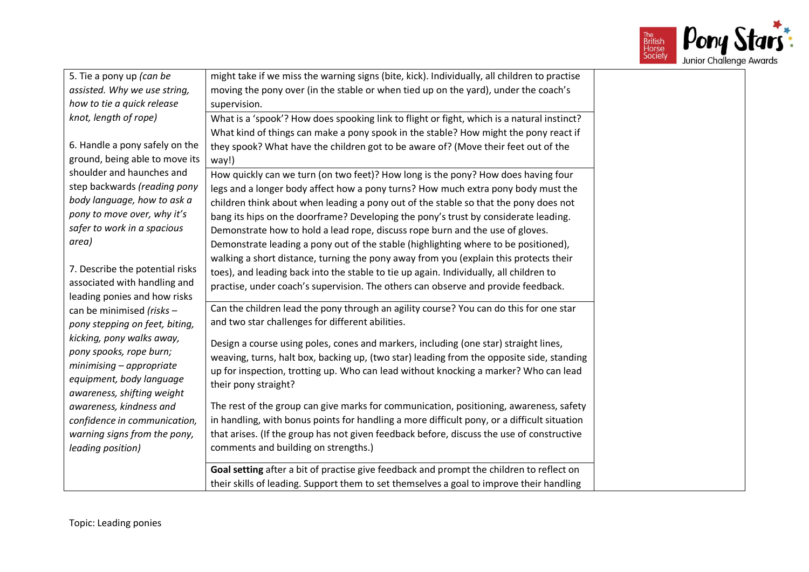

| 5. Tie a pony up (can be        | might take if we miss the warning signs (bite, kick). Individually, all children to practise |  |
|---------------------------------|----------------------------------------------------------------------------------------------|--|
| assisted. Why we use string,    | moving the pony over (in the stable or when tied up on the yard), under the coach's          |  |
| how to tie a quick release      | supervision.                                                                                 |  |
| knot, length of rope)           | What is a 'spook'? How does spooking link to flight or fight, which is a natural instinct?   |  |
|                                 | What kind of things can make a pony spook in the stable? How might the pony react if         |  |
| 6. Handle a pony safely on the  | they spook? What have the children got to be aware of? (Move their feet out of the           |  |
| ground, being able to move its  | way!)                                                                                        |  |
| shoulder and haunches and       | How quickly can we turn (on two feet)? How long is the pony? How does having four            |  |
| step backwards (reading pony    | legs and a longer body affect how a pony turns? How much extra pony body must the            |  |
| body language, how to ask a     | children think about when leading a pony out of the stable so that the pony does not         |  |
| pony to move over, why it's     | bang its hips on the doorframe? Developing the pony's trust by considerate leading.          |  |
| safer to work in a spacious     | Demonstrate how to hold a lead rope, discuss rope burn and the use of gloves.                |  |
| area)                           | Demonstrate leading a pony out of the stable (highlighting where to be positioned),          |  |
|                                 | walking a short distance, turning the pony away from you (explain this protects their        |  |
| 7. Describe the potential risks | toes), and leading back into the stable to tie up again. Individually, all children to       |  |
| associated with handling and    | practise, under coach's supervision. The others can observe and provide feedback.            |  |
| leading ponies and how risks    |                                                                                              |  |
| can be minimised (risks -       | Can the children lead the pony through an agility course? You can do this for one star       |  |
| pony stepping on feet, biting,  | and two star challenges for different abilities.                                             |  |
| kicking, pony walks away,       |                                                                                              |  |
| pony spooks, rope burn;         | Design a course using poles, cones and markers, including (one star) straight lines,         |  |
| minimising - appropriate        | weaving, turns, halt box, backing up, (two star) leading from the opposite side, standing    |  |
| equipment, body language        | up for inspection, trotting up. Who can lead without knocking a marker? Who can lead         |  |
| awareness, shifting weight      | their pony straight?                                                                         |  |
| awareness, kindness and         | The rest of the group can give marks for communication, positioning, awareness, safety       |  |
| confidence in communication,    | in handling, with bonus points for handling a more difficult pony, or a difficult situation  |  |
| warning signs from the pony,    | that arises. (If the group has not given feedback before, discuss the use of constructive    |  |
| leading position)               | comments and building on strengths.)                                                         |  |
|                                 |                                                                                              |  |
|                                 | Goal setting after a bit of practise give feedback and prompt the children to reflect on     |  |
|                                 | their skills of leading. Support them to set themselves a goal to improve their handling     |  |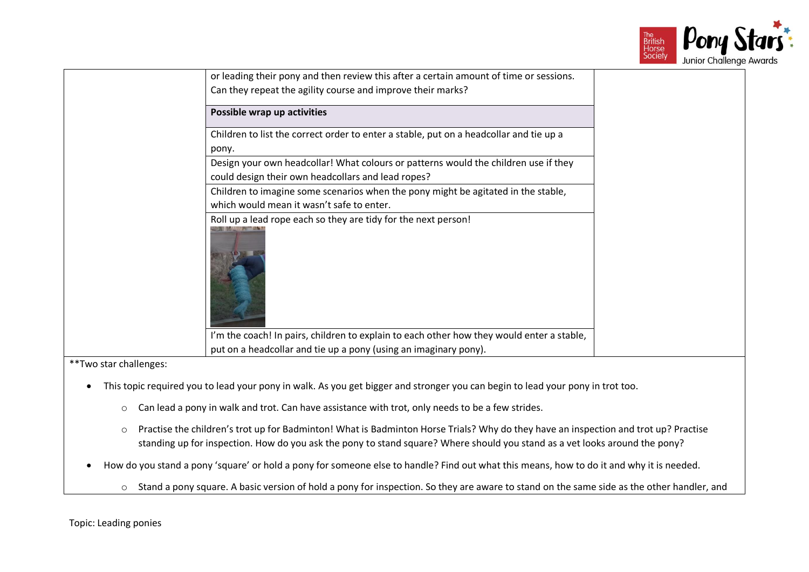

|            | or leading their pony and then review this after a certain amount of time or sessions.<br>Can they repeat the agility course and improve their marks? |  |
|------------|-------------------------------------------------------------------------------------------------------------------------------------------------------|--|
|            | Possible wrap up activities                                                                                                                           |  |
|            | Children to list the correct order to enter a stable, put on a headcollar and tie up a<br>pony.                                                       |  |
|            | Design your own headcollar! What colours or patterns would the children use if they<br>could design their own headcollars and lead ropes?             |  |
|            | Children to imagine some scenarios when the pony might be agitated in the stable,<br>which would mean it wasn't safe to enter.                        |  |
|            | Roll up a lead rope each so they are tidy for the next person!                                                                                        |  |
|            | I'm the coach! In pairs, children to explain to each other how they would enter a stable,                                                             |  |
| $**T_{11}$ | put on a headcollar and tie up a pony (using an imaginary pony).                                                                                      |  |
|            |                                                                                                                                                       |  |

- This topic required you to lead your pony in walk. As you get bigger and stronger you can begin to lead your pony in trot too.
	- o Can lead a pony in walk and trot. Can have assistance with trot, only needs to be a few strides.
	- o Practise the children's trot up for Badminton! What is Badminton Horse Trials? Why do they have an inspection and trot up? Practise standing up for inspection. How do you ask the pony to stand square? Where should you stand as a vet looks around the pony?
- How do you stand a pony 'square' or hold a pony for someone else to handle? Find out what this means, how to do it and why it is needed.
	- o Stand a pony square. A basic version of hold a pony for inspection. So they are aware to stand on the same side as the other handler, and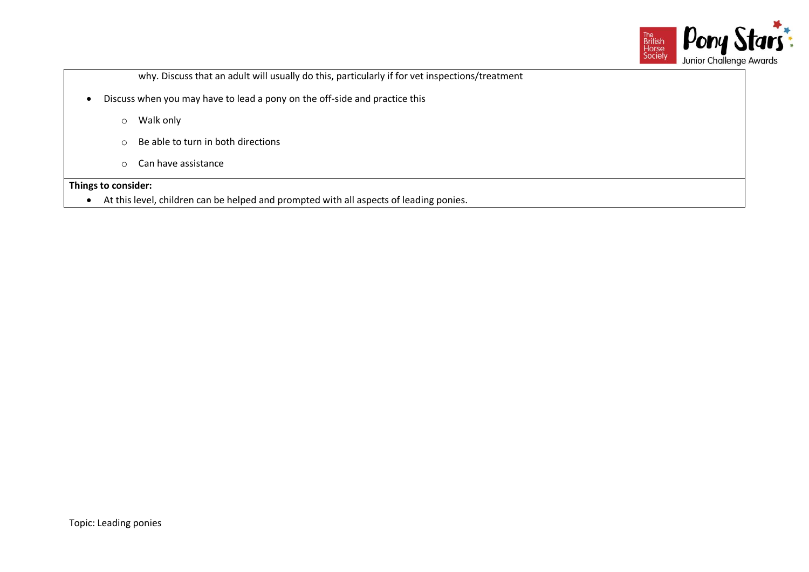

why. Discuss that an adult will usually do this, particularly if for vet inspections/treatment

- Discuss when you may have to lead a pony on the off-side and practice this
	- o Walk only
	- o Be able to turn in both directions
	- o Can have assistance

# **Things to consider:**

• At this level, children can be helped and prompted with all aspects of leading ponies.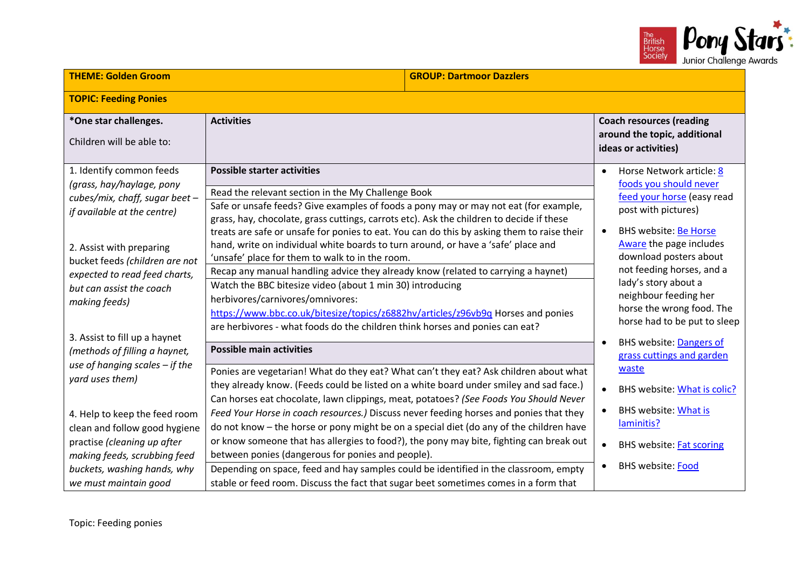

| <b>THEME: Golden Groom</b>                                                                                                                                                                                                                                         |                                                                                                                                                                                                                                                                                                                                                                                                                                                                                                                                                                                                                                                                                                                                                                                                                                                                              | <b>GROUP: Dartmoor Dazzlers</b> |                                                                                                                                                                                                                                                                                                                                                                   |
|--------------------------------------------------------------------------------------------------------------------------------------------------------------------------------------------------------------------------------------------------------------------|------------------------------------------------------------------------------------------------------------------------------------------------------------------------------------------------------------------------------------------------------------------------------------------------------------------------------------------------------------------------------------------------------------------------------------------------------------------------------------------------------------------------------------------------------------------------------------------------------------------------------------------------------------------------------------------------------------------------------------------------------------------------------------------------------------------------------------------------------------------------------|---------------------------------|-------------------------------------------------------------------------------------------------------------------------------------------------------------------------------------------------------------------------------------------------------------------------------------------------------------------------------------------------------------------|
| <b>TOPIC: Feeding Ponies</b>                                                                                                                                                                                                                                       |                                                                                                                                                                                                                                                                                                                                                                                                                                                                                                                                                                                                                                                                                                                                                                                                                                                                              |                                 |                                                                                                                                                                                                                                                                                                                                                                   |
| *One star challenges.<br>Children will be able to:                                                                                                                                                                                                                 | <b>Activities</b>                                                                                                                                                                                                                                                                                                                                                                                                                                                                                                                                                                                                                                                                                                                                                                                                                                                            |                                 | <b>Coach resources (reading</b><br>around the topic, additional<br>ideas or activities)                                                                                                                                                                                                                                                                           |
| 1. Identify common feeds<br>(grass, hay/haylage, pony<br>cubes/mix, chaff, sugar beet -<br>if available at the centre)<br>2. Assist with preparing<br>bucket feeds (children are not<br>expected to read feed charts,<br>but can assist the coach<br>making feeds) | <b>Possible starter activities</b><br>Read the relevant section in the My Challenge Book<br>Safe or unsafe feeds? Give examples of foods a pony may or may not eat (for example,<br>grass, hay, chocolate, grass cuttings, carrots etc). Ask the children to decide if these<br>treats are safe or unsafe for ponies to eat. You can do this by asking them to raise their<br>hand, write on individual white boards to turn around, or have a 'safe' place and<br>'unsafe' place for them to walk to in the room.<br>Recap any manual handling advice they already know (related to carrying a haynet)<br>Watch the BBC bitesize video (about 1 min 30) introducing<br>herbivores/carnivores/omnivores:<br>https://www.bbc.co.uk/bitesize/topics/z6882hv/articles/z96vb9q Horses and ponies<br>are herbivores - what foods do the children think horses and ponies can eat? |                                 | Horse Network article: 8<br>$\bullet$<br>foods you should never<br>feed your horse (easy read<br>post with pictures)<br><b>BHS website: Be Horse</b><br>$\bullet$<br>Aware the page includes<br>download posters about<br>not feeding horses, and a<br>lady's story about a<br>neighbour feeding her<br>horse the wrong food. The<br>horse had to be put to sleep |
| 3. Assist to fill up a haynet<br>(methods of filling a haynet,                                                                                                                                                                                                     | <b>Possible main activities</b>                                                                                                                                                                                                                                                                                                                                                                                                                                                                                                                                                                                                                                                                                                                                                                                                                                              |                                 | <b>BHS website: Dangers of</b><br>$\bullet$<br>grass cuttings and garden                                                                                                                                                                                                                                                                                          |
| use of hanging scales - if the<br>yard uses them)                                                                                                                                                                                                                  | Ponies are vegetarian! What do they eat? What can't they eat? Ask children about what<br>they already know. (Feeds could be listed on a white board under smiley and sad face.)<br>Can horses eat chocolate, lawn clippings, meat, potatoes? (See Foods You Should Never                                                                                                                                                                                                                                                                                                                                                                                                                                                                                                                                                                                                     |                                 | waste<br>BHS website: What is colic?                                                                                                                                                                                                                                                                                                                              |
| 4. Help to keep the feed room<br>clean and follow good hygiene<br>practise (cleaning up after<br>making feeds, scrubbing feed<br>buckets, washing hands, why<br>we must maintain good                                                                              | Feed Your Horse in coach resources.) Discuss never feeding horses and ponies that they<br>do not know - the horse or pony might be on a special diet (do any of the children have<br>or know someone that has allergies to food?), the pony may bite, fighting can break out<br>between ponies (dangerous for ponies and people).<br>Depending on space, feed and hay samples could be identified in the classroom, empty<br>stable or feed room. Discuss the fact that sugar beet sometimes comes in a form that                                                                                                                                                                                                                                                                                                                                                            |                                 | <b>BHS website: What is</b><br>$\bullet$<br>laminitis?<br><b>BHS website: Fat scoring</b><br>$\bullet$<br>BHS website: Food<br>$\bullet$                                                                                                                                                                                                                          |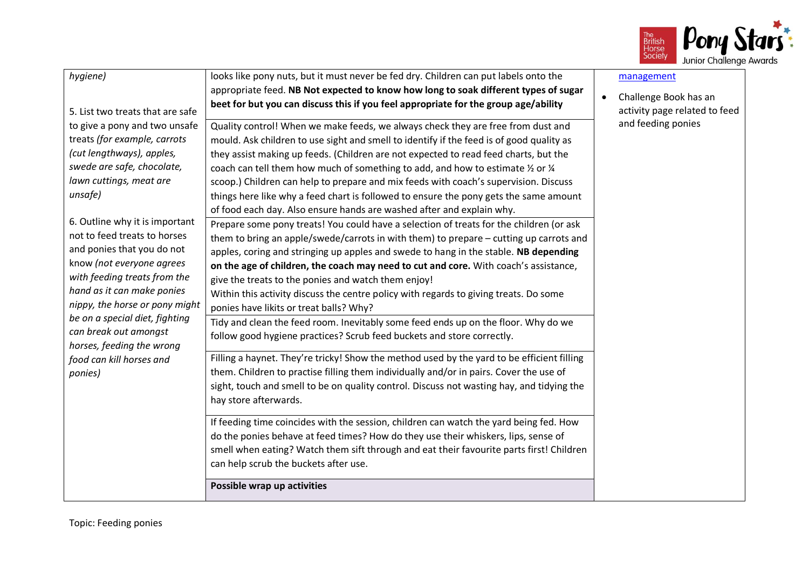

| hygiene)<br>5. List two treats that are safe<br>to give a pony and two unsafe<br>treats (for example, carrots<br>(cut lengthways), apples,<br>swede are safe, chocolate,<br>lawn cuttings, meat are<br>unsafe)<br>6. Outline why it is important<br>not to feed treats to horses<br>and ponies that you do not<br>know (not everyone agrees<br>with feeding treats from the<br>hand as it can make ponies<br>nippy, the horse or pony might<br>be on a special diet, fighting<br>can break out amongst | looks like pony nuts, but it must never be fed dry. Children can put labels onto the<br>appropriate feed. NB Not expected to know how long to soak different types of sugar<br>beet for but you can discuss this if you feel appropriate for the group age/ability<br>Quality control! When we make feeds, we always check they are free from dust and<br>mould. Ask children to use sight and smell to identify if the feed is of good quality as<br>they assist making up feeds. (Children are not expected to read feed charts, but the<br>coach can tell them how much of something to add, and how to estimate 1/2 or 1/4<br>scoop.) Children can help to prepare and mix feeds with coach's supervision. Discuss<br>things here like why a feed chart is followed to ensure the pony gets the same amount<br>of food each day. Also ensure hands are washed after and explain why.<br>Prepare some pony treats! You could have a selection of treats for the children (or ask<br>them to bring an apple/swede/carrots in with them) to prepare - cutting up carrots and<br>apples, coring and stringing up apples and swede to hang in the stable. NB depending<br>on the age of children, the coach may need to cut and core. With coach's assistance,<br>give the treats to the ponies and watch them enjoy!<br>Within this activity discuss the centre policy with regards to giving treats. Do some<br>ponies have likits or treat balls? Why?<br>Tidy and clean the feed room. Inevitably some feed ends up on the floor. Why do we<br>follow good hygiene practices? Scrub feed buckets and store correctly. | management<br>Challenge Book has an<br>$\bullet$<br>activity page related to feed<br>and feeding ponies |
|--------------------------------------------------------------------------------------------------------------------------------------------------------------------------------------------------------------------------------------------------------------------------------------------------------------------------------------------------------------------------------------------------------------------------------------------------------------------------------------------------------|--------------------------------------------------------------------------------------------------------------------------------------------------------------------------------------------------------------------------------------------------------------------------------------------------------------------------------------------------------------------------------------------------------------------------------------------------------------------------------------------------------------------------------------------------------------------------------------------------------------------------------------------------------------------------------------------------------------------------------------------------------------------------------------------------------------------------------------------------------------------------------------------------------------------------------------------------------------------------------------------------------------------------------------------------------------------------------------------------------------------------------------------------------------------------------------------------------------------------------------------------------------------------------------------------------------------------------------------------------------------------------------------------------------------------------------------------------------------------------------------------------------------------------------------------------------------------------------------------------------------------|---------------------------------------------------------------------------------------------------------|
| horses, feeding the wrong<br>food can kill horses and<br>ponies)                                                                                                                                                                                                                                                                                                                                                                                                                                       | Filling a haynet. They're tricky! Show the method used by the yard to be efficient filling<br>them. Children to practise filling them individually and/or in pairs. Cover the use of<br>sight, touch and smell to be on quality control. Discuss not wasting hay, and tidying the<br>hay store afterwards.<br>If feeding time coincides with the session, children can watch the yard being fed. How<br>do the ponies behave at feed times? How do they use their whiskers, lips, sense of<br>smell when eating? Watch them sift through and eat their favourite parts first! Children<br>can help scrub the buckets after use.<br>Possible wrap up activities                                                                                                                                                                                                                                                                                                                                                                                                                                                                                                                                                                                                                                                                                                                                                                                                                                                                                                                                                           |                                                                                                         |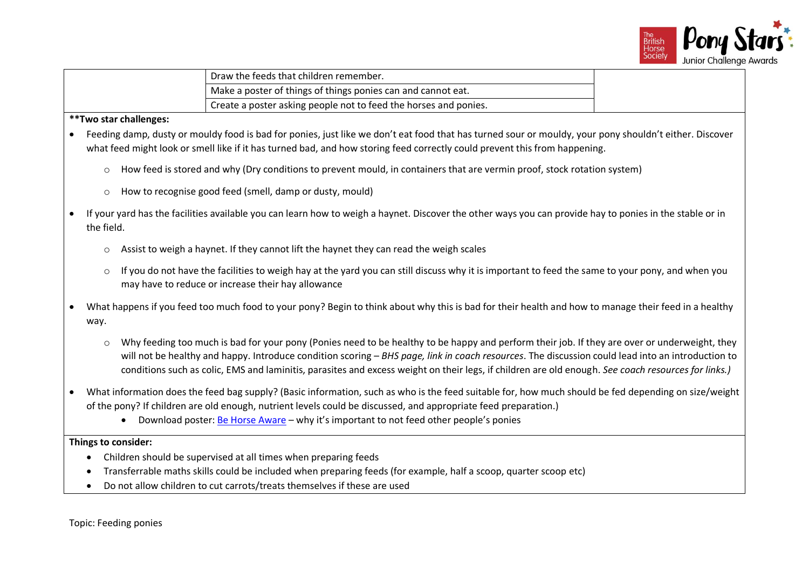

| Draw the feeds that children remember.                                        |  |
|-------------------------------------------------------------------------------|--|
| Make a poster of things of things ponies can and cannot eat.                  |  |
| <sup>1</sup> Create a poster asking people not to feed the horses and ponies. |  |

- Feeding damp, dusty or mouldy food is bad for ponies, just like we don't eat food that has turned sour or mouldy, your pony shouldn't either. Discover what feed might look or smell like if it has turned bad, and how storing feed correctly could prevent this from happening.
	- o How feed is stored and why (Dry conditions to prevent mould, in containers that are vermin proof, stock rotation system)
	- o How to recognise good feed (smell, damp or dusty, mould)
- If your yard has the facilities available you can learn how to weigh a haynet. Discover the other ways you can provide hay to ponies in the stable or in the field.
	- $\circ$  Assist to weigh a haynet. If they cannot lift the haynet they can read the weigh scales
	- o If you do not have the facilities to weigh hay at the yard you can still discuss why it is important to feed the same to your pony, and when you may have to reduce or increase their hay allowance
- What happens if you feed too much food to your pony? Begin to think about why this is bad for their health and how to manage their feed in a healthy way.
	- $\circ$  Why feeding too much is bad for your pony (Ponies need to be healthy to be happy and perform their job. If they are over or underweight, they will not be healthy and happy. Introduce condition scoring – *BHS page, link in coach resources*. The discussion could lead into an introduction to conditions such as colic, EMS and laminitis, parasites and excess weight on their legs, if children are old enough. *See coach resources for links.)*
- What information does the feed bag supply? (Basic information, such as who is the feed suitable for, how much should be fed depending on size/weight of the pony? If children are old enough, nutrient levels could be discussed, and appropriate feed preparation.)
	- Download poster: [Be Horse Aware](https://www.bhs.org.uk/our-work/welfare/our-campaigns/be-horse-aware) why it's important to not feed other people's ponies

- Children should be supervised at all times when preparing feeds
- Transferrable maths skills could be included when preparing feeds (for example, half a scoop, quarter scoop etc)
- Do not allow children to cut carrots/treats themselves if these are used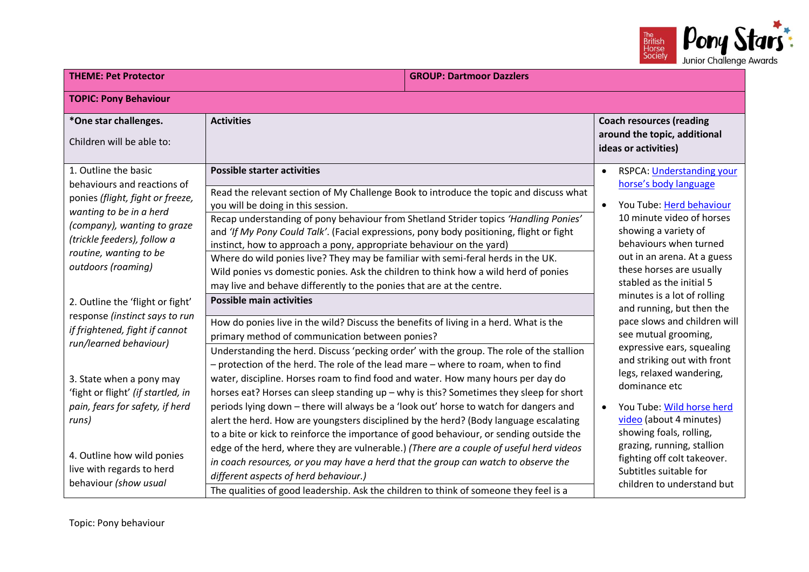

| <b>GROUP: Dartmoor Dazzlers</b><br><b>THEME: Pet Protector</b>                                                                                                                                                                               |                                                                                                                                                                                                                                                                                                                                                                                                                                                                                                                                                                                                                                                                                                                                                                                                                         |                                                                                                                                                                                                                                                                                                               |
|----------------------------------------------------------------------------------------------------------------------------------------------------------------------------------------------------------------------------------------------|-------------------------------------------------------------------------------------------------------------------------------------------------------------------------------------------------------------------------------------------------------------------------------------------------------------------------------------------------------------------------------------------------------------------------------------------------------------------------------------------------------------------------------------------------------------------------------------------------------------------------------------------------------------------------------------------------------------------------------------------------------------------------------------------------------------------------|---------------------------------------------------------------------------------------------------------------------------------------------------------------------------------------------------------------------------------------------------------------------------------------------------------------|
| <b>TOPIC: Pony Behaviour</b>                                                                                                                                                                                                                 |                                                                                                                                                                                                                                                                                                                                                                                                                                                                                                                                                                                                                                                                                                                                                                                                                         |                                                                                                                                                                                                                                                                                                               |
| *One star challenges.<br>Children will be able to:                                                                                                                                                                                           | <b>Activities</b>                                                                                                                                                                                                                                                                                                                                                                                                                                                                                                                                                                                                                                                                                                                                                                                                       | <b>Coach resources (reading</b><br>around the topic, additional<br>ideas or activities)                                                                                                                                                                                                                       |
| 1. Outline the basic<br>behaviours and reactions of<br>ponies (flight, fight or freeze,<br>wanting to be in a herd<br>(company), wanting to graze<br>(trickle feeders), follow a<br>routine, wanting to be<br>outdoors (roaming)             | <b>Possible starter activities</b><br>Read the relevant section of My Challenge Book to introduce the topic and discuss what<br>you will be doing in this session.<br>Recap understanding of pony behaviour from Shetland Strider topics 'Handling Ponies'<br>and 'If My Pony Could Talk'. (Facial expressions, pony body positioning, flight or fight<br>instinct, how to approach a pony, appropriate behaviour on the yard)<br>Where do wild ponies live? They may be familiar with semi-feral herds in the UK.<br>Wild ponies vs domestic ponies. Ask the children to think how a wild herd of ponies<br>may live and behave differently to the ponies that are at the centre.                                                                                                                                      | RSPCA: Understanding your<br>$\bullet$<br>horse's body language<br>You Tube: Herd behaviour<br>$\bullet$<br>10 minute video of horses<br>showing a variety of<br>behaviours when turned<br>out in an arena. At a guess<br>these horses are usually<br>stabled as the initial 5                                |
| 2. Outline the 'flight or fight'<br>response (instinct says to run<br>if frightened, fight if cannot<br>run/learned behaviour)<br>3. State when a pony may<br>'fight or flight' (if startled, in<br>pain, fears for safety, if herd<br>runs) | <b>Possible main activities</b><br>How do ponies live in the wild? Discuss the benefits of living in a herd. What is the<br>primary method of communication between ponies?<br>Understanding the herd. Discuss 'pecking order' with the group. The role of the stallion<br>- protection of the herd. The role of the lead mare - where to roam, when to find<br>water, discipline. Horses roam to find food and water. How many hours per day do<br>horses eat? Horses can sleep standing up - why is this? Sometimes they sleep for short<br>periods lying down - there will always be a 'look out' horse to watch for dangers and<br>alert the herd. How are youngsters disciplined by the herd? (Body language escalating<br>to a bite or kick to reinforce the importance of good behaviour, or sending outside the | minutes is a lot of rolling<br>and running, but then the<br>pace slows and children will<br>see mutual grooming,<br>expressive ears, squealing<br>and striking out with front<br>legs, relaxed wandering,<br>dominance etc<br>You Tube: Wild horse herd<br>video (about 4 minutes)<br>showing foals, rolling, |
| 4. Outline how wild ponies<br>live with regards to herd<br>behaviour (show usual                                                                                                                                                             | edge of the herd, where they are vulnerable.) (There are a couple of useful herd videos<br>in coach resources, or you may have a herd that the group can watch to observe the<br>different aspects of herd behaviour.)<br>The qualities of good leadership. Ask the children to think of someone they feel is a                                                                                                                                                                                                                                                                                                                                                                                                                                                                                                         | grazing, running, stallion<br>fighting off colt takeover.<br>Subtitles suitable for<br>children to understand but                                                                                                                                                                                             |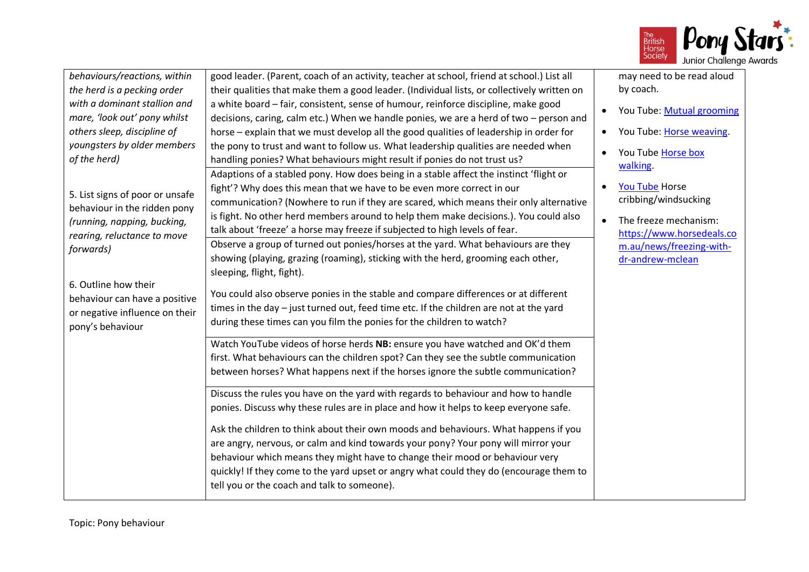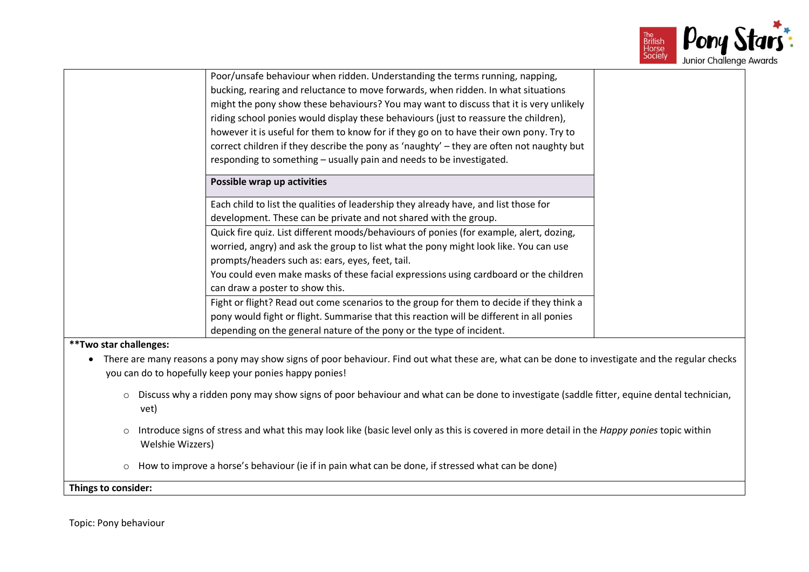

| Poor/unsafe behaviour when ridden. Understanding the terms running, napping,                                                                                                                                           |  |
|------------------------------------------------------------------------------------------------------------------------------------------------------------------------------------------------------------------------|--|
|                                                                                                                                                                                                                        |  |
| bucking, rearing and reluctance to move forwards, when ridden. In what situations                                                                                                                                      |  |
| might the pony show these behaviours? You may want to discuss that it is very unlikely                                                                                                                                 |  |
| riding school ponies would display these behaviours (just to reassure the children),                                                                                                                                   |  |
| however it is useful for them to know for if they go on to have their own pony. Try to                                                                                                                                 |  |
| correct children if they describe the pony as 'naughty' - they are often not naughty but                                                                                                                               |  |
| responding to something - usually pain and needs to be investigated.                                                                                                                                                   |  |
| Possible wrap up activities                                                                                                                                                                                            |  |
| Each child to list the qualities of leadership they already have, and list those for                                                                                                                                   |  |
| development. These can be private and not shared with the group.                                                                                                                                                       |  |
| Quick fire quiz. List different moods/behaviours of ponies (for example, alert, dozing,                                                                                                                                |  |
| worried, angry) and ask the group to list what the pony might look like. You can use                                                                                                                                   |  |
| prompts/headers such as: ears, eyes, feet, tail.                                                                                                                                                                       |  |
| You could even make masks of these facial expressions using cardboard or the children                                                                                                                                  |  |
| can draw a poster to show this.                                                                                                                                                                                        |  |
| Fight or flight? Read out come scenarios to the group for them to decide if they think a                                                                                                                               |  |
| pony would fight or flight. Summarise that this reaction will be different in all ponies                                                                                                                               |  |
| depending on the general nature of the pony or the type of incident.                                                                                                                                                   |  |
| ** Two star challenges:                                                                                                                                                                                                |  |
| There are many reasons a pony may show signs of poor behaviour. Find out what these are, what can be done to investigate and the regular checks<br>$\bullet$<br>you can do to hopefully keep your ponies happy ponies! |  |
| o Discuss why a ridden pony may show signs of poor behaviour and what can be done to investigate (saddle fitter, equine dental technician,<br>vet)                                                                     |  |
| Introduce signs of stress and what this may look like (basic level only as this is covered in more detail in the Happy ponies topic within<br>$\circ$<br>Welshie Wizzers)                                              |  |
| How to improve a horse's behaviour (ie if in pain what can be done, if stressed what can be done)<br>$\circ$                                                                                                           |  |
| Things to consider:                                                                                                                                                                                                    |  |
|                                                                                                                                                                                                                        |  |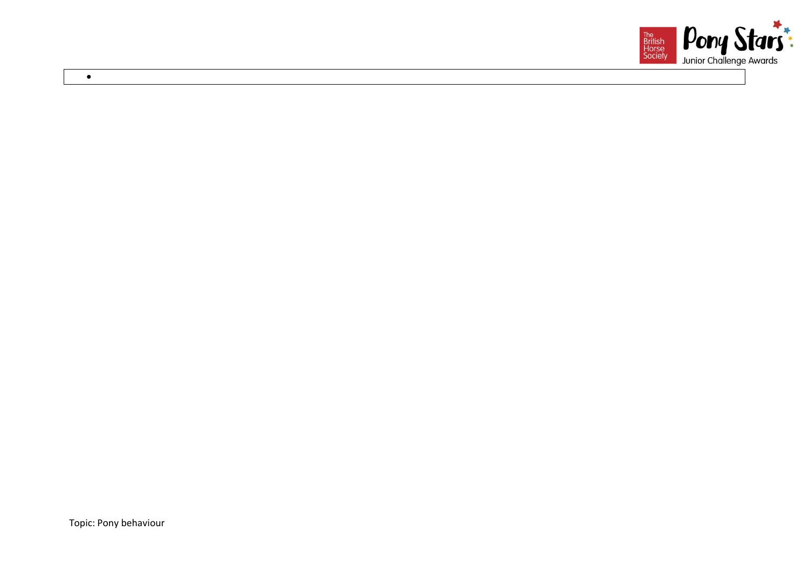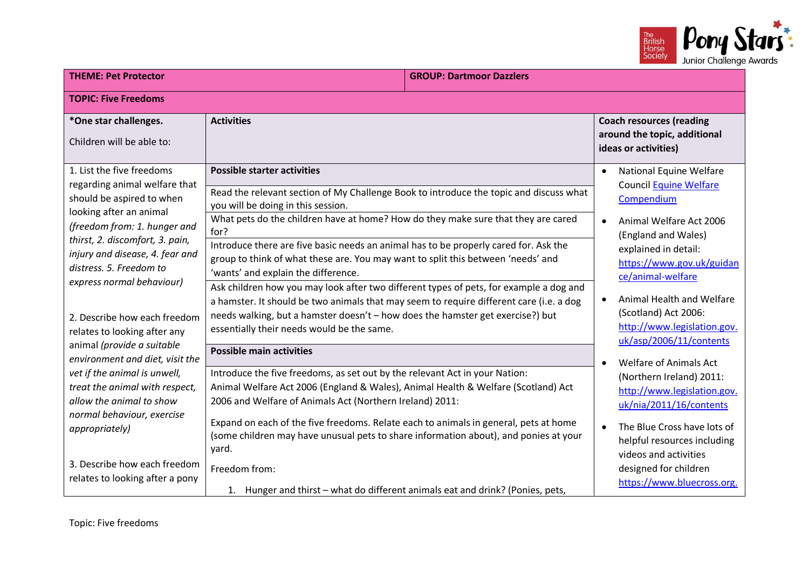

| <b>THEME: Pet Protector</b><br><b>GROUP: Dartmoor Dazzlers</b>                                                                                                                                                                                                                 |                                                                                                                                                                                                                                                                                                                                                                                                                                                                                                                                                             |  |                                                                                                                                                                                                                                                                                |
|--------------------------------------------------------------------------------------------------------------------------------------------------------------------------------------------------------------------------------------------------------------------------------|-------------------------------------------------------------------------------------------------------------------------------------------------------------------------------------------------------------------------------------------------------------------------------------------------------------------------------------------------------------------------------------------------------------------------------------------------------------------------------------------------------------------------------------------------------------|--|--------------------------------------------------------------------------------------------------------------------------------------------------------------------------------------------------------------------------------------------------------------------------------|
| <b>TOPIC: Five Freedoms</b>                                                                                                                                                                                                                                                    |                                                                                                                                                                                                                                                                                                                                                                                                                                                                                                                                                             |  |                                                                                                                                                                                                                                                                                |
| *One star challenges.<br>Children will be able to:                                                                                                                                                                                                                             | <b>Activities</b>                                                                                                                                                                                                                                                                                                                                                                                                                                                                                                                                           |  | <b>Coach resources (reading</b><br>around the topic, additional<br>ideas or activities)                                                                                                                                                                                        |
| 1. List the five freedoms<br>regarding animal welfare that<br>should be aspired to when<br>looking after an animal<br>(freedom from: 1. hunger and                                                                                                                             | <b>Possible starter activities</b><br>Read the relevant section of My Challenge Book to introduce the topic and discuss what<br>you will be doing in this session.<br>What pets do the children have at home? How do they make sure that they are cared<br>for?                                                                                                                                                                                                                                                                                             |  | National Equine Welfare<br>$\bullet$<br><b>Council Equine Welfare</b><br>Compendium<br>Animal Welfare Act 2006<br>$\bullet$<br>(England and Wales)                                                                                                                             |
| thirst, 2. discomfort, 3. pain,<br>injury and disease, 4. fear and<br>distress. 5. Freedom to<br>express normal behaviour)<br>2. Describe how each freedom<br>relates to looking after any                                                                                     | Introduce there are five basic needs an animal has to be properly cared for. Ask the<br>group to think of what these are. You may want to split this between 'needs' and<br>'wants' and explain the difference.<br>Ask children how you may look after two different types of pets, for example a dog and<br>a hamster. It should be two animals that may seem to require different care (i.e. a dog<br>needs walking, but a hamster doesn't - how does the hamster get exercise?) but<br>essentially their needs would be the same.                        |  | explained in detail:<br>https://www.gov.uk/guidan<br>ce/animal-welfare<br>Animal Health and Welfare<br>$\bullet$<br>(Scotland) Act 2006:<br>http://www.legislation.gov.<br>uk/asp/2006/11/contents                                                                             |
| animal (provide a suitable<br>environment and diet, visit the<br>vet if the animal is unwell,<br>treat the animal with respect,<br>allow the animal to show<br>normal behaviour, exercise<br>appropriately)<br>3. Describe how each freedom<br>relates to looking after a pony | <b>Possible main activities</b><br>Introduce the five freedoms, as set out by the relevant Act in your Nation:<br>Animal Welfare Act 2006 (England & Wales), Animal Health & Welfare (Scotland) Act<br>2006 and Welfare of Animals Act (Northern Ireland) 2011:<br>Expand on each of the five freedoms. Relate each to animals in general, pets at home<br>(some children may have unusual pets to share information about), and ponies at your<br>yard.<br>Freedom from:<br>1. Hunger and thirst - what do different animals eat and drink? (Ponies, pets, |  | <b>Welfare of Animals Act</b><br>(Northern Ireland) 2011:<br>http://www.legislation.gov.<br>uk/nia/2011/16/contents<br>The Blue Cross have lots of<br>$\bullet$<br>helpful resources including<br>videos and activities<br>designed for children<br>https://www.bluecross.org. |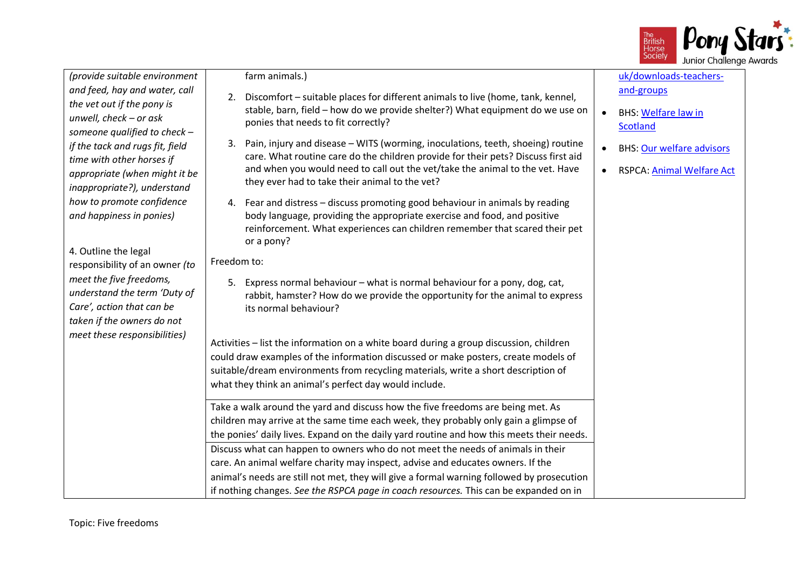

*(provide suitable environment and feed, hay and water, call the vet out if the pony is unwell, check – or ask someone qualified to check – if the tack and rugs fit, field time with other horses if appropriate (when might it be inappropriate?), understand how to promote confidence and happiness in ponies)*

4. Outline the legal responsibility of an owner *(to meet the five freedoms, understand the term 'Duty of Care', action that can be taken if the owners do not meet these responsibilities)*

## farm animals.)

- 2. Discomfort suitable places for different animals to live (home, tank, kennel, stable, barn, field – how do we provide shelter?) What equipment do we use on ponies that needs to fit correctly?
- 3. Pain, injury and disease WITS (worming, inoculations, teeth, shoeing) routine care. What routine care do the children provide for their pets? Discuss first aid and when you would need to call out the vet/take the animal to the vet. Have they ever had to take their animal to the vet?
- 4. Fear and distress discuss promoting good behaviour in animals by reading body language, providing the appropriate exercise and food, and positive reinforcement. What experiences can children remember that scared their pet or a pony?

Freedom to:

5. Express normal behaviour – what is normal behaviour for a pony, dog, cat, rabbit, hamster? How do we provide the opportunity for the animal to express its normal behaviour?

Activities – list the information on a white board during a group discussion, children could draw examples of the information discussed or make posters, create models of suitable/dream environments from recycling materials, write a short description of what they think an animal's perfect day would include.

Take a walk around the yard and discuss how the five freedoms are being met. As children may arrive at the same time each week, they probably only gain a glimpse of the ponies' daily lives. Expand on the daily yard routine and how this meets their needs. Discuss what can happen to owners who do not meet the needs of animals in their care. An animal welfare charity may inspect, advise and educates owners. If the animal's needs are still not met, they will give a formal warning followed by prosecution if nothing changes. *See the RSPCA page in coach resources.* This can be expanded on in

[uk/downloads-teachers](https://www.bluecross.org.uk/downloads-teachers-and-groups)[and-groups](https://www.bluecross.org.uk/downloads-teachers-and-groups)

- BHS: [Welfare law in](http://www.bhs.org.uk/our-work/welfare/reporting-horses-in-distress/welfare-in-scotland)  **[Scotland](http://www.bhs.org.uk/our-work/welfare/reporting-horses-in-distress/welfare-in-scotland)**
- BHS: [Our welfare advisors](https://www.bhs.org.uk/our-work/welfare/our-welfare-advisers)
- RSPCA[: Animal Welfare Act](https://www.rspca.org.uk/whatwedo/endcruelty/changingthelaw/whatwechanged/animalwelfareact)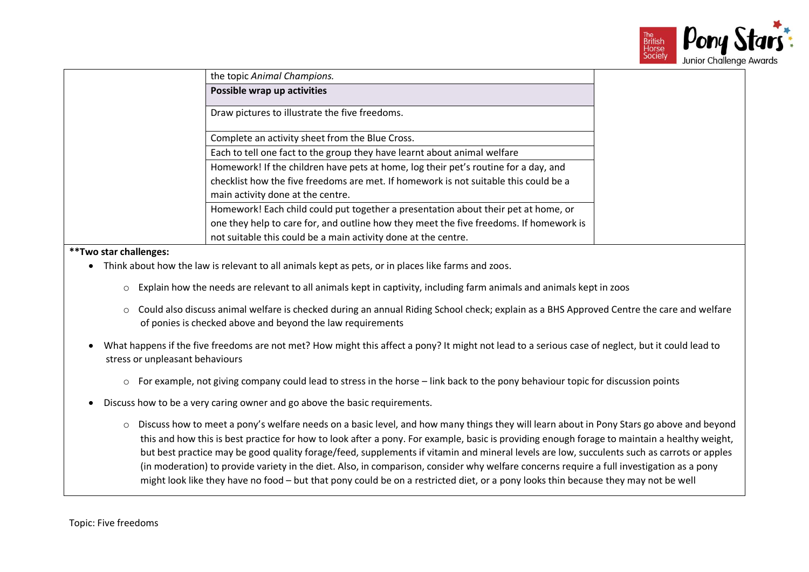

| the topic Animal Champions.                                                            |
|----------------------------------------------------------------------------------------|
| Possible wrap up activities                                                            |
|                                                                                        |
| Draw pictures to illustrate the five freedoms.                                         |
|                                                                                        |
| Complete an activity sheet from the Blue Cross.                                        |
| Each to tell one fact to the group they have learnt about animal welfare               |
| Homework! If the children have pets at home, log their pet's routine for a day, and    |
| checklist how the five freedoms are met. If homework is not suitable this could be a   |
| main activity done at the centre.                                                      |
| Homework! Each child could put together a presentation about their pet at home, or     |
| one they help to care for, and outline how they meet the five freedoms. If homework is |
| not suitable this could be a main activity done at the centre.                         |
|                                                                                        |

- Think about how the law is relevant to all animals kept as pets, or in places like farms and zoos.
	- $\circ$  Explain how the needs are relevant to all animals kept in captivity, including farm animals and animals kept in zoos
	- o Could also discuss animal welfare is checked during an annual Riding School check; explain as a BHS Approved Centre the care and welfare of ponies is checked above and beyond the law requirements
- What happens if the five freedoms are not met? How might this affect a pony? It might not lead to a serious case of neglect, but it could lead to stress or unpleasant behaviours
	- $\circ$  For example, not giving company could lead to stress in the horse link back to the pony behaviour topic for discussion points
- Discuss how to be a very caring owner and go above the basic requirements.
	- o Discuss how to meet a pony's welfare needs on a basic level, and how many things they will learn about in Pony Stars go above and beyond this and how this is best practice for how to look after a pony. For example, basic is providing enough forage to maintain a healthy weight, but best practice may be good quality forage/feed, supplements if vitamin and mineral levels are low, succulents such as carrots or apples (in moderation) to provide variety in the diet. Also, in comparison, consider why welfare concerns require a full investigation as a pony might look like they have no food – but that pony could be on a restricted diet, or a pony looks thin because they may not be well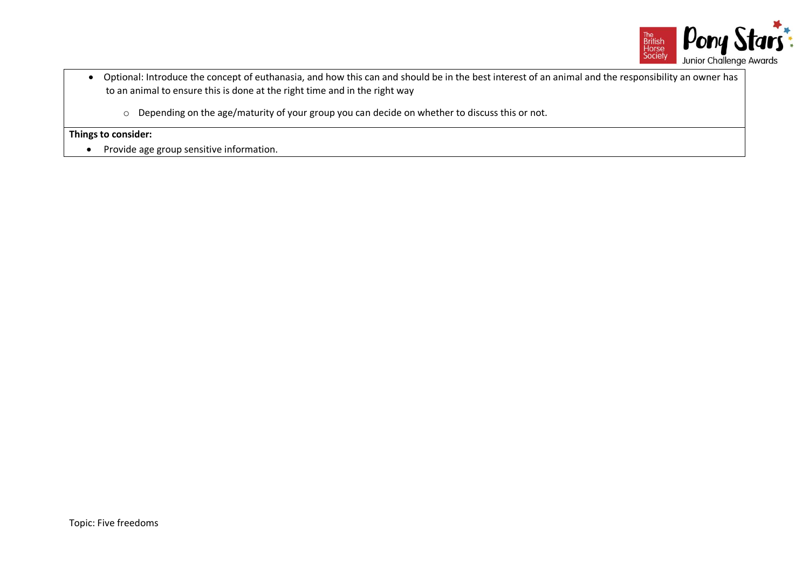

- Optional: Introduce the concept of euthanasia, and how this can and should be in the best interest of an animal and the responsibility an owner has to an animal to ensure this is done at the right time and in the right way
	- o Depending on the age/maturity of your group you can decide on whether to discuss this or not.

• Provide age group sensitive information.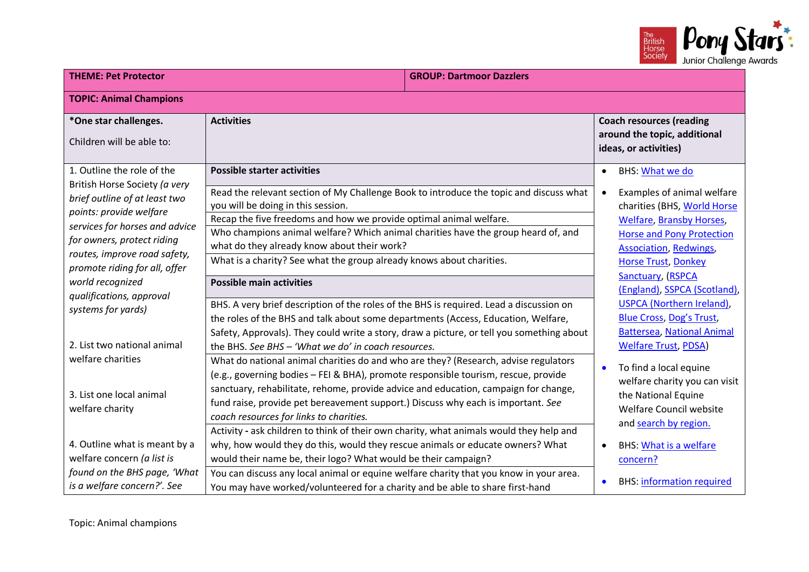

| <b>THEME: Pet Protector</b>                                                                  |                                                                                                                                                                                                                                                                                                          | <b>GROUP: Dartmoor Dazzlers</b> |                                                                                         |                                                                                                                                          |
|----------------------------------------------------------------------------------------------|----------------------------------------------------------------------------------------------------------------------------------------------------------------------------------------------------------------------------------------------------------------------------------------------------------|---------------------------------|-----------------------------------------------------------------------------------------|------------------------------------------------------------------------------------------------------------------------------------------|
| <b>TOPIC: Animal Champions</b>                                                               |                                                                                                                                                                                                                                                                                                          |                                 |                                                                                         |                                                                                                                                          |
| *One star challenges.<br>Children will be able to:                                           | <b>Activities</b>                                                                                                                                                                                                                                                                                        |                                 |                                                                                         | <b>Coach resources (reading</b><br>around the topic, additional<br>ideas, or activities)                                                 |
| 1. Outline the role of the<br>British Horse Society (a very<br>brief outline of at least two | <b>Possible starter activities</b><br>Read the relevant section of My Challenge Book to introduce the topic and discuss what                                                                                                                                                                             |                                 | $\bullet$<br>$\bullet$                                                                  | <b>BHS: What we do</b><br>Examples of animal welfare                                                                                     |
| points: provide welfare<br>services for horses and advice<br>for owners, protect riding      | you will be doing in this session.<br>Recap the five freedoms and how we provide optimal animal welfare.<br>Who champions animal welfare? Which animal charities have the group heard of, and                                                                                                            |                                 |                                                                                         | charities (BHS, World Horse<br><b>Welfare, Bransby Horses,</b><br><b>Horse and Pony Protection</b>                                       |
| routes, improve road safety,<br>promote riding for all, offer<br>world recognized            | what do they already know about their work?<br>What is a charity? See what the group already knows about charities.<br><b>Possible main activities</b>                                                                                                                                                   |                                 | <b>Association, Redwings,</b><br><b>Horse Trust, Donkey</b><br><b>Sanctuary, (RSPCA</b> |                                                                                                                                          |
| qualifications, approval<br>systems for yards)                                               | BHS. A very brief description of the roles of the BHS is required. Lead a discussion on<br>the roles of the BHS and talk about some departments (Access, Education, Welfare,<br>Safety, Approvals). They could write a story, draw a picture, or tell you something about                                |                                 |                                                                                         | (England), SSPCA (Scotland),<br><b>USPCA (Northern Ireland),</b><br><b>Blue Cross, Dog's Trust,</b><br><b>Battersea, National Animal</b> |
| 2. List two national animal<br>welfare charities                                             | the BHS. See BHS - 'What we do' in coach resources.<br>What do national animal charities do and who are they? (Research, advise regulators                                                                                                                                                               |                                 | $\bullet$                                                                               | <b>Welfare Trust, PDSA)</b><br>To find a local equine                                                                                    |
| 3. List one local animal<br>welfare charity                                                  | (e.g., governing bodies - FEI & BHA), promote responsible tourism, rescue, provide<br>sanctuary, rehabilitate, rehome, provide advice and education, campaign for change,<br>fund raise, provide pet bereavement support.) Discuss why each is important. See<br>coach resources for links to charities. |                                 |                                                                                         | welfare charity you can visit<br>the National Equine<br><b>Welfare Council website</b><br>and search by region.                          |
| 4. Outline what is meant by a<br>welfare concern (a list is<br>found on the BHS page, 'What  | Activity - ask children to think of their own charity, what animals would they help and<br>why, how would they do this, would they rescue animals or educate owners? What<br>would their name be, their logo? What would be their campaign?                                                              |                                 |                                                                                         | <b>BHS: What is a welfare</b><br>concern?                                                                                                |
| is a welfare concern?'. See                                                                  | You can discuss any local animal or equine welfare charity that you know in your area.<br>You may have worked/volunteered for a charity and be able to share first-hand                                                                                                                                  |                                 |                                                                                         | <b>BHS:</b> information required                                                                                                         |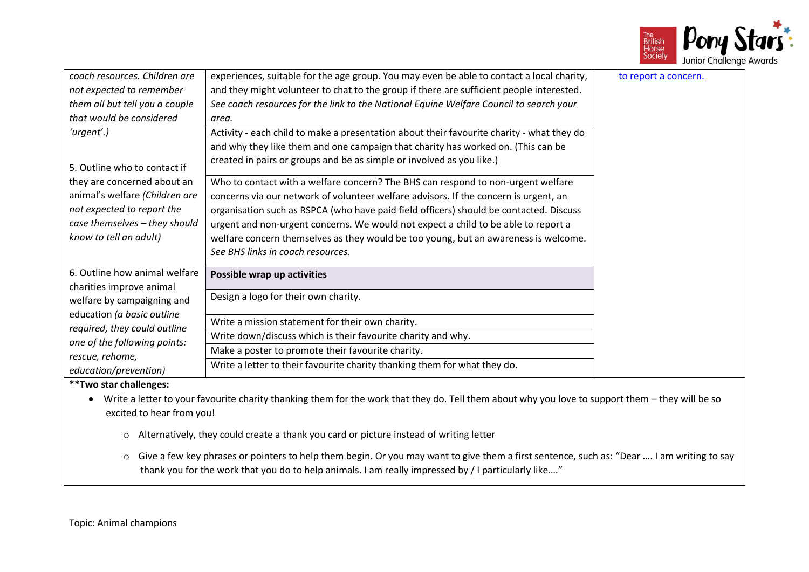

| coach resources. Children are<br>not expected to remember<br>them all but tell you a couple<br>that would be considered                                | experiences, suitable for the age group. You may even be able to contact a local charity,<br>and they might volunteer to chat to the group if there are sufficient people interested.<br>See coach resources for the link to the National Equine Welfare Council to search your<br>area.                                                                                                                                                                                             | to report a concern. |
|--------------------------------------------------------------------------------------------------------------------------------------------------------|--------------------------------------------------------------------------------------------------------------------------------------------------------------------------------------------------------------------------------------------------------------------------------------------------------------------------------------------------------------------------------------------------------------------------------------------------------------------------------------|----------------------|
| 'urgent'.)<br>5. Outline who to contact if                                                                                                             | Activity - each child to make a presentation about their favourite charity - what they do<br>and why they like them and one campaign that charity has worked on. (This can be<br>created in pairs or groups and be as simple or involved as you like.)                                                                                                                                                                                                                               |                      |
| they are concerned about an<br>animal's welfare (Children are<br>not expected to report the<br>case themselves - they should<br>know to tell an adult) | Who to contact with a welfare concern? The BHS can respond to non-urgent welfare<br>concerns via our network of volunteer welfare advisors. If the concern is urgent, an<br>organisation such as RSPCA (who have paid field officers) should be contacted. Discuss<br>urgent and non-urgent concerns. We would not expect a child to be able to report a<br>welfare concern themselves as they would be too young, but an awareness is welcome.<br>See BHS links in coach resources. |                      |
| 6. Outline how animal welfare<br>charities improve animal                                                                                              | Possible wrap up activities                                                                                                                                                                                                                                                                                                                                                                                                                                                          |                      |
| welfare by campaigning and<br>education (a basic outline                                                                                               | Design a logo for their own charity.                                                                                                                                                                                                                                                                                                                                                                                                                                                 |                      |
| required, they could outline                                                                                                                           | Write a mission statement for their own charity.                                                                                                                                                                                                                                                                                                                                                                                                                                     |                      |
| one of the following points:                                                                                                                           | Write down/discuss which is their favourite charity and why.                                                                                                                                                                                                                                                                                                                                                                                                                         |                      |
| rescue, rehome,                                                                                                                                        | Make a poster to promote their favourite charity.                                                                                                                                                                                                                                                                                                                                                                                                                                    |                      |
| education/prevention)                                                                                                                                  | Write a letter to their favourite charity thanking them for what they do.                                                                                                                                                                                                                                                                                                                                                                                                            |                      |

- Write a letter to your favourite charity thanking them for the work that they do. Tell them about why you love to support them they will be so excited to hear from you!
	- o Alternatively, they could create a thank you card or picture instead of writing letter
	- o Give a few key phrases or pointers to help them begin. Or you may want to give them a first sentence, such as: "Dear …. I am writing to say thank you for the work that you do to help animals. I am really impressed by / I particularly like...."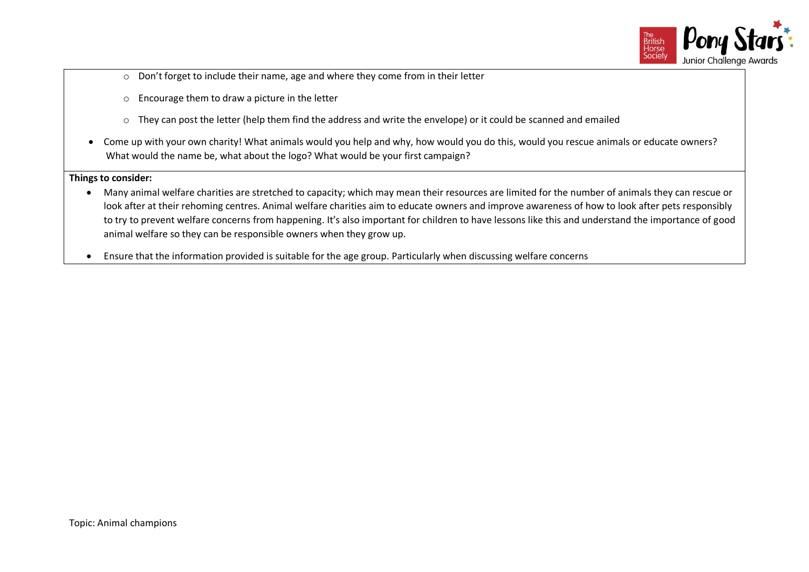

- o Don't forget to include their name, age and where they come from in their letter
- o Encourage them to draw a picture in the letter
- o They can post the letter (help them find the address and write the envelope) or it could be scanned and emailed
- Come up with your own charity! What animals would you help and why, how would you do this, would you rescue animals or educate owners? What would the name be, what about the logo? What would be your first campaign?

- Many animal welfare charities are stretched to capacity; which may mean their resources are limited for the number of animals they can rescue or look after at their rehoming centres. Animal welfare charities aim to educate owners and improve awareness of how to look after pets responsibly to try to prevent welfare concerns from happening. It's also important for children to have lessons like this and understand the importance of good animal welfare so they can be responsible owners when they grow up.
- Ensure that the information provided is suitable for the age group. Particularly when discussing welfare concerns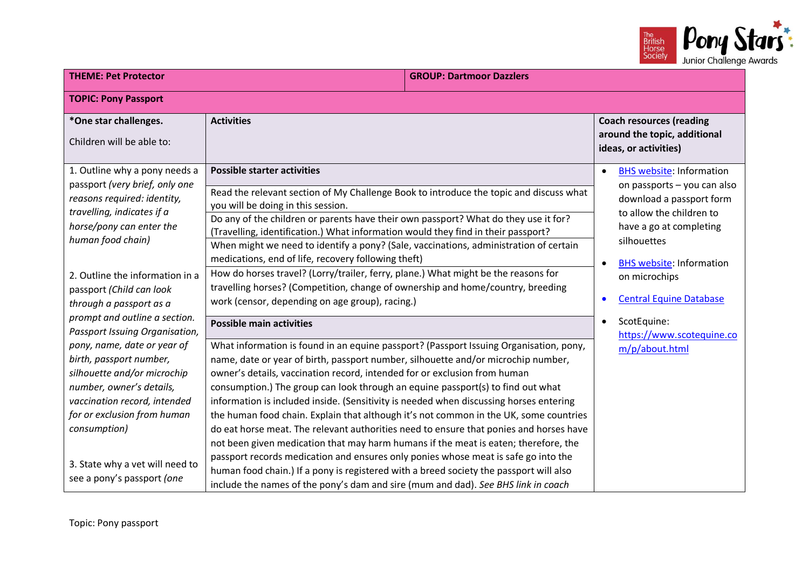

| <b>THEME: Pet Protector</b><br><b>GROUP: Dartmoor Dazzlers</b>  |                                                                                                                                                                               |  |                                                                                          |  |
|-----------------------------------------------------------------|-------------------------------------------------------------------------------------------------------------------------------------------------------------------------------|--|------------------------------------------------------------------------------------------|--|
| <b>TOPIC: Pony Passport</b>                                     |                                                                                                                                                                               |  |                                                                                          |  |
| *One star challenges.<br>Children will be able to:              | <b>Activities</b>                                                                                                                                                             |  | <b>Coach resources (reading</b><br>around the topic, additional<br>ideas, or activities) |  |
| 1. Outline why a pony needs a<br>passport (very brief, only one | <b>Possible starter activities</b>                                                                                                                                            |  | <b>BHS website: Information</b><br>$\bullet$<br>on passports - you can also              |  |
| reasons required: identity,<br>travelling, indicates if a       | Read the relevant section of My Challenge Book to introduce the topic and discuss what<br>you will be doing in this session.                                                  |  | download a passport form<br>to allow the children to                                     |  |
| horse/pony can enter the                                        | Do any of the children or parents have their own passport? What do they use it for?<br>(Travelling, identification.) What information would they find in their passport?      |  | have a go at completing                                                                  |  |
| human food chain)                                               | When might we need to identify a pony? (Sale, vaccinations, administration of certain<br>medications, end of life, recovery following theft)                                  |  | silhouettes<br><b>BHS website: Information</b><br>$\bullet$                              |  |
| 2. Outline the information in a<br>passport (Child can look     | How do horses travel? (Lorry/trailer, ferry, plane.) What might be the reasons for<br>travelling horses? (Competition, change of ownership and home/country, breeding         |  | on microchips                                                                            |  |
| through a passport as a                                         | work (censor, depending on age group), racing.)                                                                                                                               |  | <b>Central Equine Database</b>                                                           |  |
| prompt and outline a section.<br>Passport Issuing Organisation, | <b>Possible main activities</b>                                                                                                                                               |  | ScotEquine:<br>$\bullet$<br>https://www.scotequine.co                                    |  |
| pony, name, date or year of<br>birth, passport number,          | What information is found in an equine passport? (Passport Issuing Organisation, pony,<br>name, date or year of birth, passport number, silhouette and/or microchip number,   |  | m/p/about.html                                                                           |  |
| silhouette and/or microchip                                     | owner's details, vaccination record, intended for or exclusion from human                                                                                                     |  |                                                                                          |  |
| number, owner's details,<br>vaccination record, intended        | consumption.) The group can look through an equine passport(s) to find out what<br>information is included inside. (Sensitivity is needed when discussing horses entering     |  |                                                                                          |  |
| for or exclusion from human                                     | the human food chain. Explain that although it's not common in the UK, some countries                                                                                         |  |                                                                                          |  |
| consumption)                                                    | do eat horse meat. The relevant authorities need to ensure that ponies and horses have<br>not been given medication that may harm humans if the meat is eaten; therefore, the |  |                                                                                          |  |
|                                                                 | passport records medication and ensures only ponies whose meat is safe go into the                                                                                            |  |                                                                                          |  |
| 3. State why a vet will need to<br>see a pony's passport (one   | human food chain.) If a pony is registered with a breed society the passport will also<br>include the names of the pony's dam and sire (mum and dad). See BHS link in coach   |  |                                                                                          |  |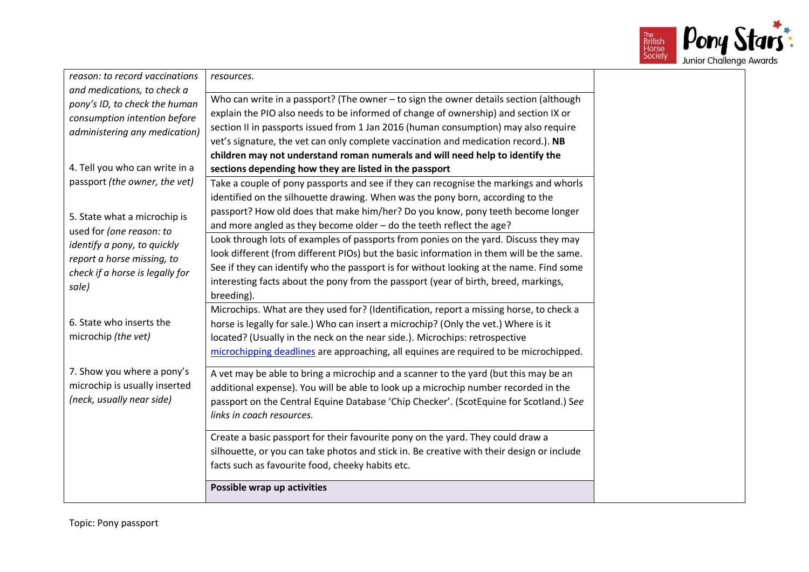

| reason: to record vaccinations  | resources.                                                                                |  |
|---------------------------------|-------------------------------------------------------------------------------------------|--|
| and medications, to check a     |                                                                                           |  |
| pony's ID, to check the human   | Who can write in a passport? (The owner - to sign the owner details section (although     |  |
| consumption intention before    | explain the PIO also needs to be informed of change of ownership) and section IX or       |  |
| administering any medication)   | section II in passports issued from 1 Jan 2016 (human consumption) may also require       |  |
|                                 | vet's signature, the vet can only complete vaccination and medication record.). NB        |  |
|                                 | children may not understand roman numerals and will need help to identify the             |  |
| 4. Tell you who can write in a  | sections depending how they are listed in the passport                                    |  |
| passport (the owner, the vet)   | Take a couple of pony passports and see if they can recognise the markings and whorls     |  |
|                                 | identified on the silhouette drawing. When was the pony born, according to the            |  |
| 5. State what a microchip is    | passport? How old does that make him/her? Do you know, pony teeth become longer           |  |
| used for (one reason: to        | and more angled as they become older - do the teeth reflect the age?                      |  |
| identify a pony, to quickly     | Look through lots of examples of passports from ponies on the yard. Discuss they may      |  |
| report a horse missing, to      | look different (from different PIOs) but the basic information in them will be the same.  |  |
| check if a horse is legally for | See if they can identify who the passport is for without looking at the name. Find some   |  |
| sale)                           | interesting facts about the pony from the passport (year of birth, breed, markings,       |  |
|                                 | breeding).                                                                                |  |
|                                 | Microchips. What are they used for? (Identification, report a missing horse, to check a   |  |
| 6. State who inserts the        | horse is legally for sale.) Who can insert a microchip? (Only the vet.) Where is it       |  |
| microchip (the vet)             | located? (Usually in the neck on the near side.). Microchips: retrospective               |  |
|                                 | microchipping deadlines are approaching, all equines are required to be microchipped.     |  |
|                                 |                                                                                           |  |
| 7. Show you where a pony's      | A vet may be able to bring a microchip and a scanner to the yard (but this may be an      |  |
| microchip is usually inserted   | additional expense). You will be able to look up a microchip number recorded in the       |  |
| (neck, usually near side)       | passport on the Central Equine Database 'Chip Checker'. (ScotEquine for Scotland.) See    |  |
|                                 | links in coach resources.                                                                 |  |
|                                 | Create a basic passport for their favourite pony on the yard. They could draw a           |  |
|                                 | silhouette, or you can take photos and stick in. Be creative with their design or include |  |
|                                 | facts such as favourite food, cheeky habits etc.                                          |  |
|                                 |                                                                                           |  |
|                                 | Possible wrap up activities                                                               |  |
|                                 |                                                                                           |  |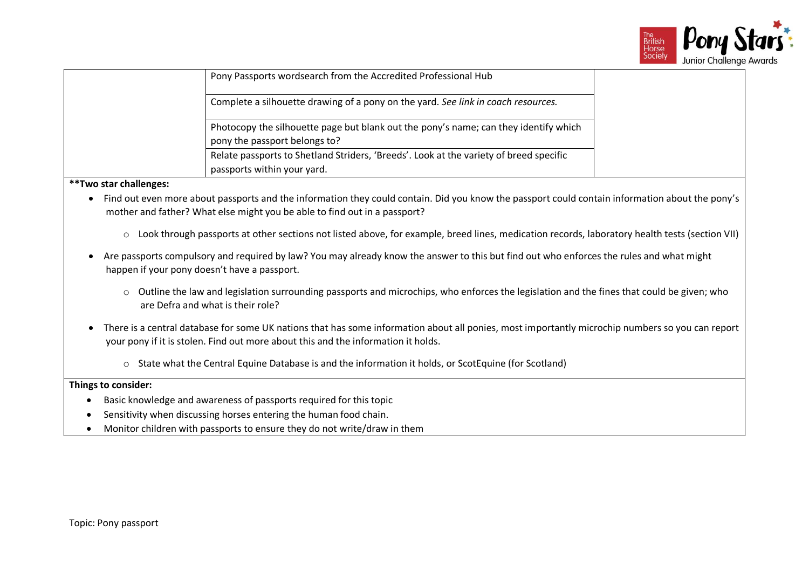

|                               | Pony Passports wordsearch from the Accredited Professional Hub                         |
|-------------------------------|----------------------------------------------------------------------------------------|
|                               | Complete a silhouette drawing of a pony on the yard. See link in coach resources.      |
| pony the passport belongs to? | Photocopy the silhouette page but blank out the pony's name; can they identify which   |
| passports within your yard.   | Relate passports to Shetland Striders, 'Breeds'. Look at the variety of breed specific |

- Find out even more about passports and the information they could contain. Did you know the passport could contain information about the pony's mother and father? What else might you be able to find out in a passport?
	- o Look through passports at other sections not listed above, for example, breed lines, medication records, laboratory health tests (section VII)
- Are passports compulsory and required by law? You may already know the answer to this but find out who enforces the rules and what might happen if your pony doesn't have a passport.
	- o Outline the law and legislation surrounding passports and microchips, who enforces the legislation and the fines that could be given; who are Defra and what is their role?
- There is a central database for some UK nations that has some information about all ponies, most importantly microchip numbers so you can report your pony if it is stolen. Find out more about this and the information it holds.
	- o State what the Central Equine Database is and the information it holds, or ScotEquine (for Scotland)

- Basic knowledge and awareness of passports required for this topic
- Sensitivity when discussing horses entering the human food chain.
- Monitor children with passports to ensure they do not write/draw in them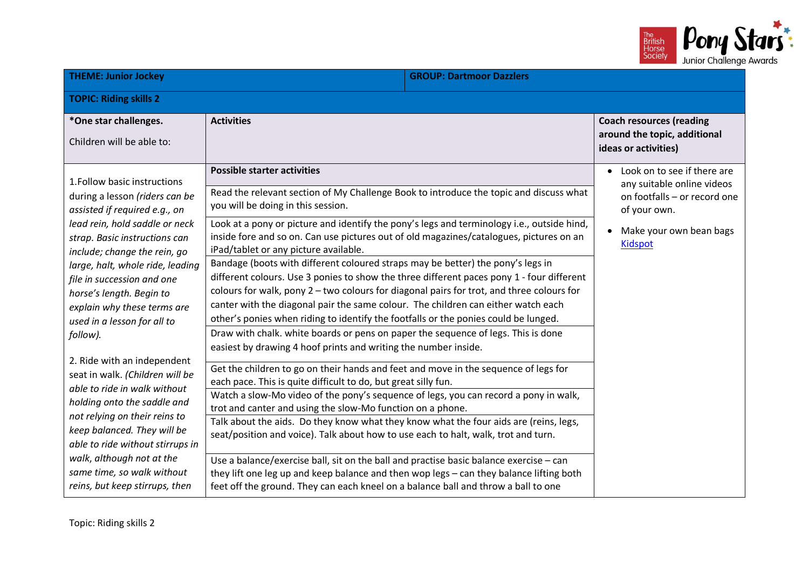

| <b>THEME: Junior Jockey</b><br><b>GROUP: Dartmoor Dazzlers</b>                                                                                                                                                                                                                                                                                                                                                                                                                                                                                                                                                                                                                                               |                                                                                                                                                                                                                                                                                                                                                                                                                                                                                                                                                                                                                                                                                                                                                                                                                                                                                                                                                                                                                                                                                                                                                                                                                                                                                                                                                                                                                                                                                                                                                                                                                                                                                                                                                                                                |  |                                                                                                                                                        |
|--------------------------------------------------------------------------------------------------------------------------------------------------------------------------------------------------------------------------------------------------------------------------------------------------------------------------------------------------------------------------------------------------------------------------------------------------------------------------------------------------------------------------------------------------------------------------------------------------------------------------------------------------------------------------------------------------------------|------------------------------------------------------------------------------------------------------------------------------------------------------------------------------------------------------------------------------------------------------------------------------------------------------------------------------------------------------------------------------------------------------------------------------------------------------------------------------------------------------------------------------------------------------------------------------------------------------------------------------------------------------------------------------------------------------------------------------------------------------------------------------------------------------------------------------------------------------------------------------------------------------------------------------------------------------------------------------------------------------------------------------------------------------------------------------------------------------------------------------------------------------------------------------------------------------------------------------------------------------------------------------------------------------------------------------------------------------------------------------------------------------------------------------------------------------------------------------------------------------------------------------------------------------------------------------------------------------------------------------------------------------------------------------------------------------------------------------------------------------------------------------------------------|--|--------------------------------------------------------------------------------------------------------------------------------------------------------|
| <b>TOPIC: Riding skills 2</b>                                                                                                                                                                                                                                                                                                                                                                                                                                                                                                                                                                                                                                                                                |                                                                                                                                                                                                                                                                                                                                                                                                                                                                                                                                                                                                                                                                                                                                                                                                                                                                                                                                                                                                                                                                                                                                                                                                                                                                                                                                                                                                                                                                                                                                                                                                                                                                                                                                                                                                |  |                                                                                                                                                        |
| *One star challenges.<br>Children will be able to:                                                                                                                                                                                                                                                                                                                                                                                                                                                                                                                                                                                                                                                           | <b>Activities</b>                                                                                                                                                                                                                                                                                                                                                                                                                                                                                                                                                                                                                                                                                                                                                                                                                                                                                                                                                                                                                                                                                                                                                                                                                                                                                                                                                                                                                                                                                                                                                                                                                                                                                                                                                                              |  | <b>Coach resources (reading</b><br>around the topic, additional<br>ideas or activities)                                                                |
| 1. Follow basic instructions<br>during a lesson (riders can be<br>assisted if required e.g., on<br>lead rein, hold saddle or neck<br>strap. Basic instructions can<br>include; change the rein, go<br>large, halt, whole ride, leading<br>file in succession and one<br>horse's length. Begin to<br>explain why these terms are<br>used in a lesson for all to<br>follow).<br>2. Ride with an independent<br>seat in walk. (Children will be<br>able to ride in walk without<br>holding onto the saddle and<br>not relying on their reins to<br>keep balanced. They will be<br>able to ride without stirrups in<br>walk, although not at the<br>same time, so walk without<br>reins, but keep stirrups, then | <b>Possible starter activities</b><br>Read the relevant section of My Challenge Book to introduce the topic and discuss what<br>you will be doing in this session.<br>Look at a pony or picture and identify the pony's legs and terminology i.e., outside hind,<br>inside fore and so on. Can use pictures out of old magazines/catalogues, pictures on an<br>iPad/tablet or any picture available.<br>Bandage (boots with different coloured straps may be better) the pony's legs in<br>different colours. Use 3 ponies to show the three different paces pony 1 - four different<br>colours for walk, pony 2 - two colours for diagonal pairs for trot, and three colours for<br>canter with the diagonal pair the same colour. The children can either watch each<br>other's ponies when riding to identify the footfalls or the ponies could be lunged.<br>Draw with chalk. white boards or pens on paper the sequence of legs. This is done<br>easiest by drawing 4 hoof prints and writing the number inside.<br>Get the children to go on their hands and feet and move in the sequence of legs for<br>each pace. This is quite difficult to do, but great silly fun.<br>Watch a slow-Mo video of the pony's sequence of legs, you can record a pony in walk,<br>trot and canter and using the slow-Mo function on a phone.<br>Talk about the aids. Do they know what they know what the four aids are (reins, legs,<br>seat/position and voice). Talk about how to use each to halt, walk, trot and turn.<br>Use a balance/exercise ball, sit on the ball and practise basic balance exercise - can<br>they lift one leg up and keep balance and then wop legs - can they balance lifting both<br>feet off the ground. They can each kneel on a balance ball and throw a ball to one |  | Look on to see if there are<br>any suitable online videos<br>on footfalls - or record one<br>of your own.<br>Make your own bean bags<br><b>Kidspot</b> |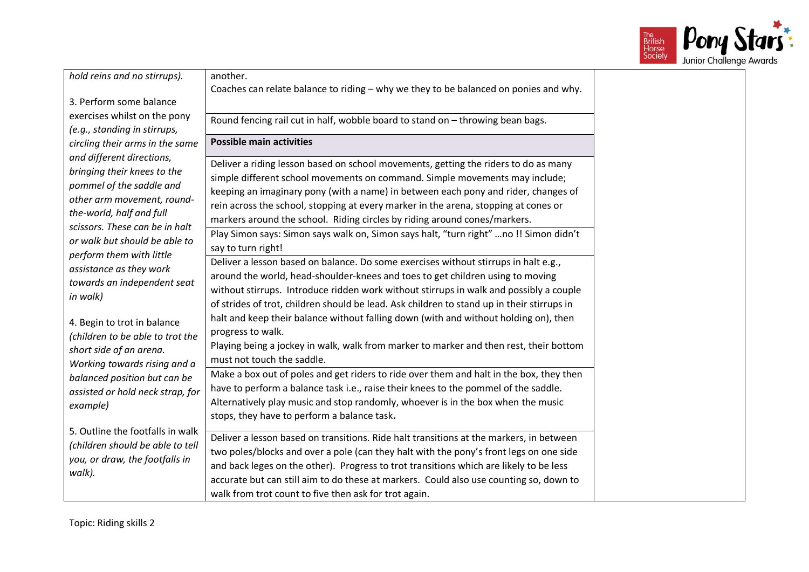

| Coaches can relate balance to riding - why we they to be balanced on ponies and why.<br>3. Perform some balance<br>exercises whilst on the pony<br>Round fencing rail cut in half, wobble board to stand on - throwing bean bags.<br>(e.g., standing in stirrups,<br><b>Possible main activities</b><br>circling their arms in the same<br>and different directions,<br>Deliver a riding lesson based on school movements, getting the riders to do as many<br>bringing their knees to the<br>simple different school movements on command. Simple movements may include;<br>pommel of the saddle and<br>keeping an imaginary pony (with a name) in between each pony and rider, changes of<br>other arm movement, round-<br>rein across the school, stopping at every marker in the arena, stopping at cones or<br>the-world, half and full<br>markers around the school. Riding circles by riding around cones/markers.<br>scissors. These can be in halt<br>Play Simon says: Simon says walk on, Simon says halt, "turn right" no !! Simon didn't<br>or walk but should be able to<br>say to turn right!<br>perform them with little<br>Deliver a lesson based on balance. Do some exercises without stirrups in halt e.g.,<br>assistance as they work<br>around the world, head-shoulder-knees and toes to get children using to moving<br>towards an independent seat<br>without stirrups. Introduce ridden work without stirrups in walk and possibly a couple<br>in walk)<br>of strides of trot, children should be lead. Ask children to stand up in their stirrups in<br>halt and keep their balance without falling down (with and without holding on), then<br>4. Begin to trot in balance<br>progress to walk.<br>(children to be able to trot the<br>Playing being a jockey in walk, walk from marker to marker and then rest, their bottom<br>short side of an arena.<br>must not touch the saddle.<br>Working towards rising and a<br>Make a box out of poles and get riders to ride over them and halt in the box, they then<br>balanced position but can be<br>have to perform a balance task i.e., raise their knees to the pommel of the saddle.<br>assisted or hold neck strap, for<br>Alternatively play music and stop randomly, whoever is in the box when the music<br>example)<br>stops, they have to perform a balance task.<br>5. Outline the footfalls in walk<br>Deliver a lesson based on transitions. Ride halt transitions at the markers, in between<br>(children should be able to tell<br>two poles/blocks and over a pole (can they halt with the pony's front legs on one side<br>you, or draw, the footfalls in<br>and back leges on the other). Progress to trot transitions which are likely to be less<br>walk).<br>accurate but can still aim to do these at markers. Could also use counting so, down to | hold reins and no stirrups). | another.                                              |
|-----------------------------------------------------------------------------------------------------------------------------------------------------------------------------------------------------------------------------------------------------------------------------------------------------------------------------------------------------------------------------------------------------------------------------------------------------------------------------------------------------------------------------------------------------------------------------------------------------------------------------------------------------------------------------------------------------------------------------------------------------------------------------------------------------------------------------------------------------------------------------------------------------------------------------------------------------------------------------------------------------------------------------------------------------------------------------------------------------------------------------------------------------------------------------------------------------------------------------------------------------------------------------------------------------------------------------------------------------------------------------------------------------------------------------------------------------------------------------------------------------------------------------------------------------------------------------------------------------------------------------------------------------------------------------------------------------------------------------------------------------------------------------------------------------------------------------------------------------------------------------------------------------------------------------------------------------------------------------------------------------------------------------------------------------------------------------------------------------------------------------------------------------------------------------------------------------------------------------------------------------------------------------------------------------------------------------------------------------------------------------------------------------------------------------------------------------------------------------------------------------------------------------------------------------------------------------------------------------------------------------------------------------------------------------------------------------------------------------------------------------------------------------------------------------------------------------------------------------|------------------------------|-------------------------------------------------------|
|                                                                                                                                                                                                                                                                                                                                                                                                                                                                                                                                                                                                                                                                                                                                                                                                                                                                                                                                                                                                                                                                                                                                                                                                                                                                                                                                                                                                                                                                                                                                                                                                                                                                                                                                                                                                                                                                                                                                                                                                                                                                                                                                                                                                                                                                                                                                                                                                                                                                                                                                                                                                                                                                                                                                                                                                                                                     |                              |                                                       |
|                                                                                                                                                                                                                                                                                                                                                                                                                                                                                                                                                                                                                                                                                                                                                                                                                                                                                                                                                                                                                                                                                                                                                                                                                                                                                                                                                                                                                                                                                                                                                                                                                                                                                                                                                                                                                                                                                                                                                                                                                                                                                                                                                                                                                                                                                                                                                                                                                                                                                                                                                                                                                                                                                                                                                                                                                                                     |                              |                                                       |
|                                                                                                                                                                                                                                                                                                                                                                                                                                                                                                                                                                                                                                                                                                                                                                                                                                                                                                                                                                                                                                                                                                                                                                                                                                                                                                                                                                                                                                                                                                                                                                                                                                                                                                                                                                                                                                                                                                                                                                                                                                                                                                                                                                                                                                                                                                                                                                                                                                                                                                                                                                                                                                                                                                                                                                                                                                                     |                              |                                                       |
|                                                                                                                                                                                                                                                                                                                                                                                                                                                                                                                                                                                                                                                                                                                                                                                                                                                                                                                                                                                                                                                                                                                                                                                                                                                                                                                                                                                                                                                                                                                                                                                                                                                                                                                                                                                                                                                                                                                                                                                                                                                                                                                                                                                                                                                                                                                                                                                                                                                                                                                                                                                                                                                                                                                                                                                                                                                     |                              |                                                       |
|                                                                                                                                                                                                                                                                                                                                                                                                                                                                                                                                                                                                                                                                                                                                                                                                                                                                                                                                                                                                                                                                                                                                                                                                                                                                                                                                                                                                                                                                                                                                                                                                                                                                                                                                                                                                                                                                                                                                                                                                                                                                                                                                                                                                                                                                                                                                                                                                                                                                                                                                                                                                                                                                                                                                                                                                                                                     |                              |                                                       |
|                                                                                                                                                                                                                                                                                                                                                                                                                                                                                                                                                                                                                                                                                                                                                                                                                                                                                                                                                                                                                                                                                                                                                                                                                                                                                                                                                                                                                                                                                                                                                                                                                                                                                                                                                                                                                                                                                                                                                                                                                                                                                                                                                                                                                                                                                                                                                                                                                                                                                                                                                                                                                                                                                                                                                                                                                                                     |                              |                                                       |
|                                                                                                                                                                                                                                                                                                                                                                                                                                                                                                                                                                                                                                                                                                                                                                                                                                                                                                                                                                                                                                                                                                                                                                                                                                                                                                                                                                                                                                                                                                                                                                                                                                                                                                                                                                                                                                                                                                                                                                                                                                                                                                                                                                                                                                                                                                                                                                                                                                                                                                                                                                                                                                                                                                                                                                                                                                                     |                              |                                                       |
|                                                                                                                                                                                                                                                                                                                                                                                                                                                                                                                                                                                                                                                                                                                                                                                                                                                                                                                                                                                                                                                                                                                                                                                                                                                                                                                                                                                                                                                                                                                                                                                                                                                                                                                                                                                                                                                                                                                                                                                                                                                                                                                                                                                                                                                                                                                                                                                                                                                                                                                                                                                                                                                                                                                                                                                                                                                     |                              |                                                       |
|                                                                                                                                                                                                                                                                                                                                                                                                                                                                                                                                                                                                                                                                                                                                                                                                                                                                                                                                                                                                                                                                                                                                                                                                                                                                                                                                                                                                                                                                                                                                                                                                                                                                                                                                                                                                                                                                                                                                                                                                                                                                                                                                                                                                                                                                                                                                                                                                                                                                                                                                                                                                                                                                                                                                                                                                                                                     |                              |                                                       |
|                                                                                                                                                                                                                                                                                                                                                                                                                                                                                                                                                                                                                                                                                                                                                                                                                                                                                                                                                                                                                                                                                                                                                                                                                                                                                                                                                                                                                                                                                                                                                                                                                                                                                                                                                                                                                                                                                                                                                                                                                                                                                                                                                                                                                                                                                                                                                                                                                                                                                                                                                                                                                                                                                                                                                                                                                                                     |                              |                                                       |
|                                                                                                                                                                                                                                                                                                                                                                                                                                                                                                                                                                                                                                                                                                                                                                                                                                                                                                                                                                                                                                                                                                                                                                                                                                                                                                                                                                                                                                                                                                                                                                                                                                                                                                                                                                                                                                                                                                                                                                                                                                                                                                                                                                                                                                                                                                                                                                                                                                                                                                                                                                                                                                                                                                                                                                                                                                                     |                              |                                                       |
|                                                                                                                                                                                                                                                                                                                                                                                                                                                                                                                                                                                                                                                                                                                                                                                                                                                                                                                                                                                                                                                                                                                                                                                                                                                                                                                                                                                                                                                                                                                                                                                                                                                                                                                                                                                                                                                                                                                                                                                                                                                                                                                                                                                                                                                                                                                                                                                                                                                                                                                                                                                                                                                                                                                                                                                                                                                     |                              |                                                       |
|                                                                                                                                                                                                                                                                                                                                                                                                                                                                                                                                                                                                                                                                                                                                                                                                                                                                                                                                                                                                                                                                                                                                                                                                                                                                                                                                                                                                                                                                                                                                                                                                                                                                                                                                                                                                                                                                                                                                                                                                                                                                                                                                                                                                                                                                                                                                                                                                                                                                                                                                                                                                                                                                                                                                                                                                                                                     |                              |                                                       |
|                                                                                                                                                                                                                                                                                                                                                                                                                                                                                                                                                                                                                                                                                                                                                                                                                                                                                                                                                                                                                                                                                                                                                                                                                                                                                                                                                                                                                                                                                                                                                                                                                                                                                                                                                                                                                                                                                                                                                                                                                                                                                                                                                                                                                                                                                                                                                                                                                                                                                                                                                                                                                                                                                                                                                                                                                                                     |                              |                                                       |
|                                                                                                                                                                                                                                                                                                                                                                                                                                                                                                                                                                                                                                                                                                                                                                                                                                                                                                                                                                                                                                                                                                                                                                                                                                                                                                                                                                                                                                                                                                                                                                                                                                                                                                                                                                                                                                                                                                                                                                                                                                                                                                                                                                                                                                                                                                                                                                                                                                                                                                                                                                                                                                                                                                                                                                                                                                                     |                              |                                                       |
|                                                                                                                                                                                                                                                                                                                                                                                                                                                                                                                                                                                                                                                                                                                                                                                                                                                                                                                                                                                                                                                                                                                                                                                                                                                                                                                                                                                                                                                                                                                                                                                                                                                                                                                                                                                                                                                                                                                                                                                                                                                                                                                                                                                                                                                                                                                                                                                                                                                                                                                                                                                                                                                                                                                                                                                                                                                     |                              |                                                       |
|                                                                                                                                                                                                                                                                                                                                                                                                                                                                                                                                                                                                                                                                                                                                                                                                                                                                                                                                                                                                                                                                                                                                                                                                                                                                                                                                                                                                                                                                                                                                                                                                                                                                                                                                                                                                                                                                                                                                                                                                                                                                                                                                                                                                                                                                                                                                                                                                                                                                                                                                                                                                                                                                                                                                                                                                                                                     |                              |                                                       |
|                                                                                                                                                                                                                                                                                                                                                                                                                                                                                                                                                                                                                                                                                                                                                                                                                                                                                                                                                                                                                                                                                                                                                                                                                                                                                                                                                                                                                                                                                                                                                                                                                                                                                                                                                                                                                                                                                                                                                                                                                                                                                                                                                                                                                                                                                                                                                                                                                                                                                                                                                                                                                                                                                                                                                                                                                                                     |                              |                                                       |
|                                                                                                                                                                                                                                                                                                                                                                                                                                                                                                                                                                                                                                                                                                                                                                                                                                                                                                                                                                                                                                                                                                                                                                                                                                                                                                                                                                                                                                                                                                                                                                                                                                                                                                                                                                                                                                                                                                                                                                                                                                                                                                                                                                                                                                                                                                                                                                                                                                                                                                                                                                                                                                                                                                                                                                                                                                                     |                              |                                                       |
|                                                                                                                                                                                                                                                                                                                                                                                                                                                                                                                                                                                                                                                                                                                                                                                                                                                                                                                                                                                                                                                                                                                                                                                                                                                                                                                                                                                                                                                                                                                                                                                                                                                                                                                                                                                                                                                                                                                                                                                                                                                                                                                                                                                                                                                                                                                                                                                                                                                                                                                                                                                                                                                                                                                                                                                                                                                     |                              |                                                       |
|                                                                                                                                                                                                                                                                                                                                                                                                                                                                                                                                                                                                                                                                                                                                                                                                                                                                                                                                                                                                                                                                                                                                                                                                                                                                                                                                                                                                                                                                                                                                                                                                                                                                                                                                                                                                                                                                                                                                                                                                                                                                                                                                                                                                                                                                                                                                                                                                                                                                                                                                                                                                                                                                                                                                                                                                                                                     |                              |                                                       |
|                                                                                                                                                                                                                                                                                                                                                                                                                                                                                                                                                                                                                                                                                                                                                                                                                                                                                                                                                                                                                                                                                                                                                                                                                                                                                                                                                                                                                                                                                                                                                                                                                                                                                                                                                                                                                                                                                                                                                                                                                                                                                                                                                                                                                                                                                                                                                                                                                                                                                                                                                                                                                                                                                                                                                                                                                                                     |                              |                                                       |
|                                                                                                                                                                                                                                                                                                                                                                                                                                                                                                                                                                                                                                                                                                                                                                                                                                                                                                                                                                                                                                                                                                                                                                                                                                                                                                                                                                                                                                                                                                                                                                                                                                                                                                                                                                                                                                                                                                                                                                                                                                                                                                                                                                                                                                                                                                                                                                                                                                                                                                                                                                                                                                                                                                                                                                                                                                                     |                              |                                                       |
|                                                                                                                                                                                                                                                                                                                                                                                                                                                                                                                                                                                                                                                                                                                                                                                                                                                                                                                                                                                                                                                                                                                                                                                                                                                                                                                                                                                                                                                                                                                                                                                                                                                                                                                                                                                                                                                                                                                                                                                                                                                                                                                                                                                                                                                                                                                                                                                                                                                                                                                                                                                                                                                                                                                                                                                                                                                     |                              |                                                       |
|                                                                                                                                                                                                                                                                                                                                                                                                                                                                                                                                                                                                                                                                                                                                                                                                                                                                                                                                                                                                                                                                                                                                                                                                                                                                                                                                                                                                                                                                                                                                                                                                                                                                                                                                                                                                                                                                                                                                                                                                                                                                                                                                                                                                                                                                                                                                                                                                                                                                                                                                                                                                                                                                                                                                                                                                                                                     |                              |                                                       |
|                                                                                                                                                                                                                                                                                                                                                                                                                                                                                                                                                                                                                                                                                                                                                                                                                                                                                                                                                                                                                                                                                                                                                                                                                                                                                                                                                                                                                                                                                                                                                                                                                                                                                                                                                                                                                                                                                                                                                                                                                                                                                                                                                                                                                                                                                                                                                                                                                                                                                                                                                                                                                                                                                                                                                                                                                                                     |                              |                                                       |
|                                                                                                                                                                                                                                                                                                                                                                                                                                                                                                                                                                                                                                                                                                                                                                                                                                                                                                                                                                                                                                                                                                                                                                                                                                                                                                                                                                                                                                                                                                                                                                                                                                                                                                                                                                                                                                                                                                                                                                                                                                                                                                                                                                                                                                                                                                                                                                                                                                                                                                                                                                                                                                                                                                                                                                                                                                                     |                              |                                                       |
|                                                                                                                                                                                                                                                                                                                                                                                                                                                                                                                                                                                                                                                                                                                                                                                                                                                                                                                                                                                                                                                                                                                                                                                                                                                                                                                                                                                                                                                                                                                                                                                                                                                                                                                                                                                                                                                                                                                                                                                                                                                                                                                                                                                                                                                                                                                                                                                                                                                                                                                                                                                                                                                                                                                                                                                                                                                     |                              |                                                       |
|                                                                                                                                                                                                                                                                                                                                                                                                                                                                                                                                                                                                                                                                                                                                                                                                                                                                                                                                                                                                                                                                                                                                                                                                                                                                                                                                                                                                                                                                                                                                                                                                                                                                                                                                                                                                                                                                                                                                                                                                                                                                                                                                                                                                                                                                                                                                                                                                                                                                                                                                                                                                                                                                                                                                                                                                                                                     |                              | walk from trot count to five then ask for trot again. |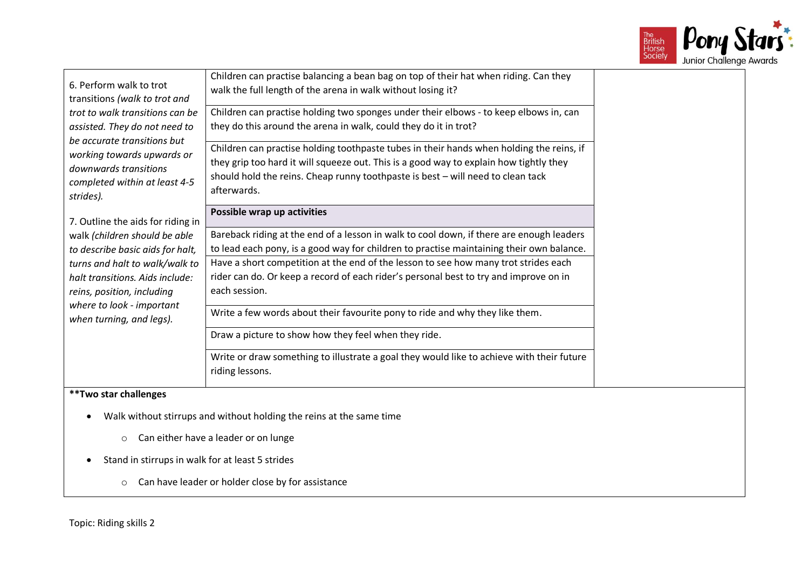

| 6. Perform walk to trot<br>transitions (walk to trot and<br>trot to walk transitions can be<br>assisted. They do not need to<br>be accurate transitions but<br>working towards upwards or<br>downwards transitions<br>completed within at least 4-5<br>strides).<br>7. Outline the aids for riding in<br>walk (children should be able<br>to describe basic aids for halt,<br>turns and halt to walk/walk to<br>halt transitions. Aids include:<br>reins, position, including<br>where to look - important<br>when turning, and legs). | Children can practise balancing a bean bag on top of their hat when riding. Can they<br>walk the full length of the arena in walk without losing it?<br>Children can practise holding two sponges under their elbows - to keep elbows in, can<br>they do this around the arena in walk, could they do it in trot?<br>Children can practise holding toothpaste tubes in their hands when holding the reins, if<br>they grip too hard it will squeeze out. This is a good way to explain how tightly they<br>should hold the reins. Cheap runny toothpaste is best - will need to clean tack<br>afterwards.<br>Possible wrap up activities<br>Bareback riding at the end of a lesson in walk to cool down, if there are enough leaders<br>to lead each pony, is a good way for children to practise maintaining their own balance.<br>Have a short competition at the end of the lesson to see how many trot strides each<br>rider can do. Or keep a record of each rider's personal best to try and improve on in<br>each session.<br>Write a few words about their favourite pony to ride and why they like them.<br>Draw a picture to show how they feel when they ride.<br>Write or draw something to illustrate a goal they would like to achieve with their future<br>riding lessons. |  |
|----------------------------------------------------------------------------------------------------------------------------------------------------------------------------------------------------------------------------------------------------------------------------------------------------------------------------------------------------------------------------------------------------------------------------------------------------------------------------------------------------------------------------------------|-------------------------------------------------------------------------------------------------------------------------------------------------------------------------------------------------------------------------------------------------------------------------------------------------------------------------------------------------------------------------------------------------------------------------------------------------------------------------------------------------------------------------------------------------------------------------------------------------------------------------------------------------------------------------------------------------------------------------------------------------------------------------------------------------------------------------------------------------------------------------------------------------------------------------------------------------------------------------------------------------------------------------------------------------------------------------------------------------------------------------------------------------------------------------------------------------------------------------------------------------------------------------------------------|--|
| **Two star challenges                                                                                                                                                                                                                                                                                                                                                                                                                                                                                                                  |                                                                                                                                                                                                                                                                                                                                                                                                                                                                                                                                                                                                                                                                                                                                                                                                                                                                                                                                                                                                                                                                                                                                                                                                                                                                                           |  |
| $\circ$<br>Stand in stirrups in walk for at least 5 strides                                                                                                                                                                                                                                                                                                                                                                                                                                                                            | Walk without stirrups and without holding the reins at the same time<br>Can either have a leader or on lunge                                                                                                                                                                                                                                                                                                                                                                                                                                                                                                                                                                                                                                                                                                                                                                                                                                                                                                                                                                                                                                                                                                                                                                              |  |

o Can have leader or holder close by for assistance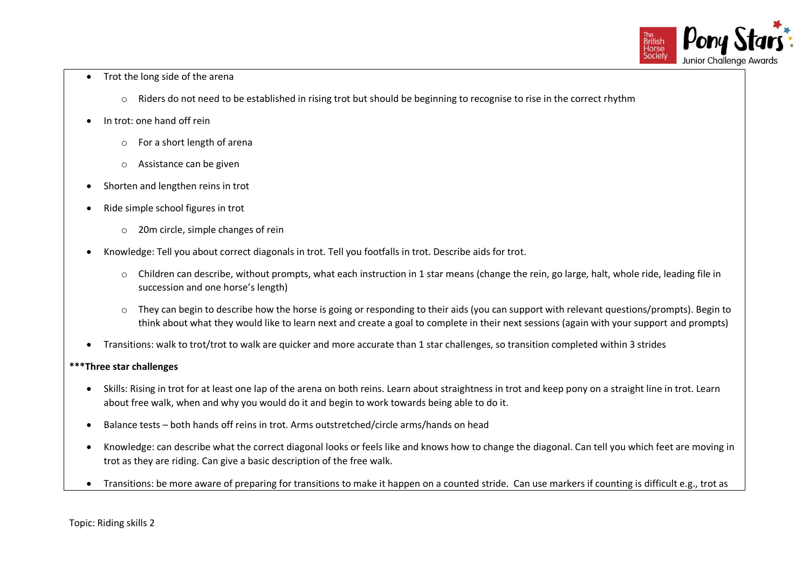

- Trot the long side of the arena
	- o Riders do not need to be established in rising trot but should be beginning to recognise to rise in the correct rhythm
- In trot: one hand off rein
	- o For a short length of arena
	- o Assistance can be given
- Shorten and lengthen reins in trot
- Ride simple school figures in trot
	- o 20m circle, simple changes of rein
- Knowledge: Tell you about correct diagonals in trot. Tell you footfalls in trot. Describe aids for trot.
	- o Children can describe, without prompts, what each instruction in 1 star means (change the rein, go large, halt, whole ride, leading file in succession and one horse's length)
	- o They can begin to describe how the horse is going or responding to their aids (you can support with relevant questions/prompts). Begin to think about what they would like to learn next and create a goal to complete in their next sessions (again with your support and prompts)
- Transitions: walk to trot/trot to walk are quicker and more accurate than 1 star challenges, so transition completed within 3 strides

#### **\*\*\*Three star challenges**

- Skills: Rising in trot for at least one lap of the arena on both reins. Learn about straightness in trot and keep pony on a straight line in trot. Learn about free walk, when and why you would do it and begin to work towards being able to do it.
- Balance tests both hands off reins in trot. Arms outstretched/circle arms/hands on head
- Knowledge: can describe what the correct diagonal looks or feels like and knows how to change the diagonal. Can tell you which feet are moving in trot as they are riding. Can give a basic description of the free walk.
- Transitions: be more aware of preparing for transitions to make it happen on a counted stride. Can use markers if counting is difficult e.g., trot as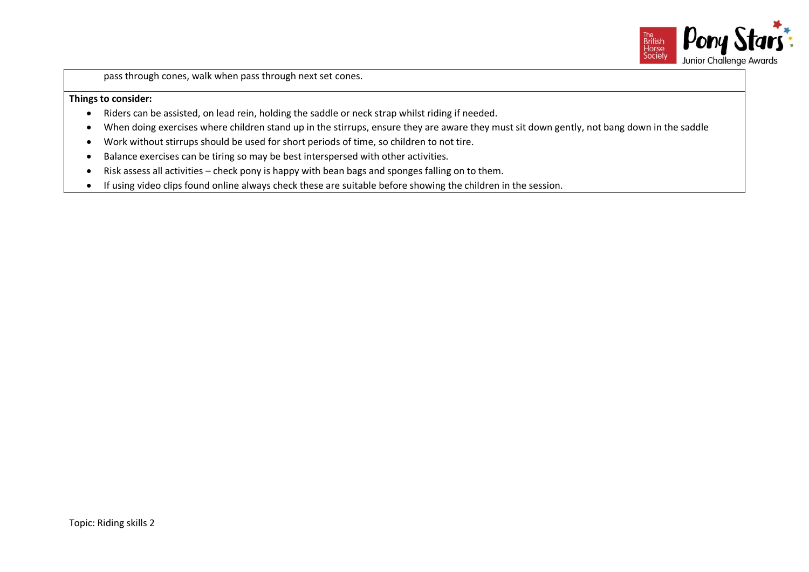

pass through cones, walk when pass through next set cones.

- Riders can be assisted, on lead rein, holding the saddle or neck strap whilst riding if needed.
- When doing exercises where children stand up in the stirrups, ensure they are aware they must sit down gently, not bang down in the saddle
- Work without stirrups should be used for short periods of time, so children to not tire.
- Balance exercises can be tiring so may be best interspersed with other activities.
- Risk assess all activities check pony is happy with bean bags and sponges falling on to them.
- If using video clips found online always check these are suitable before showing the children in the session.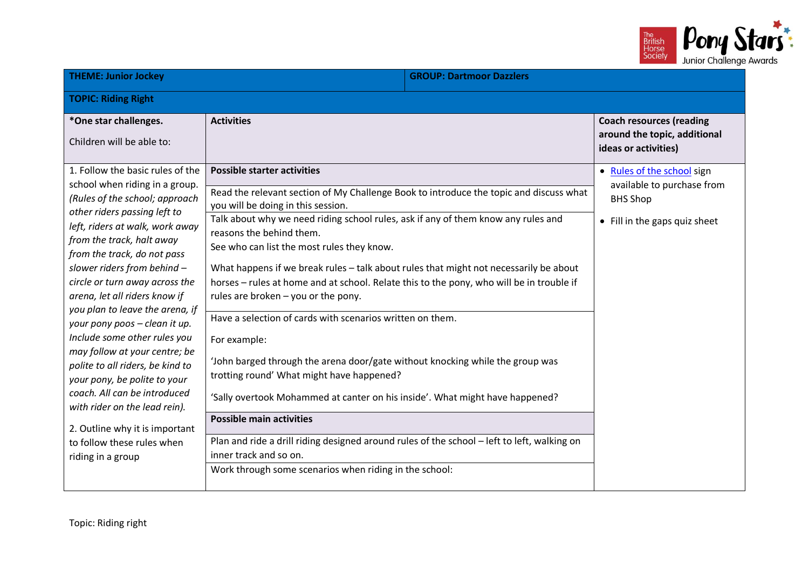

| <b>THEME: Junior Jockey</b>                                                                                                                                                                                                                                                                                                                                                                                                                                                                                                                                                                                                                                                                          |                                                                                                                                                                                                                                                                                                                                                                                                                                                                                                                                                                                                                                                                                                                                                                                                                                                                                                                                                                                                                                                                                | <b>GROUP: Dartmoor Dazzlers</b> |                                                                                                              |
|------------------------------------------------------------------------------------------------------------------------------------------------------------------------------------------------------------------------------------------------------------------------------------------------------------------------------------------------------------------------------------------------------------------------------------------------------------------------------------------------------------------------------------------------------------------------------------------------------------------------------------------------------------------------------------------------------|--------------------------------------------------------------------------------------------------------------------------------------------------------------------------------------------------------------------------------------------------------------------------------------------------------------------------------------------------------------------------------------------------------------------------------------------------------------------------------------------------------------------------------------------------------------------------------------------------------------------------------------------------------------------------------------------------------------------------------------------------------------------------------------------------------------------------------------------------------------------------------------------------------------------------------------------------------------------------------------------------------------------------------------------------------------------------------|---------------------------------|--------------------------------------------------------------------------------------------------------------|
| <b>TOPIC: Riding Right</b>                                                                                                                                                                                                                                                                                                                                                                                                                                                                                                                                                                                                                                                                           |                                                                                                                                                                                                                                                                                                                                                                                                                                                                                                                                                                                                                                                                                                                                                                                                                                                                                                                                                                                                                                                                                |                                 |                                                                                                              |
| *One star challenges.<br>Children will be able to:                                                                                                                                                                                                                                                                                                                                                                                                                                                                                                                                                                                                                                                   | <b>Activities</b>                                                                                                                                                                                                                                                                                                                                                                                                                                                                                                                                                                                                                                                                                                                                                                                                                                                                                                                                                                                                                                                              |                                 | <b>Coach resources (reading</b><br>around the topic, additional<br>ideas or activities)                      |
| 1. Follow the basic rules of the<br>school when riding in a group.<br>(Rules of the school; approach<br>other riders passing left to<br>left, riders at walk, work away<br>from the track, halt away<br>from the track, do not pass<br>slower riders from behind -<br>circle or turn away across the<br>arena, let all riders know if<br>you plan to leave the arena, if<br>your pony poos - clean it up.<br>Include some other rules you<br>may follow at your centre; be<br>polite to all riders, be kind to<br>your pony, be polite to your<br>coach. All can be introduced<br>with rider on the lead rein).<br>2. Outline why it is important<br>to follow these rules when<br>riding in a group | <b>Possible starter activities</b><br>Read the relevant section of My Challenge Book to introduce the topic and discuss what<br>you will be doing in this session.<br>Talk about why we need riding school rules, ask if any of them know any rules and<br>reasons the behind them.<br>See who can list the most rules they know.<br>What happens if we break rules - talk about rules that might not necessarily be about<br>horses - rules at home and at school. Relate this to the pony, who will be in trouble if<br>rules are broken - you or the pony.<br>Have a selection of cards with scenarios written on them.<br>For example:<br>'John barged through the arena door/gate without knocking while the group was<br>trotting round' What might have happened?<br>'Sally overtook Mohammed at canter on his inside'. What might have happened?<br><b>Possible main activities</b><br>Plan and ride a drill riding designed around rules of the school - left to left, walking on<br>inner track and so on.<br>Work through some scenarios when riding in the school: |                                 | . Rules of the school sign<br>available to purchase from<br><b>BHS Shop</b><br>• Fill in the gaps quiz sheet |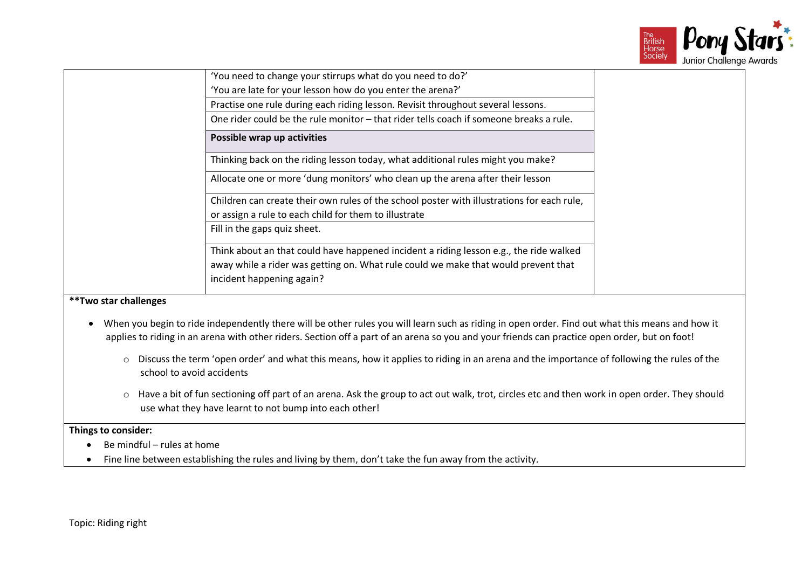

| 'You need to change your stirrups what do you need to do?'                                                      |  |
|-----------------------------------------------------------------------------------------------------------------|--|
| 'You are late for your lesson how do you enter the arena?'                                                      |  |
| Practise one rule during each riding lesson. Revisit throughout several lessons.                                |  |
| One rider could be the rule monitor - that rider tells coach if someone breaks a rule.                          |  |
| Possible wrap up activities                                                                                     |  |
| Thinking back on the riding lesson today, what additional rules might you make?                                 |  |
| Allocate one or more 'dung monitors' who clean up the arena after their lesson                                  |  |
| Children can create their own rules of the school poster with illustrations for each rule,                      |  |
| or assign a rule to each child for them to illustrate                                                           |  |
| Fill in the gaps quiz sheet.                                                                                    |  |
| Think about an that could have happened incident a riding lesson e.g., the ride walked                          |  |
| away while a rider was getting on. What rule could we make that would prevent that<br>incident happening again? |  |

- When you begin to ride independently there will be other rules you will learn such as riding in open order. Find out what this means and how it applies to riding in an arena with other riders. Section off a part of an arena so you and your friends can practice open order, but on foot!
	- o Discuss the term 'open order' and what this means, how it applies to riding in an arena and the importance of following the rules of the school to avoid accidents
	- o Have a bit of fun sectioning off part of an arena. Ask the group to act out walk, trot, circles etc and then work in open order. They should use what they have learnt to not bump into each other!

- Be mindful rules at home
- Fine line between establishing the rules and living by them, don't take the fun away from the activity.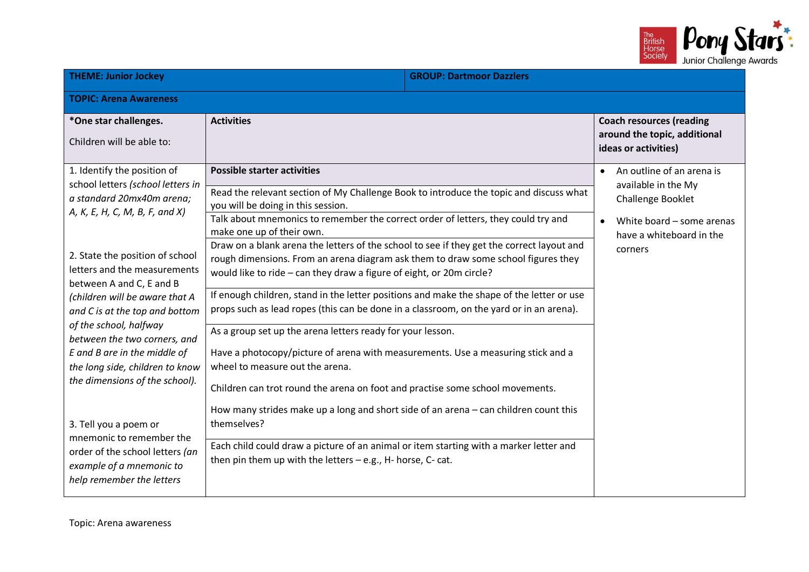

| <b>THEME: Junior Jockey</b>                                                                                                                                                                                                                                                                                                                                                                                                                                                                                                                                                                                        | <b>GROUP: Dartmoor Dazzlers</b>                                                                                                                                                                                                                                                                                                                                                                                                                                                                                                                                                                                                                                                                                                                                                                                                                                                                                                                                                                                                                                                                                                                                                                                                                                              |                                                                                                                                           |
|--------------------------------------------------------------------------------------------------------------------------------------------------------------------------------------------------------------------------------------------------------------------------------------------------------------------------------------------------------------------------------------------------------------------------------------------------------------------------------------------------------------------------------------------------------------------------------------------------------------------|------------------------------------------------------------------------------------------------------------------------------------------------------------------------------------------------------------------------------------------------------------------------------------------------------------------------------------------------------------------------------------------------------------------------------------------------------------------------------------------------------------------------------------------------------------------------------------------------------------------------------------------------------------------------------------------------------------------------------------------------------------------------------------------------------------------------------------------------------------------------------------------------------------------------------------------------------------------------------------------------------------------------------------------------------------------------------------------------------------------------------------------------------------------------------------------------------------------------------------------------------------------------------|-------------------------------------------------------------------------------------------------------------------------------------------|
| <b>TOPIC: Arena Awareness</b>                                                                                                                                                                                                                                                                                                                                                                                                                                                                                                                                                                                      |                                                                                                                                                                                                                                                                                                                                                                                                                                                                                                                                                                                                                                                                                                                                                                                                                                                                                                                                                                                                                                                                                                                                                                                                                                                                              |                                                                                                                                           |
| *One star challenges.<br>Children will be able to:                                                                                                                                                                                                                                                                                                                                                                                                                                                                                                                                                                 | <b>Activities</b>                                                                                                                                                                                                                                                                                                                                                                                                                                                                                                                                                                                                                                                                                                                                                                                                                                                                                                                                                                                                                                                                                                                                                                                                                                                            | <b>Coach resources (reading</b><br>around the topic, additional<br>ideas or activities)                                                   |
| 1. Identify the position of<br>school letters (school letters in<br>a standard 20mx40m arena;<br>A, K, E, H, C, M, B, F, and X)<br>2. State the position of school<br>letters and the measurements<br>between A and C, E and B<br>(children will be aware that A<br>and C is at the top and bottom<br>of the school, halfway<br>between the two corners, and<br>E and B are in the middle of<br>the long side, children to know<br>the dimensions of the school).<br>3. Tell you a poem or<br>mnemonic to remember the<br>order of the school letters (an<br>example of a mnemonic to<br>help remember the letters | <b>Possible starter activities</b><br>Read the relevant section of My Challenge Book to introduce the topic and discuss what<br>you will be doing in this session.<br>Talk about mnemonics to remember the correct order of letters, they could try and<br>make one up of their own.<br>Draw on a blank arena the letters of the school to see if they get the correct layout and<br>rough dimensions. From an arena diagram ask them to draw some school figures they<br>would like to ride - can they draw a figure of eight, or 20m circle?<br>If enough children, stand in the letter positions and make the shape of the letter or use<br>props such as lead ropes (this can be done in a classroom, on the yard or in an arena).<br>As a group set up the arena letters ready for your lesson.<br>Have a photocopy/picture of arena with measurements. Use a measuring stick and a<br>wheel to measure out the arena.<br>Children can trot round the arena on foot and practise some school movements.<br>How many strides make up a long and short side of an arena - can children count this<br>themselves?<br>Each child could draw a picture of an animal or item starting with a marker letter and<br>then pin them up with the letters - e.g., H- horse, C- cat. | An outline of an arena is<br>available in the My<br>Challenge Booklet<br>White board - some arenas<br>have a whiteboard in the<br>corners |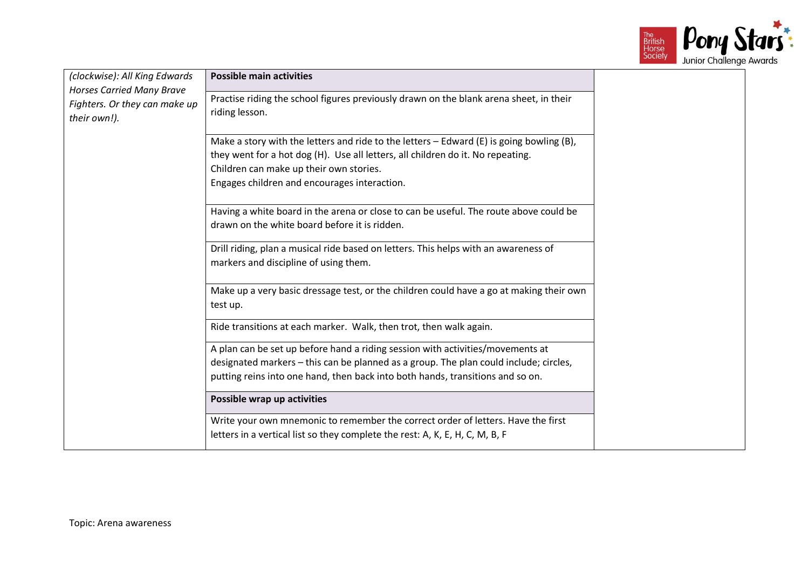

| (clockwise): All King Edwards                 | <b>Possible main activities</b>                                                                     |  |
|-----------------------------------------------|-----------------------------------------------------------------------------------------------------|--|
| <b>Horses Carried Many Brave</b>              | Practise riding the school figures previously drawn on the blank arena sheet, in their              |  |
| Fighters. Or they can make up<br>their own!). | riding lesson.                                                                                      |  |
|                                               |                                                                                                     |  |
|                                               | Make a story with the letters and ride to the letters $-$ Edward (E) is going bowling (B),          |  |
|                                               | they went for a hot dog (H). Use all letters, all children do it. No repeating.                     |  |
|                                               | Children can make up their own stories.                                                             |  |
|                                               | Engages children and encourages interaction.                                                        |  |
|                                               | Having a white board in the arena or close to can be useful. The route above could be               |  |
|                                               | drawn on the white board before it is ridden.                                                       |  |
|                                               | Drill riding, plan a musical ride based on letters. This helps with an awareness of                 |  |
|                                               | markers and discipline of using them.                                                               |  |
|                                               | Make up a very basic dressage test, or the children could have a go at making their own<br>test up. |  |
|                                               | Ride transitions at each marker. Walk, then trot, then walk again.                                  |  |
|                                               | A plan can be set up before hand a riding session with activities/movements at                      |  |
|                                               | designated markers - this can be planned as a group. The plan could include; circles,               |  |
|                                               | putting reins into one hand, then back into both hands, transitions and so on.                      |  |
|                                               | Possible wrap up activities                                                                         |  |
|                                               | Write your own mnemonic to remember the correct order of letters. Have the first                    |  |
|                                               | letters in a vertical list so they complete the rest: A, K, E, H, C, M, B, F                        |  |
|                                               |                                                                                                     |  |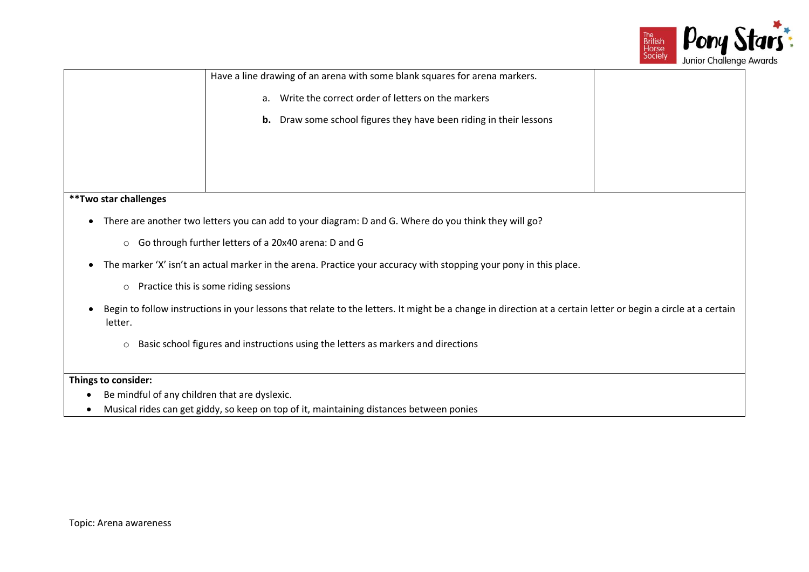

|                                                                            | JUIN CHUICHGE |
|----------------------------------------------------------------------------|---------------|
| Have a line drawing of an arena with some blank squares for arena markers. |               |
| Write the correct order of letters on the markers<br>a <sub>z</sub>        |               |
| <b>b.</b> Draw some school figures they have been riding in their lessons  |               |
|                                                                            |               |
|                                                                            |               |
|                                                                            |               |
| **Two star challenges                                                      |               |
|                                                                            |               |

- There are another two letters you can add to your diagram: D and G. Where do you think they will go?
	- o Go through further letters of a 20x40 arena: D and G
- The marker 'X' isn't an actual marker in the arena. Practice your accuracy with stopping your pony in this place.
	- o Practice this is some riding sessions
- Begin to follow instructions in your lessons that relate to the letters. It might be a change in direction at a certain letter or begin a circle at a certain letter.
	- o Basic school figures and instructions using the letters as markers and directions

- Be mindful of any children that are dyslexic.
- Musical rides can get giddy, so keep on top of it, maintaining distances between ponies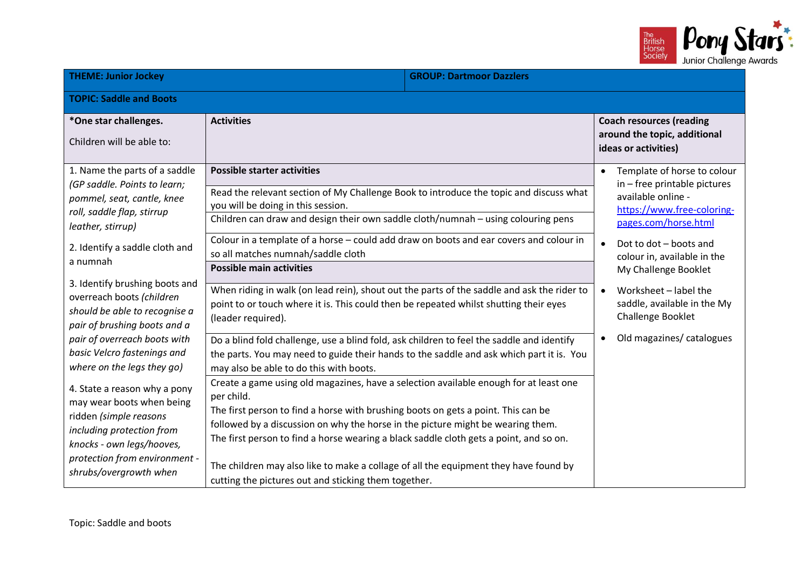

| <b>THEME: Junior Jockey</b>                                                                                                                                                                                                                                                                                                                                                                                                                                                                                      |                                                                                                                                                                                                                                                                                                                                                                                                                                                                                                                                                                                                                                                                                                                                                                                                                                                                                                                                                                                                                                                                                                                                                            | <b>GROUP: Dartmoor Dazzlers</b> |                                                                                                                                                                                                                                                                                                                                                              |  |
|------------------------------------------------------------------------------------------------------------------------------------------------------------------------------------------------------------------------------------------------------------------------------------------------------------------------------------------------------------------------------------------------------------------------------------------------------------------------------------------------------------------|------------------------------------------------------------------------------------------------------------------------------------------------------------------------------------------------------------------------------------------------------------------------------------------------------------------------------------------------------------------------------------------------------------------------------------------------------------------------------------------------------------------------------------------------------------------------------------------------------------------------------------------------------------------------------------------------------------------------------------------------------------------------------------------------------------------------------------------------------------------------------------------------------------------------------------------------------------------------------------------------------------------------------------------------------------------------------------------------------------------------------------------------------------|---------------------------------|--------------------------------------------------------------------------------------------------------------------------------------------------------------------------------------------------------------------------------------------------------------------------------------------------------------------------------------------------------------|--|
| <b>TOPIC: Saddle and Boots</b>                                                                                                                                                                                                                                                                                                                                                                                                                                                                                   |                                                                                                                                                                                                                                                                                                                                                                                                                                                                                                                                                                                                                                                                                                                                                                                                                                                                                                                                                                                                                                                                                                                                                            |                                 |                                                                                                                                                                                                                                                                                                                                                              |  |
| *One star challenges.<br>Children will be able to:                                                                                                                                                                                                                                                                                                                                                                                                                                                               | <b>Activities</b>                                                                                                                                                                                                                                                                                                                                                                                                                                                                                                                                                                                                                                                                                                                                                                                                                                                                                                                                                                                                                                                                                                                                          |                                 | <b>Coach resources (reading</b><br>around the topic, additional<br>ideas or activities)                                                                                                                                                                                                                                                                      |  |
| 1. Name the parts of a saddle<br>(GP saddle. Points to learn;<br>pommel, seat, cantle, knee<br>roll, saddle flap, stirrup<br>leather, stirrup)<br>2. Identify a saddle cloth and<br>a numnah<br>3. Identify brushing boots and<br>overreach boots (children<br>should be able to recognise a<br>pair of brushing boots and a<br>pair of overreach boots with<br>basic Velcro fastenings and<br>where on the legs they go)<br>4. State a reason why a pony<br>may wear boots when being<br>ridden (simple reasons | <b>Possible starter activities</b><br>Read the relevant section of My Challenge Book to introduce the topic and discuss what<br>you will be doing in this session.<br>Children can draw and design their own saddle cloth/numnah - using colouring pens<br>Colour in a template of a horse - could add draw on boots and ear covers and colour in<br>so all matches numnah/saddle cloth<br><b>Possible main activities</b><br>When riding in walk (on lead rein), shout out the parts of the saddle and ask the rider to<br>point to or touch where it is. This could then be repeated whilst shutting their eyes<br>(leader required).<br>Do a blind fold challenge, use a blind fold, ask children to feel the saddle and identify<br>the parts. You may need to guide their hands to the saddle and ask which part it is. You<br>may also be able to do this with boots.<br>Create a game using old magazines, have a selection available enough for at least one<br>per child.<br>The first person to find a horse with brushing boots on gets a point. This can be<br>followed by a discussion on why the horse in the picture might be wearing them. |                                 | Template of horse to colour<br>$\bullet$<br>in - free printable pictures<br>available online -<br>https://www.free-coloring-<br>pages.com/horse.html<br>Dot to dot - boots and<br>colour in, available in the<br>My Challenge Booklet<br>Worksheet - label the<br>$\bullet$<br>saddle, available in the My<br>Challenge Booklet<br>Old magazines/ catalogues |  |
| including protection from<br>knocks - own legs/hooves,<br>protection from environment -<br>shrubs/overgrowth when                                                                                                                                                                                                                                                                                                                                                                                                | The first person to find a horse wearing a black saddle cloth gets a point, and so on.<br>The children may also like to make a collage of all the equipment they have found by<br>cutting the pictures out and sticking them together.                                                                                                                                                                                                                                                                                                                                                                                                                                                                                                                                                                                                                                                                                                                                                                                                                                                                                                                     |                                 |                                                                                                                                                                                                                                                                                                                                                              |  |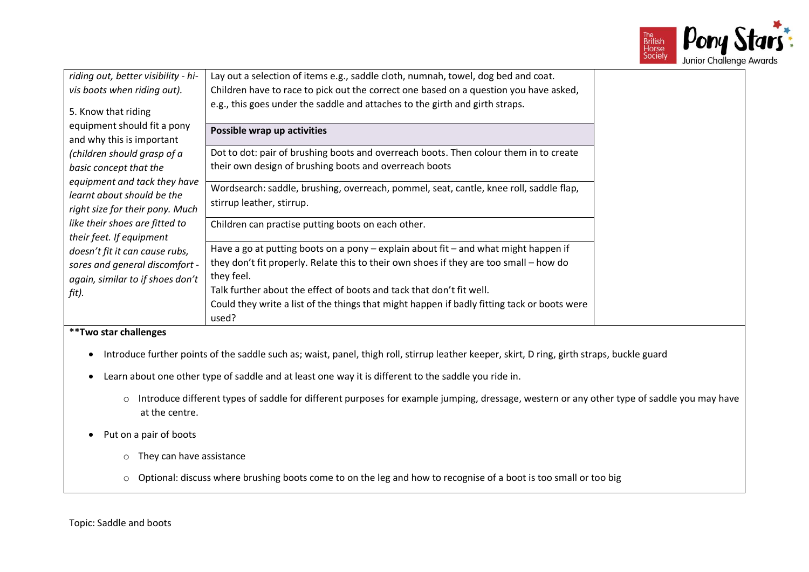

| riding out, better visibility - hi-                                                           | Lay out a selection of items e.g., saddle cloth, numnah, towel, dog bed and coat.                                                                                                                                                                                                                                                                                                            |  |
|-----------------------------------------------------------------------------------------------|----------------------------------------------------------------------------------------------------------------------------------------------------------------------------------------------------------------------------------------------------------------------------------------------------------------------------------------------------------------------------------------------|--|
| vis boots when riding out).                                                                   | Children have to race to pick out the correct one based on a question you have asked,                                                                                                                                                                                                                                                                                                        |  |
| 5. Know that riding                                                                           | e.g., this goes under the saddle and attaches to the girth and girth straps.                                                                                                                                                                                                                                                                                                                 |  |
| equipment should fit a pony<br>and why this is important                                      | Possible wrap up activities                                                                                                                                                                                                                                                                                                                                                                  |  |
| (children should grasp of a<br>basic concept that the                                         | Dot to dot: pair of brushing boots and overreach boots. Then colour them in to create<br>their own design of brushing boots and overreach boots                                                                                                                                                                                                                                              |  |
| equipment and tack they have<br>learnt about should be the<br>right size for their pony. Much | Wordsearch: saddle, brushing, overreach, pommel, seat, cantle, knee roll, saddle flap,<br>stirrup leather, stirrup.                                                                                                                                                                                                                                                                          |  |
| like their shoes are fitted to<br>their feet. If equipment                                    | Children can practise putting boots on each other.                                                                                                                                                                                                                                                                                                                                           |  |
| doesn't fit it can cause rubs,                                                                | Have a go at putting boots on a pony - explain about fit - and what might happen if                                                                                                                                                                                                                                                                                                          |  |
| sores and general discomfort -<br>again, similar to if shoes don't                            | they don't fit properly. Relate this to their own shoes if they are too small – how do<br>they feel.                                                                                                                                                                                                                                                                                         |  |
| fit).                                                                                         | Talk further about the effect of boots and tack that don't fit well.                                                                                                                                                                                                                                                                                                                         |  |
|                                                                                               | Could they write a list of the things that might happen if badly fitting tack or boots were<br>used?                                                                                                                                                                                                                                                                                         |  |
| **Two star challenges                                                                         |                                                                                                                                                                                                                                                                                                                                                                                              |  |
|                                                                                               | Introduce further points of the saddle such as; waist, panel, thigh roll, stirrup leather keeper, skirt, D ring, girth straps, buckle guard<br>$\mathbf{r} = \mathbf{r} + \mathbf{r}$ , and a set of the set of the set of the set of the set of the set of the set of the set of the set of the set of the set of the set of the set of the set of the set of the set of the set of the set |  |

- Learn about one other type of saddle and at least one way it is different to the saddle you ride in.
	- o Introduce different types of saddle for different purposes for example jumping, dressage, western or any other type of saddle you may have at the centre.
- Put on a pair of boots
	- o They can have assistance
	- o Optional: discuss where brushing boots come to on the leg and how to recognise of a boot is too small or too big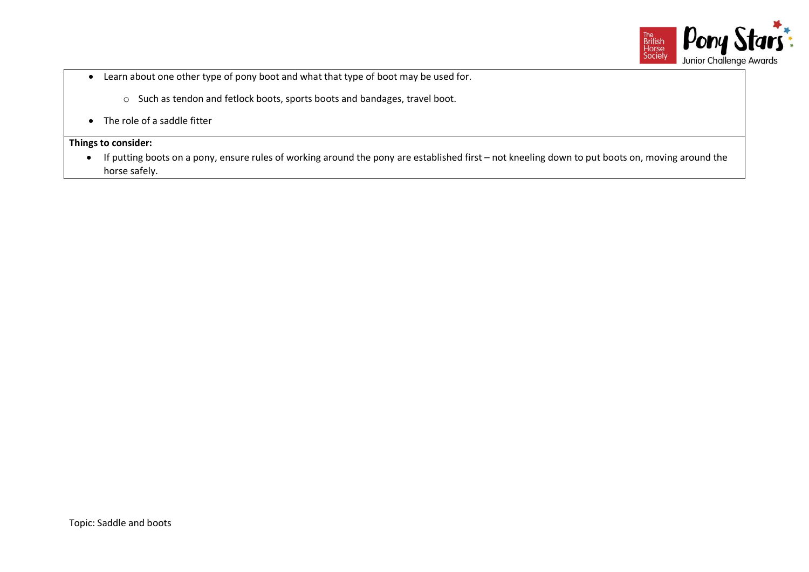

- Learn about one other type of pony boot and what that type of boot may be used for.
	- o Such as tendon and fetlock boots, sports boots and bandages, travel boot.
- The role of a saddle fitter

• If putting boots on a pony, ensure rules of working around the pony are established first – not kneeling down to put boots on, moving around the horse safely.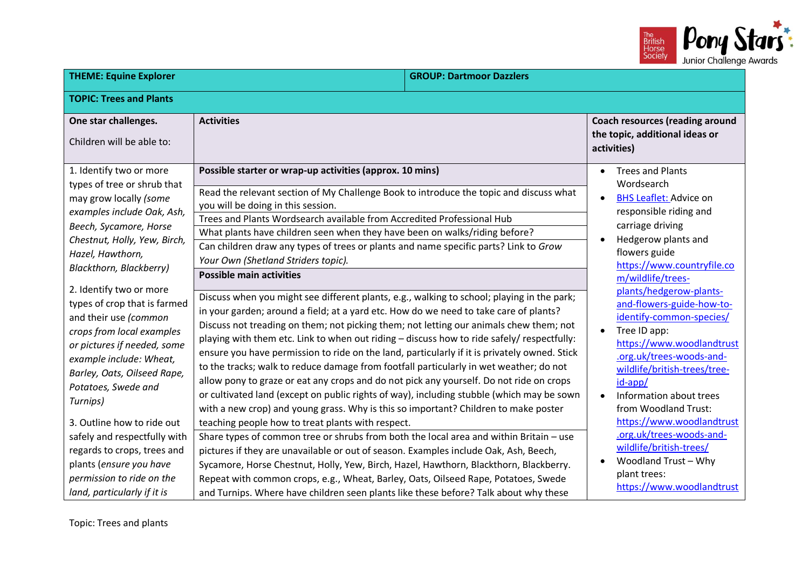

| <b>THEME: Equine Explorer</b>                                                                                                                                                                                                             |                                                                                                                                                                                                                                                                                                                                                                                                                                                                                                                                                                                                                                                                                                                                                                                                                                                                                         | <b>GROUP: Dartmoor Dazzlers</b> |                                                                                                                                                                                                                                                                                                           |
|-------------------------------------------------------------------------------------------------------------------------------------------------------------------------------------------------------------------------------------------|-----------------------------------------------------------------------------------------------------------------------------------------------------------------------------------------------------------------------------------------------------------------------------------------------------------------------------------------------------------------------------------------------------------------------------------------------------------------------------------------------------------------------------------------------------------------------------------------------------------------------------------------------------------------------------------------------------------------------------------------------------------------------------------------------------------------------------------------------------------------------------------------|---------------------------------|-----------------------------------------------------------------------------------------------------------------------------------------------------------------------------------------------------------------------------------------------------------------------------------------------------------|
| <b>TOPIC: Trees and Plants</b>                                                                                                                                                                                                            |                                                                                                                                                                                                                                                                                                                                                                                                                                                                                                                                                                                                                                                                                                                                                                                                                                                                                         |                                 |                                                                                                                                                                                                                                                                                                           |
| One star challenges.<br>Children will be able to:                                                                                                                                                                                         | <b>Activities</b>                                                                                                                                                                                                                                                                                                                                                                                                                                                                                                                                                                                                                                                                                                                                                                                                                                                                       |                                 | <b>Coach resources (reading around</b><br>the topic, additional ideas or<br>activities)                                                                                                                                                                                                                   |
| 1. Identify two or more<br>types of tree or shrub that<br>may grow locally (some<br>examples include Oak, Ash,<br>Beech, Sycamore, Horse<br>Chestnut, Holly, Yew, Birch,<br>Hazel, Hawthorn,<br>Blackthorn, Blackberry)                   | Possible starter or wrap-up activities (approx. 10 mins)<br>Read the relevant section of My Challenge Book to introduce the topic and discuss what<br>you will be doing in this session.<br>Trees and Plants Wordsearch available from Accredited Professional Hub<br>What plants have children seen when they have been on walks/riding before?<br>Can children draw any types of trees or plants and name specific parts? Link to Grow<br>Your Own (Shetland Striders topic).                                                                                                                                                                                                                                                                                                                                                                                                         |                                 | <b>Trees and Plants</b><br>Wordsearch<br><b>BHS Leaflet: Advice on</b><br>$\bullet$<br>responsible riding and<br>carriage driving<br>Hedgerow plants and<br>flowers guide<br>https://www.countryfile.co                                                                                                   |
| 2. Identify two or more<br>types of crop that is farmed<br>and their use (common<br>crops from local examples<br>or pictures if needed, some<br>example include: Wheat,<br>Barley, Oats, Oilseed Rape,<br>Potatoes, Swede and<br>Turnips) | <b>Possible main activities</b><br>Discuss when you might see different plants, e.g., walking to school; playing in the park;<br>in your garden; around a field; at a yard etc. How do we need to take care of plants?<br>Discuss not treading on them; not picking them; not letting our animals chew them; not<br>playing with them etc. Link to when out riding - discuss how to ride safely/ respectfully:<br>ensure you have permission to ride on the land, particularly if it is privately owned. Stick<br>to the tracks; walk to reduce damage from footfall particularly in wet weather; do not<br>allow pony to graze or eat any crops and do not pick any yourself. Do not ride on crops<br>or cultivated land (except on public rights of way), including stubble (which may be sown<br>with a new crop) and young grass. Why is this so important? Children to make poster |                                 | m/wildlife/trees-<br>plants/hedgerow-plants-<br>and-flowers-guide-how-to-<br>identify-common-species/<br>Tree ID app:<br>$\bullet$<br>https://www.woodlandtrust<br>.org.uk/trees-woods-and-<br>wildlife/british-trees/tree-<br>$id$ -app/<br>Information about trees<br>$\bullet$<br>from Woodland Trust: |
| 3. Outline how to ride out<br>safely and respectfully with<br>regards to crops, trees and<br>plants (ensure you have<br>permission to ride on the<br>land, particularly if it is                                                          | teaching people how to treat plants with respect.<br>Share types of common tree or shrubs from both the local area and within Britain - use<br>pictures if they are unavailable or out of season. Examples include Oak, Ash, Beech,<br>Sycamore, Horse Chestnut, Holly, Yew, Birch, Hazel, Hawthorn, Blackthorn, Blackberry.<br>Repeat with common crops, e.g., Wheat, Barley, Oats, Oilseed Rape, Potatoes, Swede<br>and Turnips. Where have children seen plants like these before? Talk about why these                                                                                                                                                                                                                                                                                                                                                                              |                                 | https://www.woodlandtrust<br>.org.uk/trees-woods-and-<br>wildlife/british-trees/<br>Woodland Trust - Why<br>plant trees:<br>https://www.woodlandtrust                                                                                                                                                     |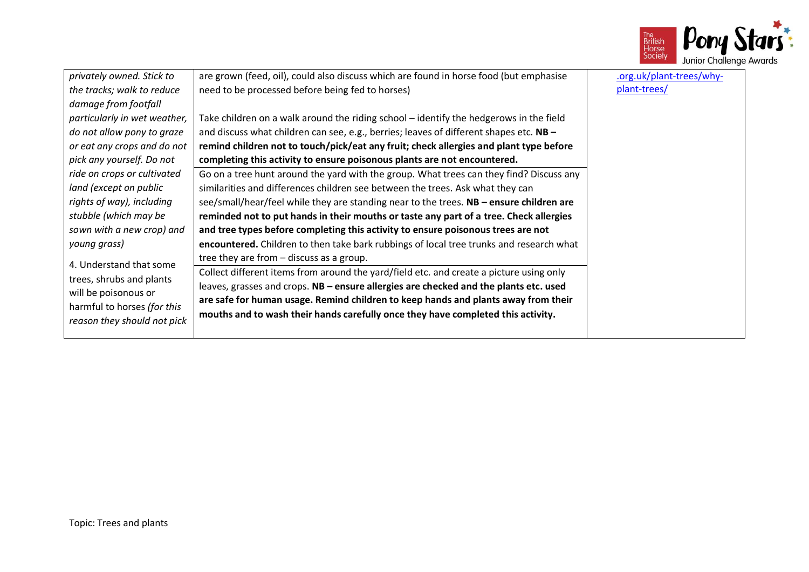

|                              |                                                                                         | $\sim$ $\sim$ $\sim$ $\sim$ $\sim$ $\sim$ $\sim$ |
|------------------------------|-----------------------------------------------------------------------------------------|--------------------------------------------------|
| privately owned. Stick to    | are grown (feed, oil), could also discuss which are found in horse food (but emphasise  | .org.uk/plant-trees/why-                         |
| the tracks; walk to reduce   | need to be processed before being fed to horses)                                        | plant-trees/                                     |
| damage from footfall         |                                                                                         |                                                  |
| particularly in wet weather, | Take children on a walk around the riding school - identify the hedgerows in the field  |                                                  |
| do not allow pony to graze   | and discuss what children can see, e.g., berries; leaves of different shapes etc. NB -  |                                                  |
| or eat any crops and do not  | remind children not to touch/pick/eat any fruit; check allergies and plant type before  |                                                  |
| pick any yourself. Do not    | completing this activity to ensure poisonous plants are not encountered.                |                                                  |
| ride on crops or cultivated  | Go on a tree hunt around the yard with the group. What trees can they find? Discuss any |                                                  |
| land (except on public       | similarities and differences children see between the trees. Ask what they can          |                                                  |
| rights of way), including    | see/small/hear/feel while they are standing near to the trees. NB - ensure children are |                                                  |
| stubble (which may be        | reminded not to put hands in their mouths or taste any part of a tree. Check allergies  |                                                  |
| sown with a new crop) and    | and tree types before completing this activity to ensure poisonous trees are not        |                                                  |
| young grass)                 | encountered. Children to then take bark rubbings of local tree trunks and research what |                                                  |
|                              | tree they are from - discuss as a group.                                                |                                                  |
| 4. Understand that some      | Collect different items from around the yard/field etc. and create a picture using only |                                                  |
| trees, shrubs and plants     | leaves, grasses and crops. NB - ensure allergies are checked and the plants etc. used   |                                                  |
| will be poisonous or         | are safe for human usage. Remind children to keep hands and plants away from their      |                                                  |
| harmful to horses (for this  | mouths and to wash their hands carefully once they have completed this activity.        |                                                  |
| reason they should not pick  |                                                                                         |                                                  |
|                              |                                                                                         |                                                  |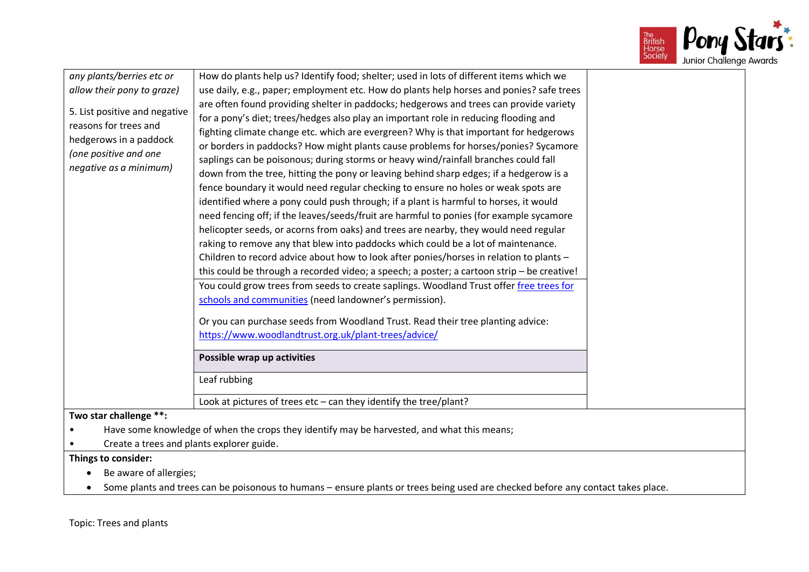

| any plants/berries etc or                 | How do plants help us? Identify food; shelter; used in lots of different items which we                                          |  |
|-------------------------------------------|----------------------------------------------------------------------------------------------------------------------------------|--|
| allow their pony to graze)                | use daily, e.g., paper; employment etc. How do plants help horses and ponies? safe trees                                         |  |
|                                           | are often found providing shelter in paddocks; hedgerows and trees can provide variety                                           |  |
| 5. List positive and negative             | for a pony's diet; trees/hedges also play an important role in reducing flooding and                                             |  |
| reasons for trees and                     | fighting climate change etc. which are evergreen? Why is that important for hedgerows                                            |  |
| hedgerows in a paddock                    | or borders in paddocks? How might plants cause problems for horses/ponies? Sycamore                                              |  |
| (one positive and one                     | saplings can be poisonous; during storms or heavy wind/rainfall branches could fall                                              |  |
| negative as a minimum)                    | down from the tree, hitting the pony or leaving behind sharp edges; if a hedgerow is a                                           |  |
|                                           | fence boundary it would need regular checking to ensure no holes or weak spots are                                               |  |
|                                           | identified where a pony could push through; if a plant is harmful to horses, it would                                            |  |
|                                           | need fencing off; if the leaves/seeds/fruit are harmful to ponies (for example sycamore                                          |  |
|                                           | helicopter seeds, or acorns from oaks) and trees are nearby, they would need regular                                             |  |
|                                           | raking to remove any that blew into paddocks which could be a lot of maintenance.                                                |  |
|                                           | Children to record advice about how to look after ponies/horses in relation to plants -                                          |  |
|                                           | this could be through a recorded video; a speech; a poster; a cartoon strip - be creative!                                       |  |
|                                           | You could grow trees from seeds to create saplings. Woodland Trust offer free trees for                                          |  |
|                                           | schools and communities (need landowner's permission).                                                                           |  |
|                                           | Or you can purchase seeds from Woodland Trust. Read their tree planting advice:                                                  |  |
|                                           | https://www.woodlandtrust.org.uk/plant-trees/advice/                                                                             |  |
|                                           | Possible wrap up activities                                                                                                      |  |
|                                           | Leaf rubbing                                                                                                                     |  |
|                                           | Look at pictures of trees etc $-$ can they identify the tree/plant?                                                              |  |
| Two star challenge **:                    |                                                                                                                                  |  |
|                                           | Have some knowledge of when the crops they identify may be harvested, and what this means;                                       |  |
| Create a trees and plants explorer guide. |                                                                                                                                  |  |
| Things to consider:                       |                                                                                                                                  |  |
| Be aware of allergies;                    |                                                                                                                                  |  |
|                                           | Some plants and trees can be poisonous to humans - ensure plants or trees being used are checked before any contact takes place. |  |

Topic: Trees and plants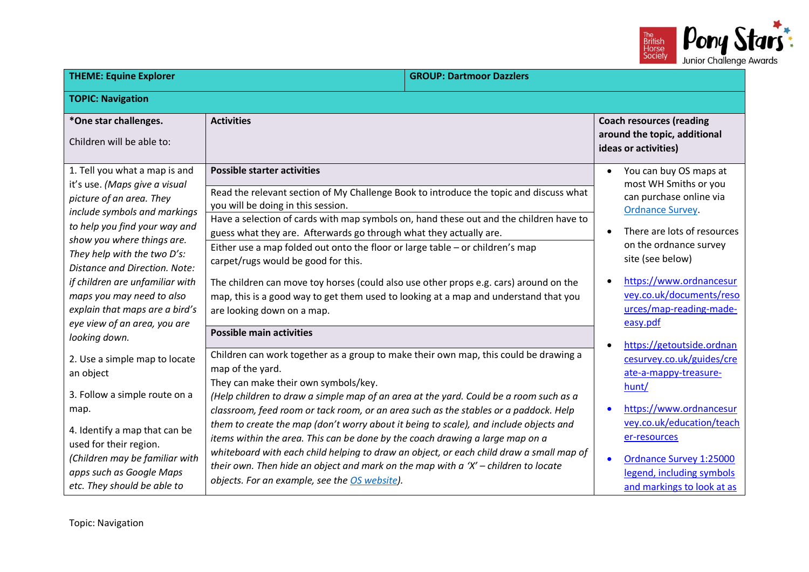

| <b>THEME: Equine Explorer</b>                                                                                                                                                                                                                                                                                                                                                               |                                                                                                                                                                                                                                                                                                                                                                                                                                                                                                                                                                                                                                                                                                                                                                                   | <b>GROUP: Dartmoor Dazzlers</b> |                                                                                                                                                                                                                                                                                               |
|---------------------------------------------------------------------------------------------------------------------------------------------------------------------------------------------------------------------------------------------------------------------------------------------------------------------------------------------------------------------------------------------|-----------------------------------------------------------------------------------------------------------------------------------------------------------------------------------------------------------------------------------------------------------------------------------------------------------------------------------------------------------------------------------------------------------------------------------------------------------------------------------------------------------------------------------------------------------------------------------------------------------------------------------------------------------------------------------------------------------------------------------------------------------------------------------|---------------------------------|-----------------------------------------------------------------------------------------------------------------------------------------------------------------------------------------------------------------------------------------------------------------------------------------------|
| <b>TOPIC: Navigation</b>                                                                                                                                                                                                                                                                                                                                                                    |                                                                                                                                                                                                                                                                                                                                                                                                                                                                                                                                                                                                                                                                                                                                                                                   |                                 |                                                                                                                                                                                                                                                                                               |
| *One star challenges.<br>Children will be able to:                                                                                                                                                                                                                                                                                                                                          | <b>Activities</b>                                                                                                                                                                                                                                                                                                                                                                                                                                                                                                                                                                                                                                                                                                                                                                 |                                 | <b>Coach resources (reading</b><br>around the topic, additional<br>ideas or activities)                                                                                                                                                                                                       |
| 1. Tell you what a map is and<br>it's use. (Maps give a visual<br>picture of an area. They<br>include symbols and markings<br>to help you find your way and<br>show you where things are.<br>They help with the two D's:<br>Distance and Direction. Note:<br>if children are unfamiliar with<br>maps you may need to also<br>explain that maps are a bird's<br>eye view of an area, you are | <b>Possible starter activities</b><br>Read the relevant section of My Challenge Book to introduce the topic and discuss what<br>you will be doing in this session.<br>Have a selection of cards with map symbols on, hand these out and the children have to<br>guess what they are. Afterwards go through what they actually are.<br>Either use a map folded out onto the floor or large table - or children's map<br>carpet/rugs would be good for this.<br>The children can move toy horses (could also use other props e.g. cars) around on the<br>map, this is a good way to get them used to looking at a map and understand that you<br>are looking down on a map.                                                                                                         |                                 | You can buy OS maps at<br>$\bullet$<br>most WH Smiths or you<br>can purchase online via<br><b>Ordnance Survey.</b><br>There are lots of resources<br>on the ordnance survey<br>site (see below)<br>https://www.ordnancesur<br>vey.co.uk/documents/reso<br>urces/map-reading-made-<br>easy.pdf |
| looking down.<br>2. Use a simple map to locate<br>an object<br>3. Follow a simple route on a<br>map.<br>4. Identify a map that can be<br>used for their region.<br>(Children may be familiar with<br>apps such as Google Maps<br>etc. They should be able to                                                                                                                                | <b>Possible main activities</b><br>Children can work together as a group to make their own map, this could be drawing a<br>map of the yard.<br>They can make their own symbols/key.<br>(Help children to draw a simple map of an area at the yard. Could be a room such as a<br>classroom, feed room or tack room, or an area such as the stables or a paddock. Help<br>them to create the map (don't worry about it being to scale), and include objects and<br>items within the area. This can be done by the coach drawing a large map on a<br>whiteboard with each child helping to draw an object, or each child draw a small map of<br>their own. Then hide an object and mark on the map with $a'X'$ – children to locate<br>objects. For an example, see the OS website). |                                 | https://getoutside.ordnan<br>cesurvey.co.uk/guides/cre<br>ate-a-mappy-treasure-<br>hunt/<br>https://www.ordnancesur<br>vey.co.uk/education/teach<br>er-resources<br>Ordnance Survey 1:25000<br>legend, including symbols<br>and markings to look at as                                        |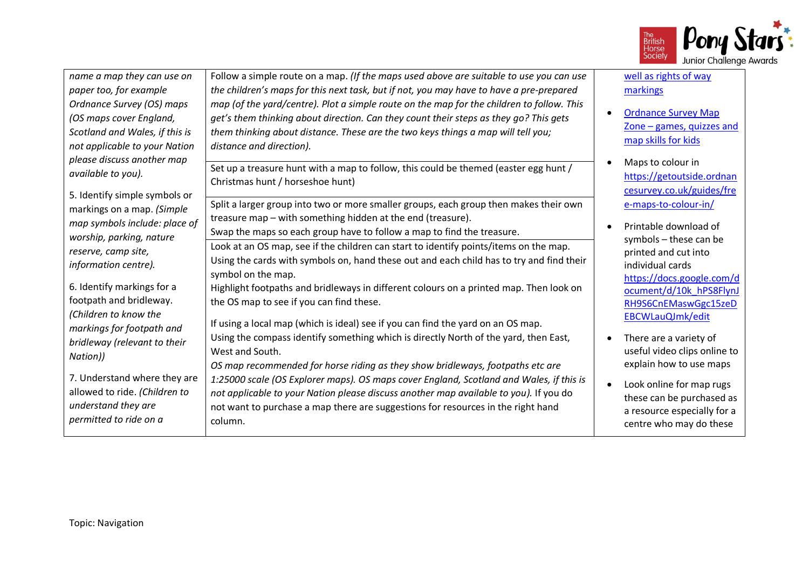

| name a map they can use on<br>paper too, for example<br>Ordnance Survey (OS) maps<br>(OS maps cover England,<br>Scotland and Wales, if this is<br>not applicable to your Nation | Follow a simple route on a map. (If the maps used above are suitable to use you can use<br>the children's maps for this next task, but if not, you may have to have a pre-prepared<br>map (of the yard/centre). Plot a simple route on the map for the children to follow. This<br>get's them thinking about direction. Can they count their steps as they go? This gets<br>them thinking about distance. These are the two keys things a map will tell you;<br>distance and direction).                                            | $\bullet$ | well as rights of way<br>markings<br><b>Ordnance Survey Map</b><br>Zone $-$ games, quizzes and<br>map skills for kids                                                       |
|---------------------------------------------------------------------------------------------------------------------------------------------------------------------------------|-------------------------------------------------------------------------------------------------------------------------------------------------------------------------------------------------------------------------------------------------------------------------------------------------------------------------------------------------------------------------------------------------------------------------------------------------------------------------------------------------------------------------------------|-----------|-----------------------------------------------------------------------------------------------------------------------------------------------------------------------------|
| please discuss another map<br>available to you).<br>5. Identify simple symbols or                                                                                               | Set up a treasure hunt with a map to follow, this could be themed (easter egg hunt /<br>Christmas hunt / horseshoe hunt)                                                                                                                                                                                                                                                                                                                                                                                                            |           | Maps to colour in<br>https://getoutside.ordnan<br>cesurvey.co.uk/guides/fre                                                                                                 |
| markings on a map. (Simple<br>map symbols include: place of<br>worship, parking, nature<br>reserve, camp site,<br>information centre).<br>6. Identify markings for a            | Split a larger group into two or more smaller groups, each group then makes their own<br>treasure map - with something hidden at the end (treasure).<br>Swap the maps so each group have to follow a map to find the treasure.<br>Look at an OS map, see if the children can start to identify points/items on the map.<br>Using the cards with symbols on, hand these out and each child has to try and find their<br>symbol on the map.<br>Highlight footpaths and bridleways in different colours on a printed map. Then look on | $\bullet$ | e-maps-to-colour-in/<br>Printable download of<br>symbols - these can be<br>printed and cut into<br>individual cards<br>https://docs.google.com/d<br>ocument/d/10k_hPS8FlynJ |
| footpath and bridleway.<br>(Children to know the<br>markings for footpath and<br>bridleway (relevant to their<br>Nation))                                                       | the OS map to see if you can find these.<br>If using a local map (which is ideal) see if you can find the yard on an OS map.<br>Using the compass identify something which is directly North of the yard, then East,<br>West and South.<br>OS map recommended for horse riding as they show bridleways, footpaths etc are                                                                                                                                                                                                           | $\bullet$ | RH9S6CnEMaswGgc15zeD<br>EBCWLauQJmk/edit<br>There are a variety of<br>useful video clips online to<br>explain how to use maps                                               |
| 7. Understand where they are<br>allowed to ride. (Children to<br>understand they are<br>permitted to ride on a                                                                  | 1:25000 scale (OS Explorer maps). OS maps cover England, Scotland and Wales, if this is<br>not applicable to your Nation please discuss another map available to you). If you do<br>not want to purchase a map there are suggestions for resources in the right hand<br>column.                                                                                                                                                                                                                                                     | $\bullet$ | Look online for map rugs<br>these can be purchased as<br>a resource especially for a<br>centre who may do these                                                             |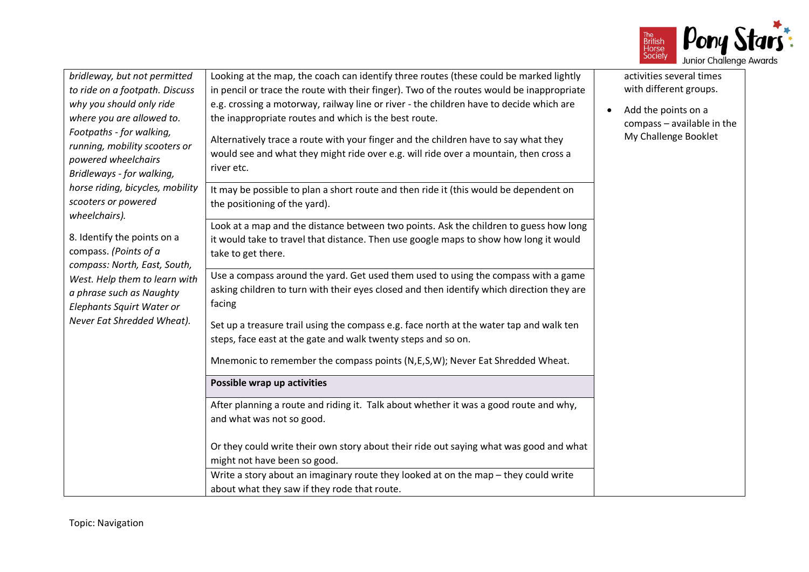

| bridleway, but not permitted<br>to ride on a footpath. Discuss<br>why you should only ride<br>where you are allowed to.<br>Footpaths - for walking,<br>running, mobility scooters or<br>powered wheelchairs<br>Bridleways - for walking, | Looking at the map, the coach can identify three routes (these could be marked lightly<br>in pencil or trace the route with their finger). Two of the routes would be inappropriate<br>e.g. crossing a motorway, railway line or river - the children have to decide which are<br>the inappropriate routes and which is the best route.<br>Alternatively trace a route with your finger and the children have to say what they<br>would see and what they might ride over e.g. will ride over a mountain, then cross a<br>river etc. | activities several times<br>with different groups.<br>Add the points on a<br>$\bullet$<br>compass - available in the<br>My Challenge Booklet |
|------------------------------------------------------------------------------------------------------------------------------------------------------------------------------------------------------------------------------------------|--------------------------------------------------------------------------------------------------------------------------------------------------------------------------------------------------------------------------------------------------------------------------------------------------------------------------------------------------------------------------------------------------------------------------------------------------------------------------------------------------------------------------------------|----------------------------------------------------------------------------------------------------------------------------------------------|
| horse riding, bicycles, mobility<br>scooters or powered<br>wheelchairs).                                                                                                                                                                 | It may be possible to plan a short route and then ride it (this would be dependent on<br>the positioning of the yard).                                                                                                                                                                                                                                                                                                                                                                                                               |                                                                                                                                              |
| 8. Identify the points on a<br>compass. (Points of a<br>compass: North, East, South,                                                                                                                                                     | Look at a map and the distance between two points. Ask the children to guess how long<br>it would take to travel that distance. Then use google maps to show how long it would<br>take to get there.                                                                                                                                                                                                                                                                                                                                 |                                                                                                                                              |
| West. Help them to learn with<br>a phrase such as Naughty<br>Elephants Squirt Water or                                                                                                                                                   | Use a compass around the yard. Get used them used to using the compass with a game<br>asking children to turn with their eyes closed and then identify which direction they are<br>facing                                                                                                                                                                                                                                                                                                                                            |                                                                                                                                              |
| Never Eat Shredded Wheat).                                                                                                                                                                                                               | Set up a treasure trail using the compass e.g. face north at the water tap and walk ten<br>steps, face east at the gate and walk twenty steps and so on.                                                                                                                                                                                                                                                                                                                                                                             |                                                                                                                                              |
|                                                                                                                                                                                                                                          | Mnemonic to remember the compass points (N,E,S,W); Never Eat Shredded Wheat.                                                                                                                                                                                                                                                                                                                                                                                                                                                         |                                                                                                                                              |
|                                                                                                                                                                                                                                          | Possible wrap up activities                                                                                                                                                                                                                                                                                                                                                                                                                                                                                                          |                                                                                                                                              |
|                                                                                                                                                                                                                                          | After planning a route and riding it. Talk about whether it was a good route and why,<br>and what was not so good.                                                                                                                                                                                                                                                                                                                                                                                                                   |                                                                                                                                              |
|                                                                                                                                                                                                                                          | Or they could write their own story about their ride out saying what was good and what<br>might not have been so good.                                                                                                                                                                                                                                                                                                                                                                                                               |                                                                                                                                              |
|                                                                                                                                                                                                                                          | Write a story about an imaginary route they looked at on the map - they could write<br>about what they saw if they rode that route.                                                                                                                                                                                                                                                                                                                                                                                                  |                                                                                                                                              |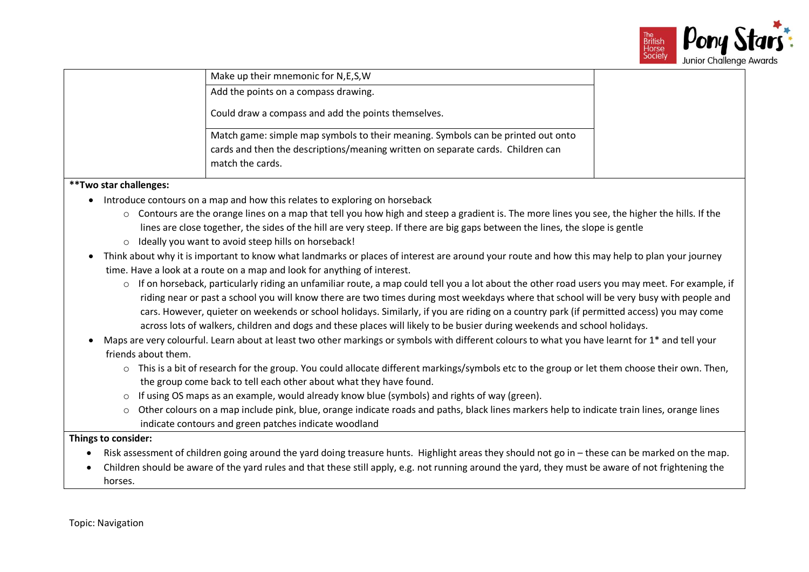

|      | Make up their mnemonic for N,E,S,W                                                                                                                                                      |  |
|------|-----------------------------------------------------------------------------------------------------------------------------------------------------------------------------------------|--|
|      | Add the points on a compass drawing.                                                                                                                                                    |  |
|      | Could draw a compass and add the points themselves.                                                                                                                                     |  |
|      | Match game: simple map symbols to their meaning. Symbols can be printed out onto<br>cards and then the descriptions/meaning written on separate cards. Children can<br>match the cards. |  |
| $-1$ |                                                                                                                                                                                         |  |

#### **\*\*Two star challenges:**

- Introduce contours on a map and how this relates to exploring on horseback
	- $\circ$  Contours are the orange lines on a map that tell you how high and steep a gradient is. The more lines you see, the higher the hills. If the lines are close together, the sides of the hill are very steep. If there are big gaps between the lines, the slope is gentle
	- o Ideally you want to avoid steep hills on horseback!
- Think about why it is important to know what landmarks or places of interest are around your route and how this may help to plan your journey time. Have a look at a route on a map and look for anything of interest.
	- $\circ$  If on horseback, particularly riding an unfamiliar route, a map could tell you a lot about the other road users you may meet. For example, if riding near or past a school you will know there are two times during most weekdays where that school will be very busy with people and cars. However, quieter on weekends or school holidays. Similarly, if you are riding on a country park (if permitted access) you may come across lots of walkers, children and dogs and these places will likely to be busier during weekends and school holidays.
- Maps are very colourful. Learn about at least two other markings or symbols with different colours to what you have learnt for 1\* and tell your friends about them.
	- o This is a bit of research for the group. You could allocate different markings/symbols etc to the group or let them choose their own. Then, the group come back to tell each other about what they have found.
	- $\circ$  If using OS maps as an example, would already know blue (symbols) and rights of way (green).
	- $\circ$  Other colours on a map include pink, blue, orange indicate roads and paths, black lines markers help to indicate train lines, orange lines indicate contours and green patches indicate woodland

#### **Things to consider:**

- Risk assessment of children going around the yard doing treasure hunts. Highlight areas they should not go in these can be marked on the map.
- Children should be aware of the yard rules and that these still apply, e.g. not running around the yard, they must be aware of not frightening the horses.

Topic: Navigation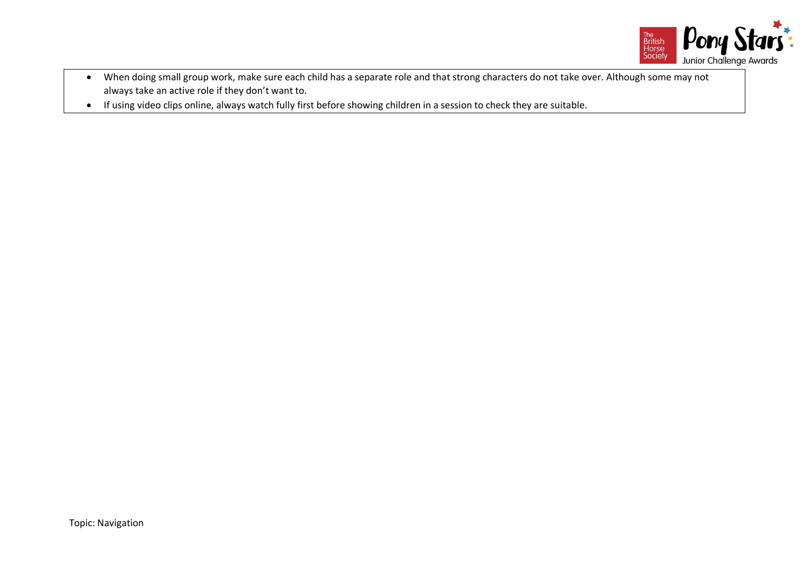

- When doing small group work, make sure each child has a separate role and that strong characters do not take over. Although some may not always take an active role if they don't want to.
- If using video clips online, always watch fully first before showing children in a session to check they are suitable.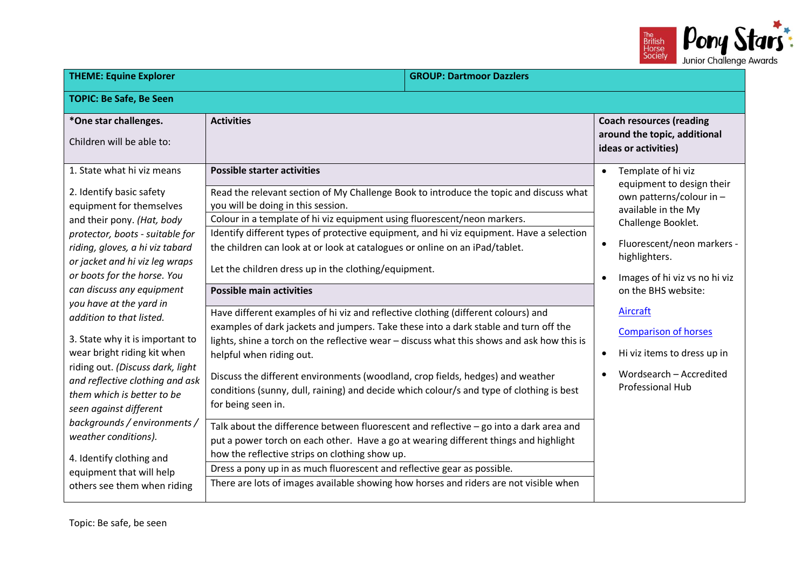

| <b>THEME: Equine Explorer</b>                                                                                                                                                                                                                                                                                                                                            |                                                                                                                                                                                                                                                                                                                                                                                                                                                                                                                                                                                                                                                                                                                                                                                                                              | <b>GROUP: Dartmoor Dazzlers</b> |                                                                                                                                                                                                                                                          |
|--------------------------------------------------------------------------------------------------------------------------------------------------------------------------------------------------------------------------------------------------------------------------------------------------------------------------------------------------------------------------|------------------------------------------------------------------------------------------------------------------------------------------------------------------------------------------------------------------------------------------------------------------------------------------------------------------------------------------------------------------------------------------------------------------------------------------------------------------------------------------------------------------------------------------------------------------------------------------------------------------------------------------------------------------------------------------------------------------------------------------------------------------------------------------------------------------------------|---------------------------------|----------------------------------------------------------------------------------------------------------------------------------------------------------------------------------------------------------------------------------------------------------|
| <b>TOPIC: Be Safe, Be Seen</b>                                                                                                                                                                                                                                                                                                                                           |                                                                                                                                                                                                                                                                                                                                                                                                                                                                                                                                                                                                                                                                                                                                                                                                                              |                                 |                                                                                                                                                                                                                                                          |
| *One star challenges.<br>Children will be able to:                                                                                                                                                                                                                                                                                                                       | <b>Activities</b>                                                                                                                                                                                                                                                                                                                                                                                                                                                                                                                                                                                                                                                                                                                                                                                                            |                                 | <b>Coach resources (reading</b><br>around the topic, additional<br>ideas or activities)                                                                                                                                                                  |
| 1. State what hi viz means<br>2. Identify basic safety<br>equipment for themselves<br>and their pony. (Hat, body<br>protector, boots - suitable for<br>riding, gloves, a hi viz tabard<br>or jacket and hi viz leg wraps<br>or boots for the horse. You<br>can discuss any equipment<br>you have at the yard in                                                          | <b>Possible starter activities</b><br>Read the relevant section of My Challenge Book to introduce the topic and discuss what<br>you will be doing in this session.<br>Colour in a template of hi viz equipment using fluorescent/neon markers.<br>Identify different types of protective equipment, and hi viz equipment. Have a selection<br>the children can look at or look at catalogues or online on an iPad/tablet.<br>Let the children dress up in the clothing/equipment.<br><b>Possible main activities</b><br>Have different examples of hi viz and reflective clothing (different colours) and                                                                                                                                                                                                                    |                                 | Template of hi viz<br>$\bullet$<br>equipment to design their<br>own patterns/colour in -<br>available in the My<br>Challenge Booklet.<br>Fluorescent/neon markers -<br>highlighters.<br>Images of hi viz vs no hi viz<br>on the BHS website:<br>Aircraft |
| addition to that listed.<br>3. State why it is important to<br>wear bright riding kit when<br>riding out. (Discuss dark, light<br>and reflective clothing and ask<br>them which is better to be<br>seen against different<br>backgrounds / environments /<br>weather conditions).<br>4. Identify clothing and<br>equipment that will help<br>others see them when riding | examples of dark jackets and jumpers. Take these into a dark stable and turn off the<br>lights, shine a torch on the reflective wear - discuss what this shows and ask how this is<br>helpful when riding out.<br>Discuss the different environments (woodland, crop fields, hedges) and weather<br>conditions (sunny, dull, raining) and decide which colour/s and type of clothing is best<br>for being seen in.<br>Talk about the difference between fluorescent and reflective $-$ go into a dark area and<br>put a power torch on each other. Have a go at wearing different things and highlight<br>how the reflective strips on clothing show up.<br>Dress a pony up in as much fluorescent and reflective gear as possible.<br>There are lots of images available showing how horses and riders are not visible when |                                 | <b>Comparison of horses</b><br>Hi viz items to dress up in<br>Wordsearch - Accredited<br><b>Professional Hub</b>                                                                                                                                         |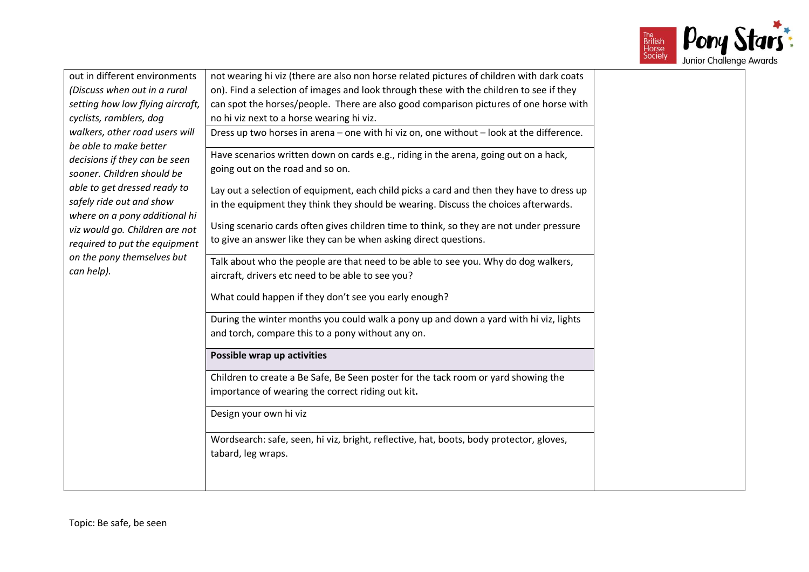

| out in different environments    | not wearing hi viz (there are also non horse related pictures of children with dark coats |
|----------------------------------|-------------------------------------------------------------------------------------------|
| (Discuss when out in a rural     | on). Find a selection of images and look through these with the children to see if they   |
| setting how low flying aircraft, | can spot the horses/people. There are also good comparison pictures of one horse with     |
| cyclists, ramblers, dog          | no hi viz next to a horse wearing hi viz.                                                 |
| walkers, other road users will   | Dress up two horses in arena - one with hi viz on, one without - look at the difference.  |
| be able to make better           |                                                                                           |
| decisions if they can be seen    | Have scenarios written down on cards e.g., riding in the arena, going out on a hack,      |
| sooner. Children should be       | going out on the road and so on.                                                          |
| able to get dressed ready to     | Lay out a selection of equipment, each child picks a card and then they have to dress up  |
| safely ride out and show         | in the equipment they think they should be wearing. Discuss the choices afterwards.       |
| where on a pony additional hi    |                                                                                           |
| viz would go. Children are not   | Using scenario cards often gives children time to think, so they are not under pressure   |
| required to put the equipment    | to give an answer like they can be when asking direct questions.                          |
| on the pony themselves but       | Talk about who the people are that need to be able to see you. Why do dog walkers,        |
| can help).                       | aircraft, drivers etc need to be able to see you?                                         |
|                                  |                                                                                           |
|                                  | What could happen if they don't see you early enough?                                     |
|                                  | During the winter months you could walk a pony up and down a yard with hi viz, lights     |
|                                  | and torch, compare this to a pony without any on.                                         |
|                                  |                                                                                           |
|                                  | Possible wrap up activities                                                               |
|                                  | Children to create a Be Safe, Be Seen poster for the tack room or yard showing the        |
|                                  | importance of wearing the correct riding out kit.                                         |
|                                  |                                                                                           |
|                                  | Design your own hi viz                                                                    |
|                                  |                                                                                           |
|                                  | Wordsearch: safe, seen, hi viz, bright, reflective, hat, boots, body protector, gloves,   |
|                                  | tabard, leg wraps.                                                                        |
|                                  |                                                                                           |
|                                  |                                                                                           |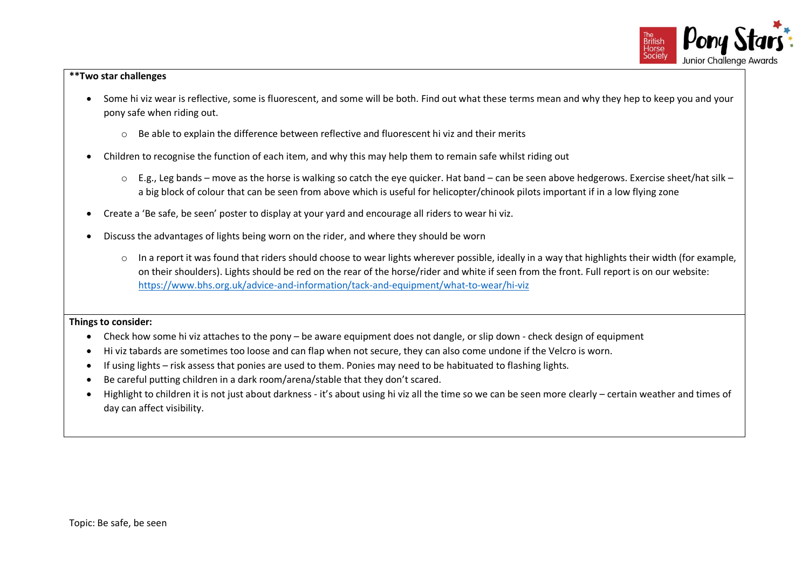

### **\*\*Two star challenges**

- Some hi viz wear is reflective, some is fluorescent, and some will be both. Find out what these terms mean and why they hep to keep you and your pony safe when riding out.
	- $\circ$  Be able to explain the difference between reflective and fluorescent hi viz and their merits
- Children to recognise the function of each item, and why this may help them to remain safe whilst riding out
	- o E.g., Leg bands move as the horse is walking so catch the eye quicker. Hat band can be seen above hedgerows. Exercise sheet/hat silk a big block of colour that can be seen from above which is useful for helicopter/chinook pilots important if in a low flying zone
- Create a 'Be safe, be seen' poster to display at your yard and encourage all riders to wear hi viz.
- Discuss the advantages of lights being worn on the rider, and where they should be worn
	- $\circ$  In a report it was found that riders should choose to wear lights wherever possible, ideally in a way that highlights their width (for example, on their shoulders). Lights should be red on the rear of the horse/rider and white if seen from the front. Full report is on our website: <https://www.bhs.org.uk/advice-and-information/tack-and-equipment/what-to-wear/hi-viz>

- Check how some hi viz attaches to the pony be aware equipment does not dangle, or slip down check design of equipment
- Hi viz tabards are sometimes too loose and can flap when not secure, they can also come undone if the Velcro is worn.
- If using lights risk assess that ponies are used to them. Ponies may need to be habituated to flashing lights.
- Be careful putting children in a dark room/arena/stable that they don't scared.
- Highlight to children it is not just about darkness it's about using hi viz all the time so we can be seen more clearly certain weather and times of day can affect visibility.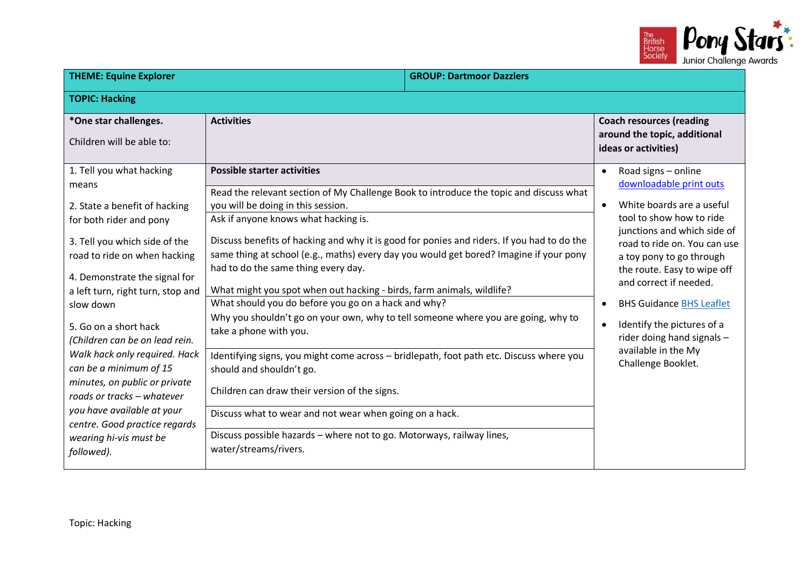

| <b>THEME: Equine Explorer</b>                                                                                                                                                                                                                                                                                                                                                                                                                                                                                                                 |                                                                                                                                                                                                                                                                                                                                                                                                                                                                                                                                                                                                                                                                                                                                                                                                                                                                                                                                                                                                                               | <b>GROUP: Dartmoor Dazzlers</b> |                                                                                                                                                                                                                                                                                                                                                                                                                                                |
|-----------------------------------------------------------------------------------------------------------------------------------------------------------------------------------------------------------------------------------------------------------------------------------------------------------------------------------------------------------------------------------------------------------------------------------------------------------------------------------------------------------------------------------------------|-------------------------------------------------------------------------------------------------------------------------------------------------------------------------------------------------------------------------------------------------------------------------------------------------------------------------------------------------------------------------------------------------------------------------------------------------------------------------------------------------------------------------------------------------------------------------------------------------------------------------------------------------------------------------------------------------------------------------------------------------------------------------------------------------------------------------------------------------------------------------------------------------------------------------------------------------------------------------------------------------------------------------------|---------------------------------|------------------------------------------------------------------------------------------------------------------------------------------------------------------------------------------------------------------------------------------------------------------------------------------------------------------------------------------------------------------------------------------------------------------------------------------------|
| <b>TOPIC: Hacking</b>                                                                                                                                                                                                                                                                                                                                                                                                                                                                                                                         |                                                                                                                                                                                                                                                                                                                                                                                                                                                                                                                                                                                                                                                                                                                                                                                                                                                                                                                                                                                                                               |                                 |                                                                                                                                                                                                                                                                                                                                                                                                                                                |
| *One star challenges.<br>Children will be able to:                                                                                                                                                                                                                                                                                                                                                                                                                                                                                            | <b>Activities</b>                                                                                                                                                                                                                                                                                                                                                                                                                                                                                                                                                                                                                                                                                                                                                                                                                                                                                                                                                                                                             |                                 | <b>Coach resources (reading</b><br>around the topic, additional<br>ideas or activities)                                                                                                                                                                                                                                                                                                                                                        |
| 1. Tell you what hacking<br>means<br>2. State a benefit of hacking<br>for both rider and pony<br>3. Tell you which side of the<br>road to ride on when hacking<br>4. Demonstrate the signal for<br>a left turn, right turn, stop and<br>slow down<br>5. Go on a short hack<br>(Children can be on lead rein.<br>Walk hack only required. Hack<br>can be a minimum of 15<br>minutes, on public or private<br>roads or tracks - whatever<br>you have available at your<br>centre. Good practice regards<br>wearing hi-vis must be<br>followed). | <b>Possible starter activities</b><br>Read the relevant section of My Challenge Book to introduce the topic and discuss what<br>you will be doing in this session.<br>Ask if anyone knows what hacking is.<br>Discuss benefits of hacking and why it is good for ponies and riders. If you had to do the<br>same thing at school (e.g., maths) every day you would get bored? Imagine if your pony<br>had to do the same thing every day.<br>What might you spot when out hacking - birds, farm animals, wildlife?<br>What should you do before you go on a hack and why?<br>Why you shouldn't go on your own, why to tell someone where you are going, why to<br>take a phone with you.<br>Identifying signs, you might come across - bridlepath, foot path etc. Discuss where you<br>should and shouldn't go.<br>Children can draw their version of the signs.<br>Discuss what to wear and not wear when going on a hack.<br>Discuss possible hazards - where not to go. Motorways, railway lines,<br>water/streams/rivers. |                                 | Road signs - online<br>downloadable print outs<br>White boards are a useful<br>$\bullet$<br>tool to show how to ride<br>junctions and which side of<br>road to ride on. You can use<br>a toy pony to go through<br>the route. Easy to wipe off<br>and correct if needed.<br><b>BHS Guidance BHS Leaflet</b><br>$\bullet$<br>Identify the pictures of a<br>$\bullet$<br>rider doing hand signals -<br>available in the My<br>Challenge Booklet. |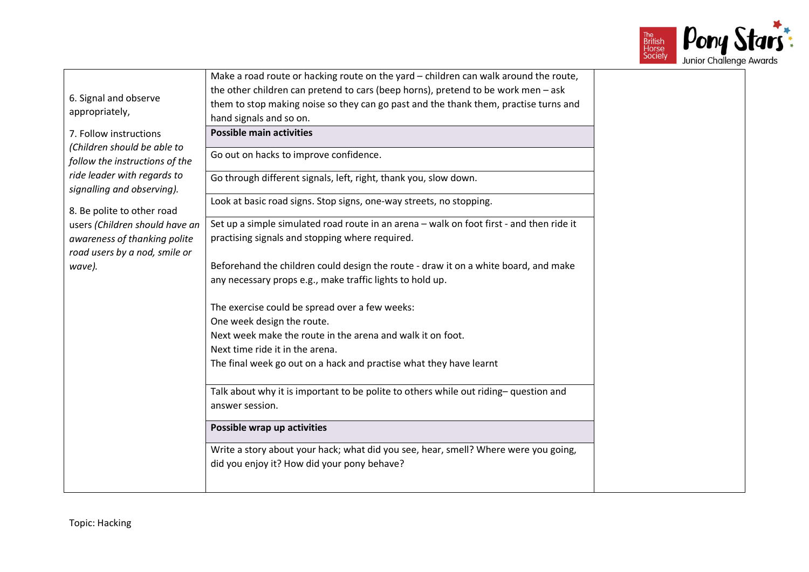

|                                | Make a road route or hacking route on the yard - children can walk around the route,     |
|--------------------------------|------------------------------------------------------------------------------------------|
| 6. Signal and observe          | the other children can pretend to cars (beep horns), pretend to be work men - ask        |
| appropriately,                 | them to stop making noise so they can go past and the thank them, practise turns and     |
|                                | hand signals and so on.                                                                  |
| 7. Follow instructions         | <b>Possible main activities</b>                                                          |
| (Children should be able to    | Go out on hacks to improve confidence.                                                   |
| follow the instructions of the |                                                                                          |
| ride leader with regards to    | Go through different signals, left, right, thank you, slow down.                         |
| signalling and observing).     |                                                                                          |
| 8. Be polite to other road     | Look at basic road signs. Stop signs, one-way streets, no stopping.                      |
| users (Children should have an | Set up a simple simulated road route in an arena - walk on foot first - and then ride it |
| awareness of thanking polite   | practising signals and stopping where required.                                          |
| road users by a nod, smile or  |                                                                                          |
| wave).                         | Beforehand the children could design the route - draw it on a white board, and make      |
|                                | any necessary props e.g., make traffic lights to hold up.                                |
|                                |                                                                                          |
|                                | The exercise could be spread over a few weeks:                                           |
|                                | One week design the route.                                                               |
|                                | Next week make the route in the arena and walk it on foot.                               |
|                                | Next time ride it in the arena.                                                          |
|                                | The final week go out on a hack and practise what they have learnt                       |
|                                |                                                                                          |
|                                | Talk about why it is important to be polite to others while out riding-question and      |
|                                | answer session.                                                                          |
|                                | Possible wrap up activities                                                              |
|                                | Write a story about your hack; what did you see, hear, smell? Where were you going,      |
|                                | did you enjoy it? How did your pony behave?                                              |
|                                |                                                                                          |
|                                |                                                                                          |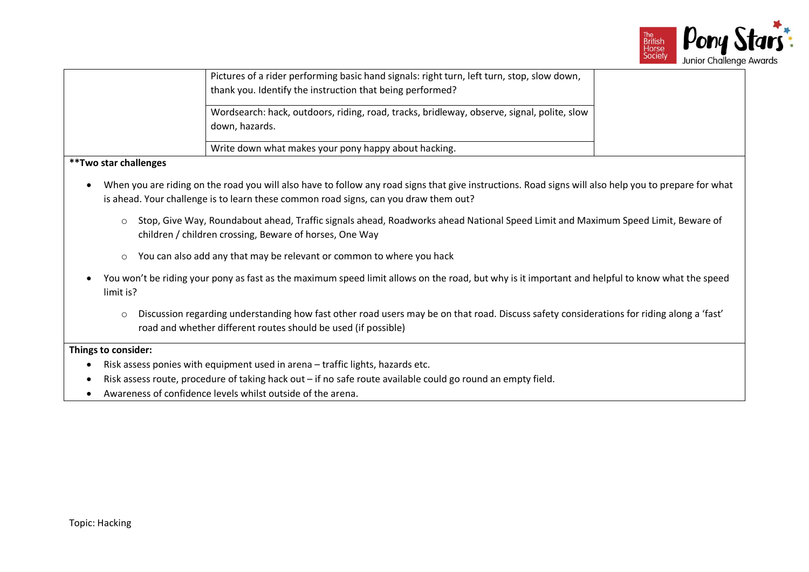

|                               | Pictures of a rider performing basic hand signals: right turn, left turn, stop, slow down,<br>thank you. Identify the instruction that being performed? |  |
|-------------------------------|---------------------------------------------------------------------------------------------------------------------------------------------------------|--|
|                               | Wordsearch: hack, outdoors, riding, road, tracks, bridleway, observe, signal, polite, slow<br>down, hazards.                                            |  |
|                               | Write down what makes your pony happy about hacking.                                                                                                    |  |
| <i>**</i> Two star challenges |                                                                                                                                                         |  |

- When you are riding on the road you will also have to follow any road signs that give instructions. Road signs will also help you to prepare for what is ahead. Your challenge is to learn these common road signs, can you draw them out?
	- o Stop, Give Way, Roundabout ahead, Traffic signals ahead, Roadworks ahead National Speed Limit and Maximum Speed Limit, Beware of children / children crossing, Beware of horses, One Way
	- o You can also add any that may be relevant or common to where you hack
- You won't be riding your pony as fast as the maximum speed limit allows on the road, but why is it important and helpful to know what the speed limit is?
	- o Discussion regarding understanding how fast other road users may be on that road. Discuss safety considerations for riding along a 'fast' road and whether different routes should be used (if possible)

- Risk assess ponies with equipment used in arena traffic lights, hazards etc.
- Risk assess route, procedure of taking hack out if no safe route available could go round an empty field.
- Awareness of confidence levels whilst outside of the arena.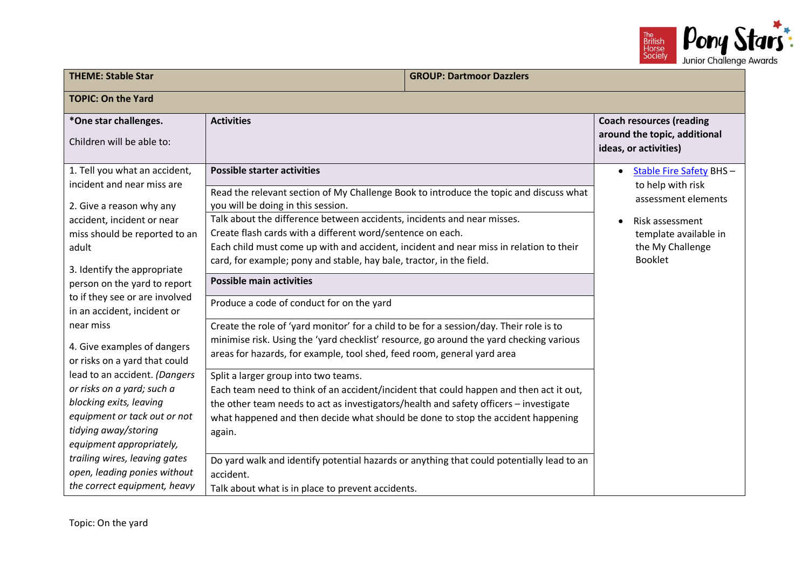

| <b>THEME: Stable Star</b>                                                                                                                                                                                                                                                                                                                                                                                                                                                                                                                                                                                                   | <b>GROUP: Dartmoor Dazzlers</b>                                                                                                                                                                                                                                                                                                                                                                                                                                                                                                                                                                                                                                                                                                                                                                                                                                                                                                                                                                                                                                                                                                                                                                                                                                   |  |                                                                                                                                                                           |
|-----------------------------------------------------------------------------------------------------------------------------------------------------------------------------------------------------------------------------------------------------------------------------------------------------------------------------------------------------------------------------------------------------------------------------------------------------------------------------------------------------------------------------------------------------------------------------------------------------------------------------|-------------------------------------------------------------------------------------------------------------------------------------------------------------------------------------------------------------------------------------------------------------------------------------------------------------------------------------------------------------------------------------------------------------------------------------------------------------------------------------------------------------------------------------------------------------------------------------------------------------------------------------------------------------------------------------------------------------------------------------------------------------------------------------------------------------------------------------------------------------------------------------------------------------------------------------------------------------------------------------------------------------------------------------------------------------------------------------------------------------------------------------------------------------------------------------------------------------------------------------------------------------------|--|---------------------------------------------------------------------------------------------------------------------------------------------------------------------------|
| <b>TOPIC: On the Yard</b>                                                                                                                                                                                                                                                                                                                                                                                                                                                                                                                                                                                                   |                                                                                                                                                                                                                                                                                                                                                                                                                                                                                                                                                                                                                                                                                                                                                                                                                                                                                                                                                                                                                                                                                                                                                                                                                                                                   |  |                                                                                                                                                                           |
| *One star challenges.<br>Children will be able to:                                                                                                                                                                                                                                                                                                                                                                                                                                                                                                                                                                          | <b>Activities</b>                                                                                                                                                                                                                                                                                                                                                                                                                                                                                                                                                                                                                                                                                                                                                                                                                                                                                                                                                                                                                                                                                                                                                                                                                                                 |  | <b>Coach resources (reading</b><br>around the topic, additional<br>ideas, or activities)                                                                                  |
| 1. Tell you what an accident,<br>incident and near miss are<br>2. Give a reason why any<br>accident, incident or near<br>miss should be reported to an<br>adult<br>3. Identify the appropriate<br>person on the yard to report<br>to if they see or are involved<br>in an accident, incident or<br>near miss<br>4. Give examples of dangers<br>or risks on a yard that could<br>lead to an accident. (Dangers<br>or risks on a yard; such a<br>blocking exits, leaving<br>equipment or tack out or not<br>tidying away/storing<br>equipment appropriately,<br>trailing wires, leaving gates<br>open, leading ponies without | <b>Possible starter activities</b><br>Read the relevant section of My Challenge Book to introduce the topic and discuss what<br>you will be doing in this session.<br>Talk about the difference between accidents, incidents and near misses.<br>Create flash cards with a different word/sentence on each.<br>Each child must come up with and accident, incident and near miss in relation to their<br>card, for example; pony and stable, hay bale, tractor, in the field.<br><b>Possible main activities</b><br>Produce a code of conduct for on the yard<br>Create the role of 'yard monitor' for a child to be for a session/day. Their role is to<br>minimise risk. Using the 'yard checklist' resource, go around the yard checking various<br>areas for hazards, for example, tool shed, feed room, general yard area<br>Split a larger group into two teams.<br>Each team need to think of an accident/incident that could happen and then act it out,<br>the other team needs to act as investigators/health and safety officers - investigate<br>what happened and then decide what should be done to stop the accident happening<br>again.<br>Do yard walk and identify potential hazards or anything that could potentially lead to an<br>accident. |  | <b>Stable Fire Safety BHS-</b><br>$\bullet$<br>to help with risk<br>assessment elements<br>Risk assessment<br>template available in<br>the My Challenge<br><b>Booklet</b> |
| the correct equipment, heavy                                                                                                                                                                                                                                                                                                                                                                                                                                                                                                                                                                                                | Talk about what is in place to prevent accidents.                                                                                                                                                                                                                                                                                                                                                                                                                                                                                                                                                                                                                                                                                                                                                                                                                                                                                                                                                                                                                                                                                                                                                                                                                 |  |                                                                                                                                                                           |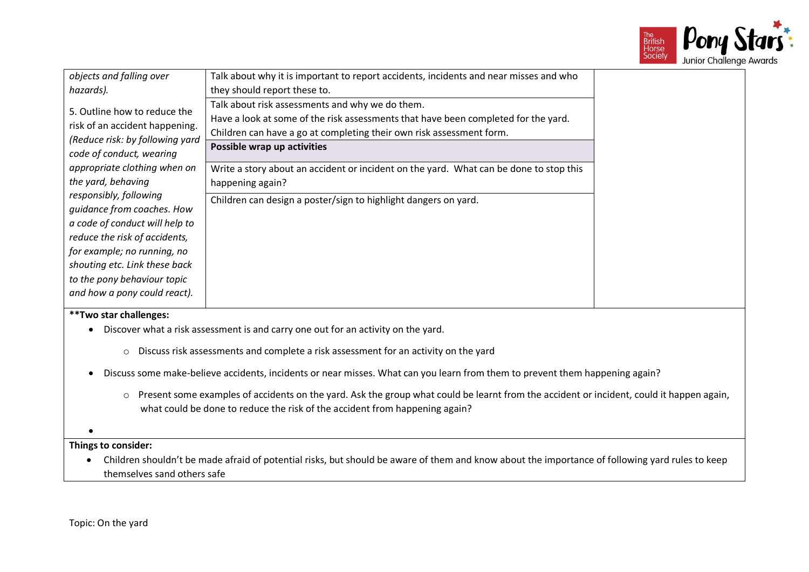

| objects and falling over                                                                                                      | Talk about why it is important to report accidents, incidents and near misses and who                                                                                                                                                        |  |
|-------------------------------------------------------------------------------------------------------------------------------|----------------------------------------------------------------------------------------------------------------------------------------------------------------------------------------------------------------------------------------------|--|
| hazards).                                                                                                                     | they should report these to.                                                                                                                                                                                                                 |  |
| 5. Outline how to reduce the<br>risk of an accident happening.<br>(Reduce risk: by following yard<br>code of conduct, wearing | Talk about risk assessments and why we do them.<br>Have a look at some of the risk assessments that have been completed for the yard.<br>Children can have a go at completing their own risk assessment form.<br>Possible wrap up activities |  |
| appropriate clothing when on<br>the yard, behaving                                                                            | Write a story about an accident or incident on the yard. What can be done to stop this<br>happening again?                                                                                                                                   |  |
| responsibly, following<br>guidance from coaches. How                                                                          | Children can design a poster/sign to highlight dangers on yard.                                                                                                                                                                              |  |
| a code of conduct will help to<br>reduce the risk of accidents,<br>for example; no running, no                                |                                                                                                                                                                                                                                              |  |
| shouting etc. Link these back<br>to the pony behaviour topic                                                                  |                                                                                                                                                                                                                                              |  |
| and how a pony could react).                                                                                                  |                                                                                                                                                                                                                                              |  |
| **Two star challenges:                                                                                                        |                                                                                                                                                                                                                                              |  |

- Discover what a risk assessment is and carry one out for an activity on the yard.
	- o Discuss risk assessments and complete a risk assessment for an activity on the yard
- Discuss some make-believe accidents, incidents or near misses. What can you learn from them to prevent them happening again?
	- o Present some examples of accidents on the yard. Ask the group what could be learnt from the accident or incident, could it happen again, what could be done to reduce the risk of the accident from happening again?
- •

• Children shouldn't be made afraid of potential risks, but should be aware of them and know about the importance of following yard rules to keep themselves sand others safe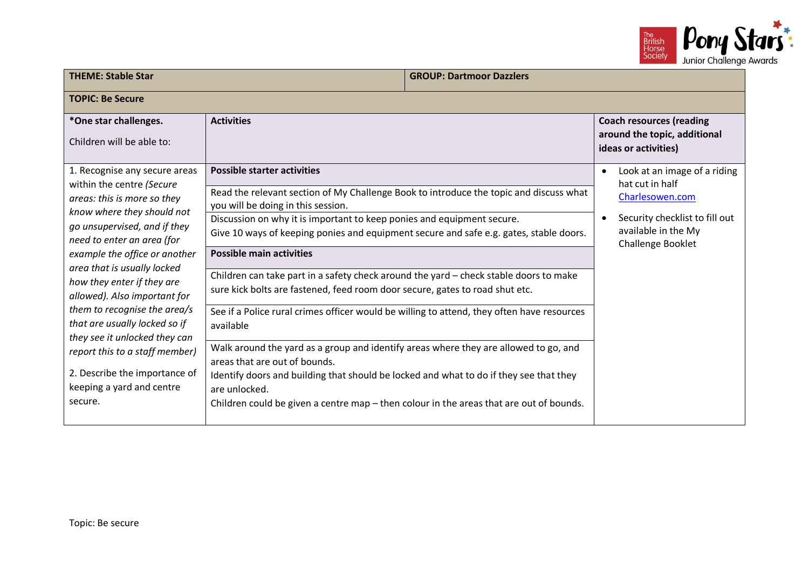

| <b>THEME: Stable Star</b>                                                                                                                                                                                                                                                                                                                                                                                             |                                                                                                                                                                                                                                                                                                                                                                                                                                                                                                                                                                                                                                                               | <b>GROUP: Dartmoor Dazzlers</b> |                                                                                                                                                  |
|-----------------------------------------------------------------------------------------------------------------------------------------------------------------------------------------------------------------------------------------------------------------------------------------------------------------------------------------------------------------------------------------------------------------------|---------------------------------------------------------------------------------------------------------------------------------------------------------------------------------------------------------------------------------------------------------------------------------------------------------------------------------------------------------------------------------------------------------------------------------------------------------------------------------------------------------------------------------------------------------------------------------------------------------------------------------------------------------------|---------------------------------|--------------------------------------------------------------------------------------------------------------------------------------------------|
| <b>TOPIC: Be Secure</b>                                                                                                                                                                                                                                                                                                                                                                                               |                                                                                                                                                                                                                                                                                                                                                                                                                                                                                                                                                                                                                                                               |                                 |                                                                                                                                                  |
| *One star challenges.<br>Children will be able to:                                                                                                                                                                                                                                                                                                                                                                    | <b>Activities</b>                                                                                                                                                                                                                                                                                                                                                                                                                                                                                                                                                                                                                                             |                                 | <b>Coach resources (reading</b><br>around the topic, additional<br>ideas or activities)                                                          |
| 1. Recognise any secure areas<br>within the centre (Secure<br>areas: this is more so they<br>know where they should not<br>go unsupervised, and if they<br>need to enter an area (for<br>example the office or another<br>area that is usually locked<br>how they enter if they are<br>allowed). Also important for<br>them to recognise the area/s<br>that are usually locked so if<br>they see it unlocked they can | <b>Possible starter activities</b><br>Read the relevant section of My Challenge Book to introduce the topic and discuss what<br>you will be doing in this session.<br>Discussion on why it is important to keep ponies and equipment secure.<br>Give 10 ways of keeping ponies and equipment secure and safe e.g. gates, stable doors.<br><b>Possible main activities</b><br>Children can take part in a safety check around the yard - check stable doors to make<br>sure kick bolts are fastened, feed room door secure, gates to road shut etc.<br>See if a Police rural crimes officer would be willing to attend, they often have resources<br>available |                                 | Look at an image of a riding<br>hat cut in half<br>Charlesowen.com<br>Security checklist to fill out<br>available in the My<br>Challenge Booklet |
| report this to a staff member)<br>2. Describe the importance of<br>keeping a yard and centre<br>secure.                                                                                                                                                                                                                                                                                                               | Walk around the yard as a group and identify areas where they are allowed to go, and<br>areas that are out of bounds.<br>Identify doors and building that should be locked and what to do if they see that they<br>are unlocked.<br>Children could be given a centre map $-$ then colour in the areas that are out of bounds.                                                                                                                                                                                                                                                                                                                                 |                                 |                                                                                                                                                  |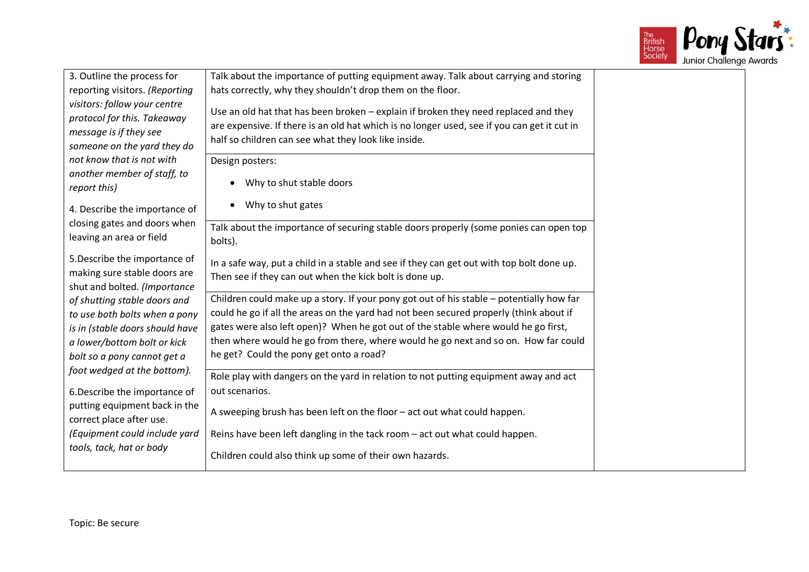

| 3. Outline the process for<br>reporting visitors. (Reporting                                                                                                   | Talk about the importance of putting equipment away. Talk about carrying and storing<br>hats correctly, why they shouldn't drop them on the floor.                                                                                                                                                                                                                                                        |
|----------------------------------------------------------------------------------------------------------------------------------------------------------------|-----------------------------------------------------------------------------------------------------------------------------------------------------------------------------------------------------------------------------------------------------------------------------------------------------------------------------------------------------------------------------------------------------------|
| visitors: follow your centre<br>protocol for this. Takeaway<br>message is if they see<br>someone on the yard they do                                           | Use an old hat that has been broken - explain if broken they need replaced and they<br>are expensive. If there is an old hat which is no longer used, see if you can get it cut in<br>half so children can see what they look like inside.                                                                                                                                                                |
| not know that is not with<br>another member of staff, to<br>report this)                                                                                       | Design posters:<br>Why to shut stable doors                                                                                                                                                                                                                                                                                                                                                               |
| 4. Describe the importance of                                                                                                                                  | Why to shut gates                                                                                                                                                                                                                                                                                                                                                                                         |
| closing gates and doors when<br>leaving an area or field                                                                                                       | Talk about the importance of securing stable doors properly (some ponies can open top<br>bolts).                                                                                                                                                                                                                                                                                                          |
| 5. Describe the importance of<br>making sure stable doors are<br>shut and bolted. (Importance                                                                  | In a safe way, put a child in a stable and see if they can get out with top bolt done up.<br>Then see if they can out when the kick bolt is done up.                                                                                                                                                                                                                                                      |
| of shutting stable doors and<br>to use both bolts when a pony<br>is in (stable doors should have<br>a lower/bottom bolt or kick<br>bolt so a pony cannot get a | Children could make up a story. If your pony got out of his stable - potentially how far<br>could he go if all the areas on the yard had not been secured properly (think about if<br>gates were also left open)? When he got out of the stable where would he go first,<br>then where would he go from there, where would he go next and so on. How far could<br>he get? Could the pony get onto a road? |
| foot wedged at the bottom).<br>6. Describe the importance of                                                                                                   | Role play with dangers on the yard in relation to not putting equipment away and act<br>out scenarios.                                                                                                                                                                                                                                                                                                    |
| putting equipment back in the<br>correct place after use.                                                                                                      | A sweeping brush has been left on the floor - act out what could happen.                                                                                                                                                                                                                                                                                                                                  |
| (Equipment could include yard<br>tools, tack, hat or body                                                                                                      | Reins have been left dangling in the tack room – act out what could happen.                                                                                                                                                                                                                                                                                                                               |
|                                                                                                                                                                | Children could also think up some of their own hazards.                                                                                                                                                                                                                                                                                                                                                   |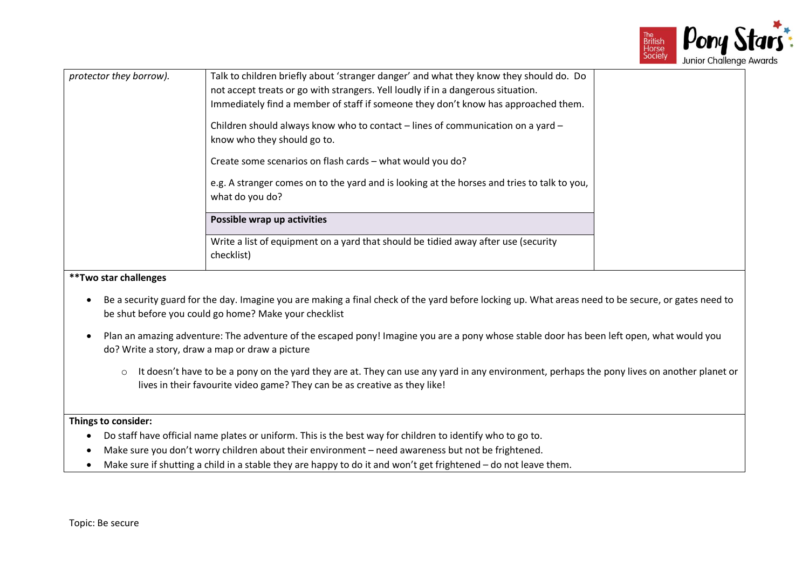

| Talk to children briefly about 'stranger danger' and what they know they should do. Do<br>protector they borrow).<br>not accept treats or go with strangers. Yell loudly if in a dangerous situation.<br>Immediately find a member of staff if someone they don't know has approached them.<br>Children should always know who to contact – lines of communication on a yard –<br>know who they should go to.<br>Create some scenarios on flash cards - what would you do?<br>e.g. A stranger comes on to the yard and is looking at the horses and tries to talk to you,<br>what do you do?<br>Possible wrap up activities<br>Write a list of equipment on a yard that should be tidied away after use (security |            |  |
|-------------------------------------------------------------------------------------------------------------------------------------------------------------------------------------------------------------------------------------------------------------------------------------------------------------------------------------------------------------------------------------------------------------------------------------------------------------------------------------------------------------------------------------------------------------------------------------------------------------------------------------------------------------------------------------------------------------------|------------|--|
|                                                                                                                                                                                                                                                                                                                                                                                                                                                                                                                                                                                                                                                                                                                   | checklist) |  |

#### **\*\*Two star challenges**

- Be a security guard for the day. Imagine you are making a final check of the yard before locking up. What areas need to be secure, or gates need to be shut before you could go home? Make your checklist
- Plan an amazing adventure: The adventure of the escaped pony! Imagine you are a pony whose stable door has been left open, what would you do? Write a story, draw a map or draw a picture
	- o It doesn't have to be a pony on the yard they are at. They can use any yard in any environment, perhaps the pony lives on another planet or lives in their favourite video game? They can be as creative as they like!

- Do staff have official name plates or uniform. This is the best way for children to identify who to go to.
- Make sure you don't worry children about their environment need awareness but not be frightened.
- Make sure if shutting a child in a stable they are happy to do it and won't get frightened do not leave them.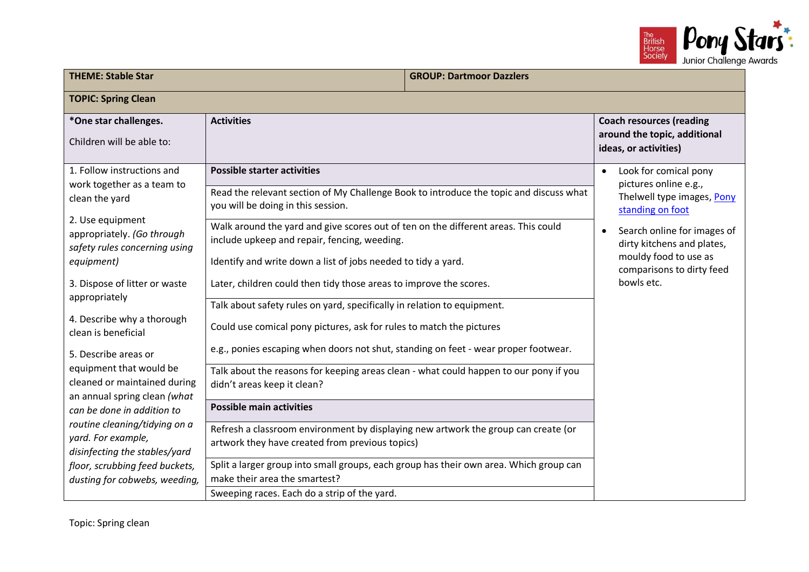

| <b>THEME: Stable Star</b>                                                                                       |                                                                                                                                                                                                             | <b>GROUP: Dartmoor Dazzlers</b> |                                                                                                                              |
|-----------------------------------------------------------------------------------------------------------------|-------------------------------------------------------------------------------------------------------------------------------------------------------------------------------------------------------------|---------------------------------|------------------------------------------------------------------------------------------------------------------------------|
| <b>TOPIC: Spring Clean</b>                                                                                      |                                                                                                                                                                                                             |                                 |                                                                                                                              |
| *One star challenges.<br>Children will be able to:                                                              | <b>Activities</b>                                                                                                                                                                                           |                                 | <b>Coach resources (reading</b><br>around the topic, additional<br>ideas, or activities)                                     |
| 1. Follow instructions and<br>work together as a team to<br>clean the yard                                      | <b>Possible starter activities</b><br>Read the relevant section of My Challenge Book to introduce the topic and discuss what<br>you will be doing in this session.                                          |                                 | Look for comical pony<br>$\bullet$<br>pictures online e.g.,<br>Thelwell type images, Pony<br>standing on foot                |
| 2. Use equipment<br>appropriately. (Go through<br>safety rules concerning using<br>equipment)                   | Walk around the yard and give scores out of ten on the different areas. This could<br>include upkeep and repair, fencing, weeding.<br>Identify and write down a list of jobs needed to tidy a yard.         |                                 | Search online for images of<br>$\bullet$<br>dirty kitchens and plates,<br>mouldy food to use as<br>comparisons to dirty feed |
| 3. Dispose of litter or waste<br>appropriately                                                                  | Later, children could then tidy those areas to improve the scores.<br>Talk about safety rules on yard, specifically in relation to equipment.                                                               |                                 | bowls etc.                                                                                                                   |
| 4. Describe why a thorough<br>clean is beneficial                                                               | Could use comical pony pictures, ask for rules to match the pictures                                                                                                                                        |                                 |                                                                                                                              |
| 5. Describe areas or<br>equipment that would be<br>cleaned or maintained during<br>an annual spring clean (what | e.g., ponies escaping when doors not shut, standing on feet - wear proper footwear.<br>Talk about the reasons for keeping areas clean - what could happen to our pony if you<br>didn't areas keep it clean? |                                 |                                                                                                                              |
| can be done in addition to                                                                                      | <b>Possible main activities</b>                                                                                                                                                                             |                                 |                                                                                                                              |
| routine cleaning/tidying on a<br>yard. For example,<br>disinfecting the stables/yard                            | Refresh a classroom environment by displaying new artwork the group can create (or<br>artwork they have created from previous topics)                                                                       |                                 |                                                                                                                              |
| floor, scrubbing feed buckets,<br>dusting for cobwebs, weeding,                                                 | Split a larger group into small groups, each group has their own area. Which group can<br>make their area the smartest?<br>Sweeping races. Each do a strip of the yard.                                     |                                 |                                                                                                                              |
|                                                                                                                 |                                                                                                                                                                                                             |                                 |                                                                                                                              |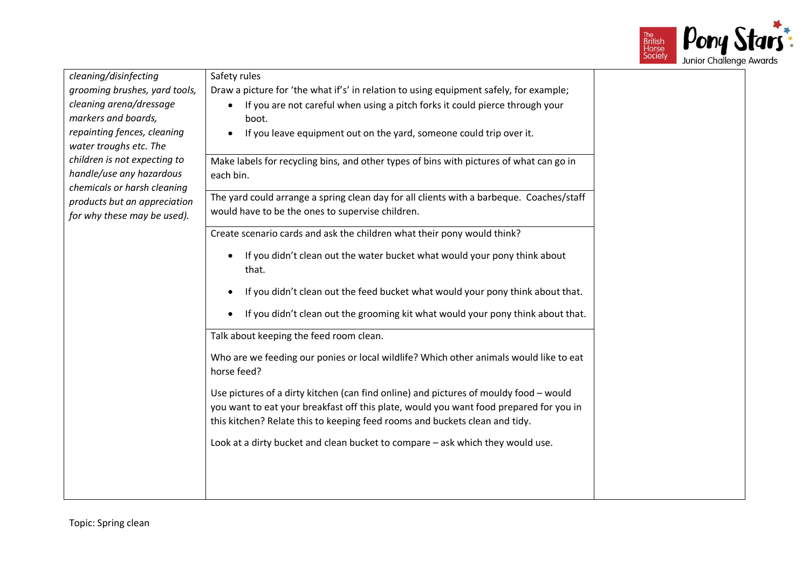

| cleaning/disinfecting                                                                   | Safety rules                                                                                                                                                                                                                                                   |  |
|-----------------------------------------------------------------------------------------|----------------------------------------------------------------------------------------------------------------------------------------------------------------------------------------------------------------------------------------------------------------|--|
| grooming brushes, yard tools,                                                           | Draw a picture for 'the what if's' in relation to using equipment safely, for example;                                                                                                                                                                         |  |
| cleaning arena/dressage<br>markers and boards,                                          | If you are not careful when using a pitch forks it could pierce through your<br>$\bullet$<br>boot.                                                                                                                                                             |  |
| repainting fences, cleaning<br>water troughs etc. The                                   | If you leave equipment out on the yard, someone could trip over it.                                                                                                                                                                                            |  |
| children is not expecting to<br>handle/use any hazardous<br>chemicals or harsh cleaning | Make labels for recycling bins, and other types of bins with pictures of what can go in<br>each bin.                                                                                                                                                           |  |
| products but an appreciation<br>for why these may be used).                             | The yard could arrange a spring clean day for all clients with a barbeque. Coaches/staff<br>would have to be the ones to supervise children.                                                                                                                   |  |
|                                                                                         | Create scenario cards and ask the children what their pony would think?                                                                                                                                                                                        |  |
|                                                                                         | If you didn't clean out the water bucket what would your pony think about<br>that.                                                                                                                                                                             |  |
|                                                                                         | If you didn't clean out the feed bucket what would your pony think about that.                                                                                                                                                                                 |  |
|                                                                                         | If you didn't clean out the grooming kit what would your pony think about that.                                                                                                                                                                                |  |
|                                                                                         | Talk about keeping the feed room clean.                                                                                                                                                                                                                        |  |
|                                                                                         | Who are we feeding our ponies or local wildlife? Which other animals would like to eat<br>horse feed?                                                                                                                                                          |  |
|                                                                                         | Use pictures of a dirty kitchen (can find online) and pictures of mouldy food - would<br>you want to eat your breakfast off this plate, would you want food prepared for you in<br>this kitchen? Relate this to keeping feed rooms and buckets clean and tidy. |  |
|                                                                                         | Look at a dirty bucket and clean bucket to compare - ask which they would use.                                                                                                                                                                                 |  |
|                                                                                         |                                                                                                                                                                                                                                                                |  |
|                                                                                         |                                                                                                                                                                                                                                                                |  |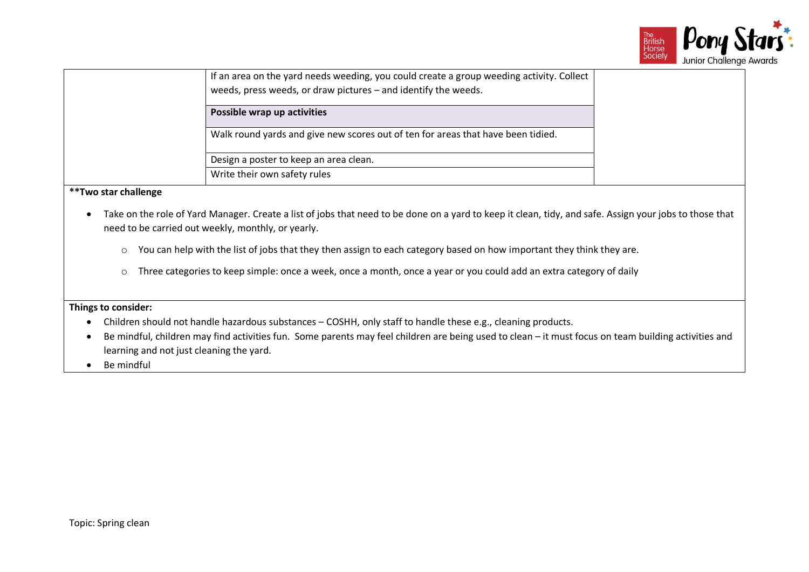

| If an area on the yard needs weeding, you could create a group weeding activity. Collect<br>weeds, press weeds, or draw pictures - and identify the weeds. |  |
|------------------------------------------------------------------------------------------------------------------------------------------------------------|--|
| Possible wrap up activities                                                                                                                                |  |
| Walk round yards and give new scores out of ten for areas that have been tidied.                                                                           |  |
| Design a poster to keep an area clean.                                                                                                                     |  |
| Write their own safety rules                                                                                                                               |  |

#### **\*\*Two star challenge**

- Take on the role of Yard Manager. Create a list of jobs that need to be done on a yard to keep it clean, tidy, and safe. Assign your jobs to those that need to be carried out weekly, monthly, or yearly.
	- o You can help with the list of jobs that they then assign to each category based on how important they think they are.
	- o Three categories to keep simple: once a week, once a month, once a year or you could add an extra category of daily

- Children should not handle hazardous substances COSHH, only staff to handle these e.g., cleaning products.
- Be mindful, children may find activities fun. Some parents may feel children are being used to clean it must focus on team building activities and learning and not just cleaning the yard.
- Be mindful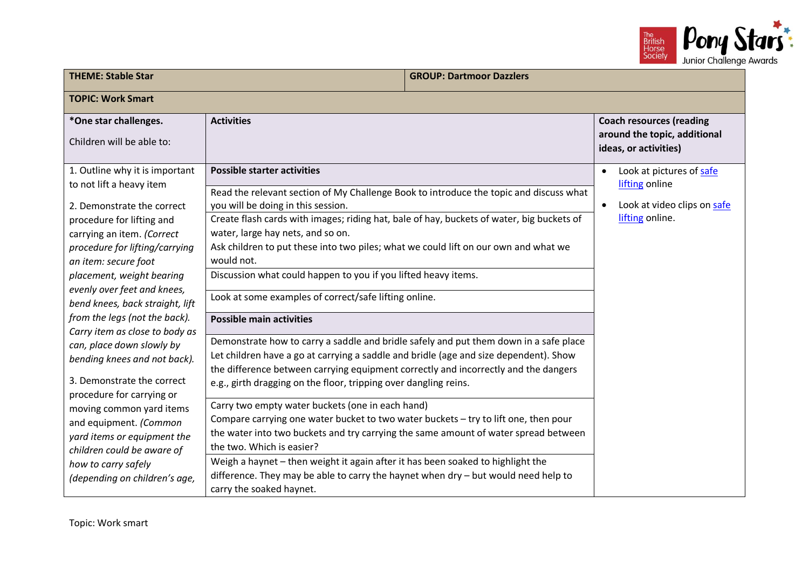

| <b>THEME: Stable Star</b>                                                                                                                                                                                                                                                                                                                                                                                                                                                                                                                                                                                                                                                          |                                                                                                                                                                                                                                                                                                                                                                                                                                                                                                                                                                                                                                                                                                                                                                                                                                                                                                                                                                                                                                                                                                                                                                                                                                                                                                                                                                                          | <b>GROUP: Dartmoor Dazzlers</b> |                                                                                                           |
|------------------------------------------------------------------------------------------------------------------------------------------------------------------------------------------------------------------------------------------------------------------------------------------------------------------------------------------------------------------------------------------------------------------------------------------------------------------------------------------------------------------------------------------------------------------------------------------------------------------------------------------------------------------------------------|------------------------------------------------------------------------------------------------------------------------------------------------------------------------------------------------------------------------------------------------------------------------------------------------------------------------------------------------------------------------------------------------------------------------------------------------------------------------------------------------------------------------------------------------------------------------------------------------------------------------------------------------------------------------------------------------------------------------------------------------------------------------------------------------------------------------------------------------------------------------------------------------------------------------------------------------------------------------------------------------------------------------------------------------------------------------------------------------------------------------------------------------------------------------------------------------------------------------------------------------------------------------------------------------------------------------------------------------------------------------------------------|---------------------------------|-----------------------------------------------------------------------------------------------------------|
| <b>TOPIC: Work Smart</b>                                                                                                                                                                                                                                                                                                                                                                                                                                                                                                                                                                                                                                                           |                                                                                                                                                                                                                                                                                                                                                                                                                                                                                                                                                                                                                                                                                                                                                                                                                                                                                                                                                                                                                                                                                                                                                                                                                                                                                                                                                                                          |                                 |                                                                                                           |
| *One star challenges.<br>Children will be able to:                                                                                                                                                                                                                                                                                                                                                                                                                                                                                                                                                                                                                                 | <b>Activities</b>                                                                                                                                                                                                                                                                                                                                                                                                                                                                                                                                                                                                                                                                                                                                                                                                                                                                                                                                                                                                                                                                                                                                                                                                                                                                                                                                                                        |                                 | <b>Coach resources (reading</b><br>around the topic, additional<br>ideas, or activities)                  |
| 1. Outline why it is important<br>to not lift a heavy item<br>2. Demonstrate the correct<br>procedure for lifting and<br>carrying an item. (Correct<br>procedure for lifting/carrying<br>an item: secure foot<br>placement, weight bearing<br>evenly over feet and knees,<br>bend knees, back straight, lift<br>from the legs (not the back).<br>Carry item as close to body as<br>can, place down slowly by<br>bending knees and not back).<br>3. Demonstrate the correct<br>procedure for carrying or<br>moving common yard items<br>and equipment. (Common<br>yard items or equipment the<br>children could be aware of<br>how to carry safely<br>(depending on children's age, | <b>Possible starter activities</b><br>Read the relevant section of My Challenge Book to introduce the topic and discuss what<br>you will be doing in this session.<br>Create flash cards with images; riding hat, bale of hay, buckets of water, big buckets of<br>water, large hay nets, and so on.<br>Ask children to put these into two piles; what we could lift on our own and what we<br>would not.<br>Discussion what could happen to you if you lifted heavy items.<br>Look at some examples of correct/safe lifting online.<br><b>Possible main activities</b><br>Demonstrate how to carry a saddle and bridle safely and put them down in a safe place<br>Let children have a go at carrying a saddle and bridle (age and size dependent). Show<br>the difference between carrying equipment correctly and incorrectly and the dangers<br>e.g., girth dragging on the floor, tripping over dangling reins.<br>Carry two empty water buckets (one in each hand)<br>Compare carrying one water bucket to two water buckets - try to lift one, then pour<br>the water into two buckets and try carrying the same amount of water spread between<br>the two. Which is easier?<br>Weigh a haynet - then weight it again after it has been soaked to highlight the<br>difference. They may be able to carry the haynet when dry - but would need help to<br>carry the soaked haynet. |                                 | Look at pictures of safe<br>$\bullet$<br>lifting online<br>Look at video clips on safe<br>lifting online. |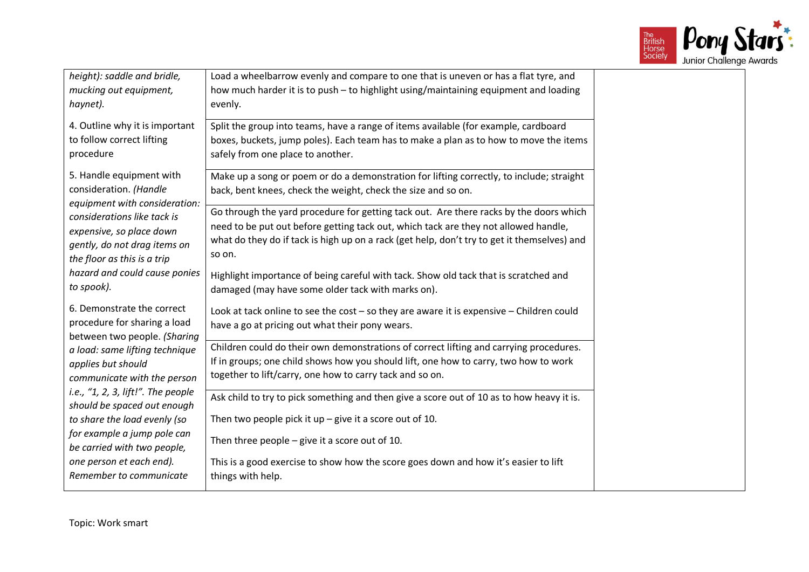

| height): saddle and bridle,<br>mucking out equipment,       | Load a wheelbarrow evenly and compare to one that is uneven or has a flat tyre, and<br>how much harder it is to push - to highlight using/maintaining equipment and loading    |
|-------------------------------------------------------------|--------------------------------------------------------------------------------------------------------------------------------------------------------------------------------|
| haynet).                                                    | evenly.                                                                                                                                                                        |
| 4. Outline why it is important<br>to follow correct lifting | Split the group into teams, have a range of items available (for example, cardboard<br>boxes, buckets, jump poles). Each team has to make a plan as to how to move the items   |
| procedure                                                   | safely from one place to another.                                                                                                                                              |
| 5. Handle equipment with                                    | Make up a song or poem or do a demonstration for lifting correctly, to include; straight                                                                                       |
| consideration. (Handle<br>equipment with consideration:     | back, bent knees, check the weight, check the size and so on.                                                                                                                  |
| considerations like tack is                                 | Go through the yard procedure for getting tack out. Are there racks by the doors which<br>need to be put out before getting tack out, which tack are they not allowed handle,  |
| expensive, so place down<br>gently, do not drag items on    | what do they do if tack is high up on a rack (get help, don't try to get it themselves) and                                                                                    |
| the floor as this is a trip                                 | so on.                                                                                                                                                                         |
| hazard and could cause ponies                               | Highlight importance of being careful with tack. Show old tack that is scratched and                                                                                           |
| to spook).                                                  | damaged (may have some older tack with marks on).                                                                                                                              |
| 6. Demonstrate the correct<br>procedure for sharing a load  | Look at tack online to see the cost - so they are aware it is expensive - Children could                                                                                       |
| between two people. (Sharing                                | have a go at pricing out what their pony wears.                                                                                                                                |
| a load: same lifting technique                              | Children could do their own demonstrations of correct lifting and carrying procedures.<br>If in groups; one child shows how you should lift, one how to carry, two how to work |
| applies but should<br>communicate with the person           | together to lift/carry, one how to carry tack and so on.                                                                                                                       |
| i.e., "1, 2, 3, lift!". The people                          | Ask child to try to pick something and then give a score out of 10 as to how heavy it is.                                                                                      |
| should be spaced out enough<br>to share the load evenly (so | Then two people pick it $up$ – give it a score out of 10.                                                                                                                      |
| for example a jump pole can                                 | Then three people $-$ give it a score out of 10.                                                                                                                               |
| be carried with two people,<br>one person et each end).     | This is a good exercise to show how the score goes down and how it's easier to lift                                                                                            |
| Remember to communicate                                     | things with help.                                                                                                                                                              |
|                                                             |                                                                                                                                                                                |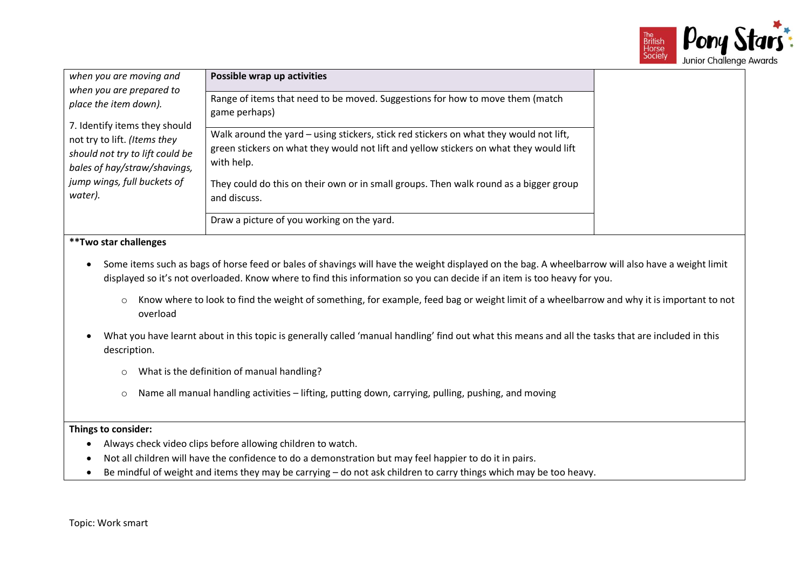

| when you are moving and<br>when you are prepared to<br>place the item down).                                                                                               | Possible wrap up activities                                                                                                                                                                    |  |
|----------------------------------------------------------------------------------------------------------------------------------------------------------------------------|------------------------------------------------------------------------------------------------------------------------------------------------------------------------------------------------|--|
|                                                                                                                                                                            | Range of items that need to be moved. Suggestions for how to move them (match<br>game perhaps)                                                                                                 |  |
| 7. Identify items they should<br>not try to lift. (Items they<br>should not try to lift could be<br>bales of hay/straw/shavings,<br>jump wings, full buckets of<br>water). | Walk around the yard – using stickers, stick red stickers on what they would not lift,<br>green stickers on what they would not lift and yellow stickers on what they would lift<br>with help. |  |
|                                                                                                                                                                            | They could do this on their own or in small groups. Then walk round as a bigger group<br>and discuss.                                                                                          |  |
|                                                                                                                                                                            | Draw a picture of you working on the yard.                                                                                                                                                     |  |
| **Two star challenges                                                                                                                                                      |                                                                                                                                                                                                |  |

- Some items such as bags of horse feed or bales of shavings will have the weight displayed on the bag. A wheelbarrow will also have a weight limit displayed so it's not overloaded. Know where to find this information so you can decide if an item is too heavy for you.
	- o Know where to look to find the weight of something, for example, feed bag or weight limit of a wheelbarrow and why it is important to not overload
- What you have learnt about in this topic is generally called 'manual handling' find out what this means and all the tasks that are included in this description.
	- o What is the definition of manual handling?
	- o Name all manual handling activities lifting, putting down, carrying, pulling, pushing, and moving

- Always check video clips before allowing children to watch.
- Not all children will have the confidence to do a demonstration but may feel happier to do it in pairs.
- Be mindful of weight and items they may be carrying do not ask children to carry things which may be too heavy.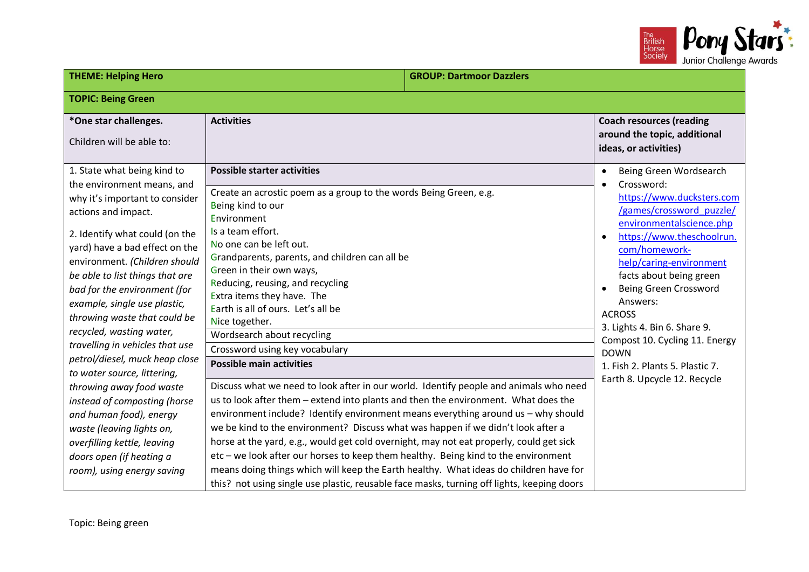

| <b>THEME: Helping Hero</b>                                                                                                                                                                                                                                                                                                                                                                                                                                                                                                                                                                                                                                                                              |                                                                                                                                                                                                                                                                                                                                                                                                                                                                                                                                                                                                                                                                                                                                                                                                                                                                                                                                                                                                                                                                                                                                                                                                                                        | <b>GROUP: Dartmoor Dazzlers</b> |                                                                                                                                                                                                                                                                                                                                                                                                                                                             |  |
|---------------------------------------------------------------------------------------------------------------------------------------------------------------------------------------------------------------------------------------------------------------------------------------------------------------------------------------------------------------------------------------------------------------------------------------------------------------------------------------------------------------------------------------------------------------------------------------------------------------------------------------------------------------------------------------------------------|----------------------------------------------------------------------------------------------------------------------------------------------------------------------------------------------------------------------------------------------------------------------------------------------------------------------------------------------------------------------------------------------------------------------------------------------------------------------------------------------------------------------------------------------------------------------------------------------------------------------------------------------------------------------------------------------------------------------------------------------------------------------------------------------------------------------------------------------------------------------------------------------------------------------------------------------------------------------------------------------------------------------------------------------------------------------------------------------------------------------------------------------------------------------------------------------------------------------------------------|---------------------------------|-------------------------------------------------------------------------------------------------------------------------------------------------------------------------------------------------------------------------------------------------------------------------------------------------------------------------------------------------------------------------------------------------------------------------------------------------------------|--|
| <b>TOPIC: Being Green</b>                                                                                                                                                                                                                                                                                                                                                                                                                                                                                                                                                                                                                                                                               |                                                                                                                                                                                                                                                                                                                                                                                                                                                                                                                                                                                                                                                                                                                                                                                                                                                                                                                                                                                                                                                                                                                                                                                                                                        |                                 |                                                                                                                                                                                                                                                                                                                                                                                                                                                             |  |
| *One star challenges.<br>Children will be able to:                                                                                                                                                                                                                                                                                                                                                                                                                                                                                                                                                                                                                                                      | <b>Activities</b>                                                                                                                                                                                                                                                                                                                                                                                                                                                                                                                                                                                                                                                                                                                                                                                                                                                                                                                                                                                                                                                                                                                                                                                                                      |                                 | <b>Coach resources (reading</b><br>around the topic, additional<br>ideas, or activities)                                                                                                                                                                                                                                                                                                                                                                    |  |
| 1. State what being kind to<br>the environment means, and<br>why it's important to consider<br>actions and impact.<br>2. Identify what could (on the<br>yard) have a bad effect on the<br>environment. (Children should<br>be able to list things that are<br>bad for the environment (for<br>example, single use plastic,<br>throwing waste that could be<br>recycled, wasting water,<br>travelling in vehicles that use<br>petrol/diesel, muck heap close<br>to water source, littering,<br>throwing away food waste<br>instead of composting (horse<br>and human food), energy<br>waste (leaving lights on,<br>overfilling kettle, leaving<br>doors open (if heating a<br>room), using energy saving | <b>Possible starter activities</b><br>Create an acrostic poem as a group to the words Being Green, e.g.<br>Being kind to our<br>Environment<br>Is a team effort.<br>No one can be left out.<br>Grandparents, parents, and children can all be<br>Green in their own ways,<br>Reducing, reusing, and recycling<br>Extra items they have. The<br>Earth is all of ours. Let's all be<br>Nice together.<br>Wordsearch about recycling<br>Crossword using key vocabulary<br><b>Possible main activities</b><br>Discuss what we need to look after in our world. Identify people and animals who need<br>us to look after them - extend into plants and then the environment. What does the<br>environment include? Identify environment means everything around us - why should<br>we be kind to the environment? Discuss what was happen if we didn't look after a<br>horse at the yard, e.g., would get cold overnight, may not eat properly, could get sick<br>etc - we look after our horses to keep them healthy. Being kind to the environment<br>means doing things which will keep the Earth healthy. What ideas do children have for<br>this? not using single use plastic, reusable face masks, turning off lights, keeping doors |                                 | Being Green Wordsearch<br>$\bullet$<br>Crossword:<br>https://www.ducksters.com<br>/games/crossword puzzle/<br>environmentalscience.php<br>https://www.theschoolrun.<br>com/homework-<br>help/caring-environment<br>facts about being green<br><b>Being Green Crossword</b><br>Answers:<br><b>ACROSS</b><br>3. Lights 4. Bin 6. Share 9.<br>Compost 10. Cycling 11. Energy<br><b>DOWN</b><br>1. Fish 2. Plants 5. Plastic 7.<br>Earth 8. Upcycle 12. Recycle |  |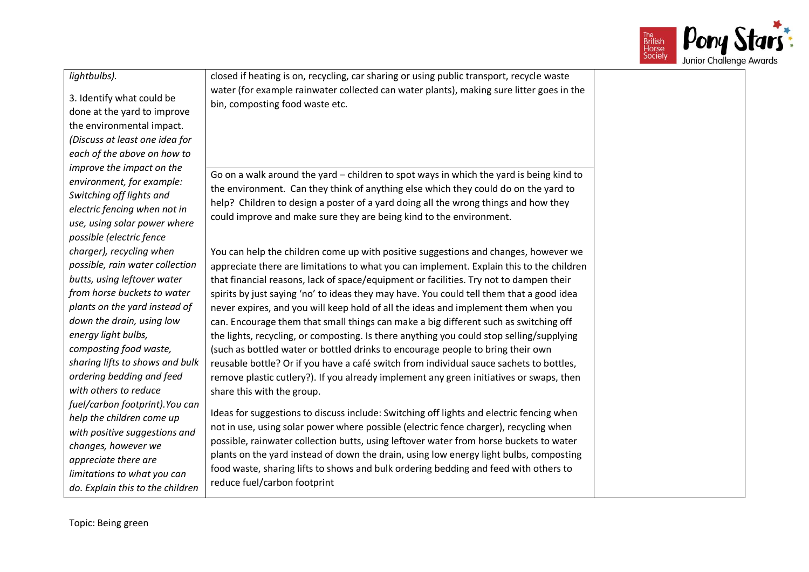

### *lightbulbs).*

3. Identify what could be done at the yard to improve the environmental impact. *(Discuss at least one idea for each of the above on how to improve the impact on the environment, for example: Switching off lights and electric fencing when not in use, using solar power where possible (electric fence charger), recycling when possible, rain water collection butts, using leftover water from horse buckets to water plants on the yard instead of down the drain, using low energy light bulbs, composting food waste, sharing lifts to shows and bulk ordering bedding and feed with others to reduce fuel/carbon footprint).You can help the children come up with positive suggestions and changes, however we appreciate there are limitations to what you can do. Explain this to the children* 

closed if heating is on, recycling, car sharing or using public transport, recycle waste water (for example rainwater collected can water plants), making sure litter goes in the bin, composting food waste etc.

Go on a walk around the yard – children to spot ways in which the yard is being kind to the environment. Can they think of anything else which they could do on the yard to help? Children to design a poster of a yard doing all the wrong things and how they could improve and make sure they are being kind to the environment.

You can help the children come up with positive suggestions and changes, however we appreciate there are limitations to what you can implement. Explain this to the children that financial reasons, lack of space/equipment or facilities. Try not to dampen their spirits by just saying 'no' to ideas they may have. You could tell them that a good idea never expires, and you will keep hold of all the ideas and implement them when you can. Encourage them that small things can make a big different such as switching off the lights, recycling, or composting. Is there anything you could stop selling/supplying (such as bottled water or bottled drinks to encourage people to bring their own reusable bottle? Or if you have a café switch from individual sauce sachets to bottles, remove plastic cutlery?). If you already implement any green initiatives or swaps, then share this with the group.

Ideas for suggestions to discuss include: Switching off lights and electric fencing when not in use, using solar power where possible (electric fence charger), recycling when possible, rainwater collection butts, using leftover water from horse buckets to water plants on the yard instead of down the drain, using low energy light bulbs, composting food waste, sharing lifts to shows and bulk ordering bedding and feed with others to reduce fuel/carbon footprint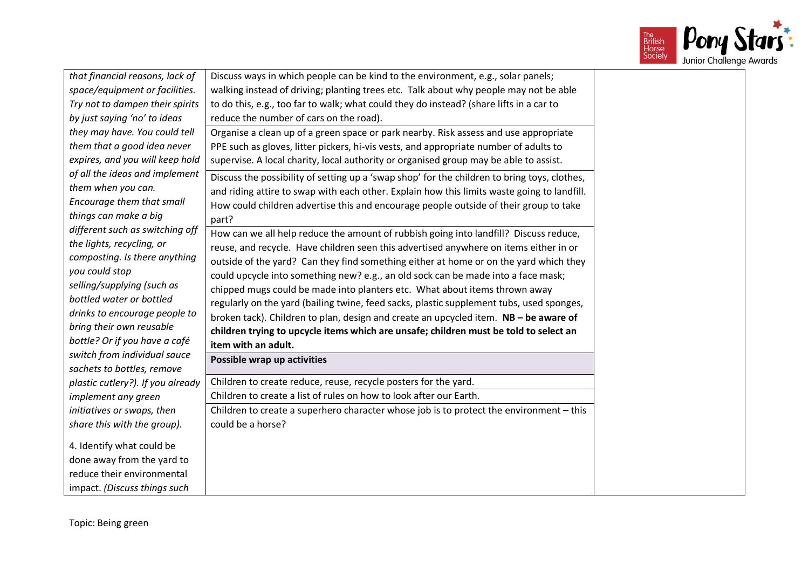

| that financial reasons, lack of   | Discuss ways in which people can be kind to the environment, e.g., solar panels;             |  |
|-----------------------------------|----------------------------------------------------------------------------------------------|--|
| space/equipment or facilities.    | walking instead of driving; planting trees etc. Talk about why people may not be able        |  |
| Try not to dampen their spirits   | to do this, e.g., too far to walk; what could they do instead? (share lifts in a car to      |  |
| by just saying 'no' to ideas      | reduce the number of cars on the road).                                                      |  |
| they may have. You could tell     | Organise a clean up of a green space or park nearby. Risk assess and use appropriate         |  |
| them that a good idea never       | PPE such as gloves, litter pickers, hi-vis vests, and appropriate number of adults to        |  |
| expires, and you will keep hold   | supervise. A local charity, local authority or organised group may be able to assist.        |  |
| of all the ideas and implement    | Discuss the possibility of setting up a 'swap shop' for the children to bring toys, clothes, |  |
| them when you can.                | and riding attire to swap with each other. Explain how this limits waste going to landfill.  |  |
| Encourage them that small         | How could children advertise this and encourage people outside of their group to take        |  |
| things can make a big             | part?                                                                                        |  |
| different such as switching off   | How can we all help reduce the amount of rubbish going into landfill? Discuss reduce,        |  |
| the lights, recycling, or         | reuse, and recycle. Have children seen this advertised anywhere on items either in or        |  |
| composting. Is there anything     | outside of the yard? Can they find something either at home or on the yard which they        |  |
| you could stop                    | could upcycle into something new? e.g., an old sock can be made into a face mask;            |  |
| selling/supplying (such as        | chipped mugs could be made into planters etc. What about items thrown away                   |  |
| bottled water or bottled          | regularly on the yard (bailing twine, feed sacks, plastic supplement tubs, used sponges,     |  |
| drinks to encourage people to     | broken tack). Children to plan, design and create an upcycled item. NB - be aware of         |  |
| bring their own reusable          | children trying to upcycle items which are unsafe; children must be told to select an        |  |
| bottle? Or if you have a café     | item with an adult.                                                                          |  |
| switch from individual sauce      | Possible wrap up activities                                                                  |  |
| sachets to bottles, remove        |                                                                                              |  |
| plastic cutlery?). If you already | Children to create reduce, reuse, recycle posters for the yard.                              |  |
| implement any green               | Children to create a list of rules on how to look after our Earth.                           |  |
| initiatives or swaps, then        | Children to create a superhero character whose job is to protect the environment - this      |  |
| share this with the group).       | could be a horse?                                                                            |  |
| 4. Identify what could be         |                                                                                              |  |
| done away from the yard to        |                                                                                              |  |
| reduce their environmental        |                                                                                              |  |
| impact. (Discuss things such      |                                                                                              |  |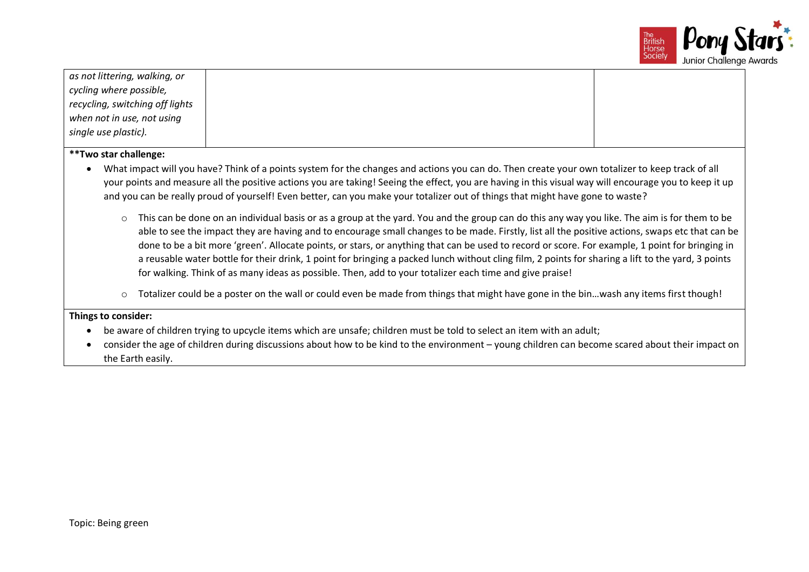

| as not littering, walking, or<br>cycling where possible,<br>recycling, switching off lights<br>when not in use, not using<br>single use plastic).                                                                                                                                                                                                                                                                                                                                                                                                                                                                                                                                                                                                                                                                                                                                                                                                                                                                                                                                                                                                                                                      |                                                                                                                                                                                                                                                                           |  |  |
|--------------------------------------------------------------------------------------------------------------------------------------------------------------------------------------------------------------------------------------------------------------------------------------------------------------------------------------------------------------------------------------------------------------------------------------------------------------------------------------------------------------------------------------------------------------------------------------------------------------------------------------------------------------------------------------------------------------------------------------------------------------------------------------------------------------------------------------------------------------------------------------------------------------------------------------------------------------------------------------------------------------------------------------------------------------------------------------------------------------------------------------------------------------------------------------------------------|---------------------------------------------------------------------------------------------------------------------------------------------------------------------------------------------------------------------------------------------------------------------------|--|--|
| **Two star challenge:<br>What impact will you have? Think of a points system for the changes and actions you can do. Then create your own totalizer to keep track of all<br>your points and measure all the positive actions you are taking! Seeing the effect, you are having in this visual way will encourage you to keep it up<br>and you can be really proud of yourself! Even better, can you make your totalizer out of things that might have gone to waste?<br>This can be done on an individual basis or as a group at the yard. You and the group can do this any way you like. The aim is for them to be<br>$\circ$<br>able to see the impact they are having and to encourage small changes to be made. Firstly, list all the positive actions, swaps etc that can be<br>done to be a bit more 'green'. Allocate points, or stars, or anything that can be used to record or score. For example, 1 point for bringing in<br>a reusable water bottle for their drink, 1 point for bringing a packed lunch without cling film, 2 points for sharing a lift to the yard, 3 points<br>for walking. Think of as many ideas as possible. Then, add to your totalizer each time and give praise! |                                                                                                                                                                                                                                                                           |  |  |
| $\circ$                                                                                                                                                                                                                                                                                                                                                                                                                                                                                                                                                                                                                                                                                                                                                                                                                                                                                                                                                                                                                                                                                                                                                                                                | Totalizer could be a poster on the wall or could even be made from things that might have gone in the binwash any items first though!                                                                                                                                     |  |  |
| Things to consider:                                                                                                                                                                                                                                                                                                                                                                                                                                                                                                                                                                                                                                                                                                                                                                                                                                                                                                                                                                                                                                                                                                                                                                                    |                                                                                                                                                                                                                                                                           |  |  |
| the Earth easily.                                                                                                                                                                                                                                                                                                                                                                                                                                                                                                                                                                                                                                                                                                                                                                                                                                                                                                                                                                                                                                                                                                                                                                                      | be aware of children trying to upcycle items which are unsafe; children must be told to select an item with an adult;<br>consider the age of children during discussions about how to be kind to the environment – young children can become scared about their impact on |  |  |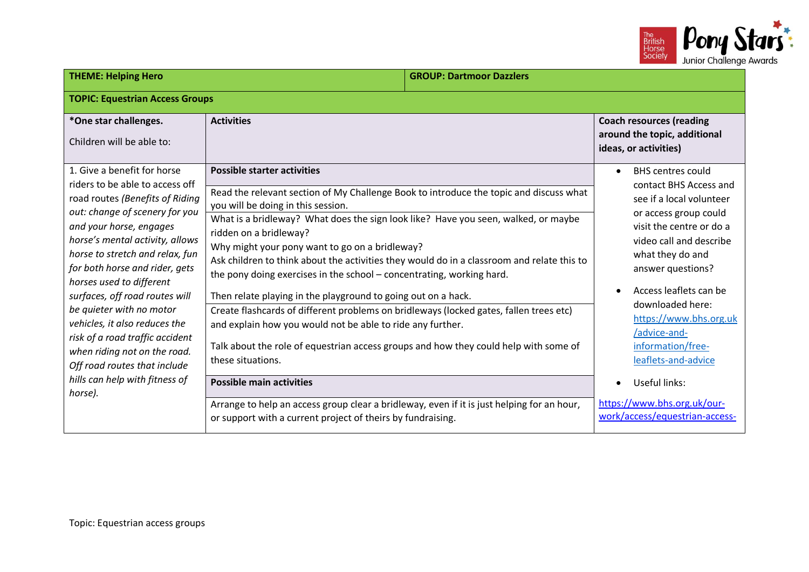

| <b>THEME: Helping Hero</b>                                                                                                                                                                                                                                                                                                                                                                                                                                                                                                                        |                                                                                                                                                                                                                                                                                                                                                                                                                                                                                                                                                                                                                                                                                                                                                                                                                                                                                      | <b>GROUP: Dartmoor Dazzlers</b> |                                                                                                                                                                                                                                                                                                                                                              |
|---------------------------------------------------------------------------------------------------------------------------------------------------------------------------------------------------------------------------------------------------------------------------------------------------------------------------------------------------------------------------------------------------------------------------------------------------------------------------------------------------------------------------------------------------|--------------------------------------------------------------------------------------------------------------------------------------------------------------------------------------------------------------------------------------------------------------------------------------------------------------------------------------------------------------------------------------------------------------------------------------------------------------------------------------------------------------------------------------------------------------------------------------------------------------------------------------------------------------------------------------------------------------------------------------------------------------------------------------------------------------------------------------------------------------------------------------|---------------------------------|--------------------------------------------------------------------------------------------------------------------------------------------------------------------------------------------------------------------------------------------------------------------------------------------------------------------------------------------------------------|
| <b>TOPIC: Equestrian Access Groups</b>                                                                                                                                                                                                                                                                                                                                                                                                                                                                                                            |                                                                                                                                                                                                                                                                                                                                                                                                                                                                                                                                                                                                                                                                                                                                                                                                                                                                                      |                                 |                                                                                                                                                                                                                                                                                                                                                              |
| *One star challenges.<br>Children will be able to:                                                                                                                                                                                                                                                                                                                                                                                                                                                                                                | <b>Activities</b>                                                                                                                                                                                                                                                                                                                                                                                                                                                                                                                                                                                                                                                                                                                                                                                                                                                                    |                                 | <b>Coach resources (reading</b><br>around the topic, additional<br>ideas, or activities)                                                                                                                                                                                                                                                                     |
| 1. Give a benefit for horse<br>riders to be able to access off<br>road routes (Benefits of Riding<br>out: change of scenery for you<br>and your horse, engages<br>horse's mental activity, allows<br>horse to stretch and relax, fun<br>for both horse and rider, gets<br>horses used to different<br>surfaces, off road routes will<br>be quieter with no motor<br>vehicles, it also reduces the<br>risk of a road traffic accident<br>when riding not on the road.<br>Off road routes that include<br>hills can help with fitness of<br>horse). | <b>Possible starter activities</b><br>Read the relevant section of My Challenge Book to introduce the topic and discuss what<br>you will be doing in this session.<br>What is a bridleway? What does the sign look like? Have you seen, walked, or maybe<br>ridden on a bridleway?<br>Why might your pony want to go on a bridleway?<br>Ask children to think about the activities they would do in a classroom and relate this to<br>the pony doing exercises in the school - concentrating, working hard.<br>Then relate playing in the playground to going out on a hack.<br>Create flashcards of different problems on bridleways (locked gates, fallen trees etc)<br>and explain how you would not be able to ride any further.<br>Talk about the role of equestrian access groups and how they could help with some of<br>these situations.<br><b>Possible main activities</b> |                                 | <b>BHS centres could</b><br>contact BHS Access and<br>see if a local volunteer<br>or access group could<br>visit the centre or do a<br>video call and describe<br>what they do and<br>answer questions?<br>Access leaflets can be<br>downloaded here:<br>https://www.bhs.org.uk<br>/advice-and-<br>information/free-<br>leaflets-and-advice<br>Useful links: |
|                                                                                                                                                                                                                                                                                                                                                                                                                                                                                                                                                   | Arrange to help an access group clear a bridleway, even if it is just helping for an hour,<br>or support with a current project of theirs by fundraising.                                                                                                                                                                                                                                                                                                                                                                                                                                                                                                                                                                                                                                                                                                                            |                                 | https://www.bhs.org.uk/our-<br>work/access/equestrian-access-                                                                                                                                                                                                                                                                                                |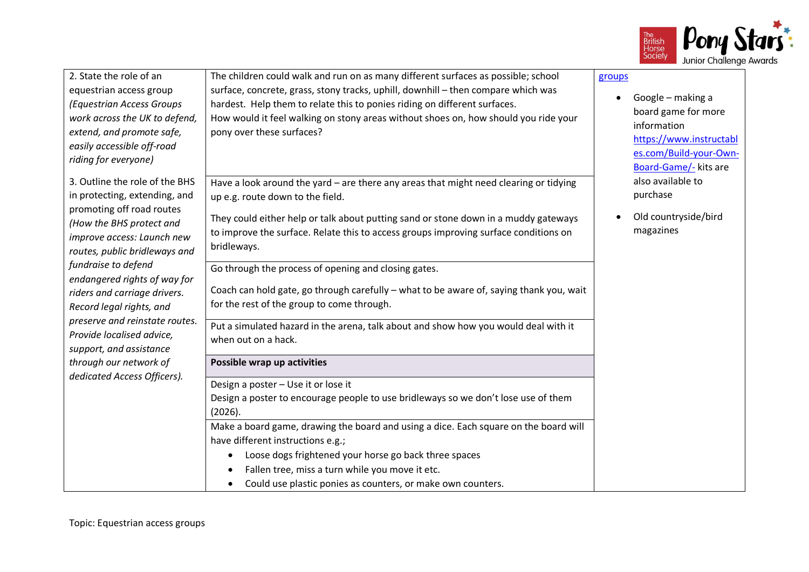

| 2. State the role of an<br>equestrian access group<br>(Equestrian Access Groups<br>work across the UK to defend,<br>extend, and promote safe,<br>easily accessible off-road<br>riding for everyone) | The children could walk and run on as many different surfaces as possible; school<br>surface, concrete, grass, stony tracks, uphill, downhill - then compare which was<br>hardest. Help them to relate this to ponies riding on different surfaces.<br>How would it feel walking on stony areas without shoes on, how should you ride your<br>pony over these surfaces? | groups<br>Google - making a<br>$\bullet$<br>board game for more<br>information<br>https://www.instructabl<br>es.com/Build-your-Own-<br>Board-Game/- kits are |
|-----------------------------------------------------------------------------------------------------------------------------------------------------------------------------------------------------|-------------------------------------------------------------------------------------------------------------------------------------------------------------------------------------------------------------------------------------------------------------------------------------------------------------------------------------------------------------------------|--------------------------------------------------------------------------------------------------------------------------------------------------------------|
| 3. Outline the role of the BHS<br>in protecting, extending, and                                                                                                                                     | Have a look around the yard - are there any areas that might need clearing or tidying<br>up e.g. route down to the field.                                                                                                                                                                                                                                               | also available to<br>purchase                                                                                                                                |
| promoting off road routes<br>(How the BHS protect and<br>improve access: Launch new<br>routes, public bridleways and                                                                                | They could either help or talk about putting sand or stone down in a muddy gateways<br>to improve the surface. Relate this to access groups improving surface conditions on<br>bridleways.                                                                                                                                                                              | Old countryside/bird<br>magazines                                                                                                                            |
| fundraise to defend<br>endangered rights of way for<br>riders and carriage drivers.<br>Record legal rights, and                                                                                     | Go through the process of opening and closing gates.<br>Coach can hold gate, go through carefully - what to be aware of, saying thank you, wait<br>for the rest of the group to come through.                                                                                                                                                                           |                                                                                                                                                              |
| preserve and reinstate routes.<br>Provide localised advice,<br>support, and assistance                                                                                                              | Put a simulated hazard in the arena, talk about and show how you would deal with it<br>when out on a hack.                                                                                                                                                                                                                                                              |                                                                                                                                                              |
| through our network of                                                                                                                                                                              | Possible wrap up activities                                                                                                                                                                                                                                                                                                                                             |                                                                                                                                                              |
| dedicated Access Officers).                                                                                                                                                                         | Design a poster - Use it or lose it<br>Design a poster to encourage people to use bridleways so we don't lose use of them<br>(2026).                                                                                                                                                                                                                                    |                                                                                                                                                              |
|                                                                                                                                                                                                     | Make a board game, drawing the board and using a dice. Each square on the board will<br>have different instructions e.g.;                                                                                                                                                                                                                                               |                                                                                                                                                              |
|                                                                                                                                                                                                     | Loose dogs frightened your horse go back three spaces<br>Fallen tree, miss a turn while you move it etc.<br>Could use plastic ponies as counters, or make own counters.                                                                                                                                                                                                 |                                                                                                                                                              |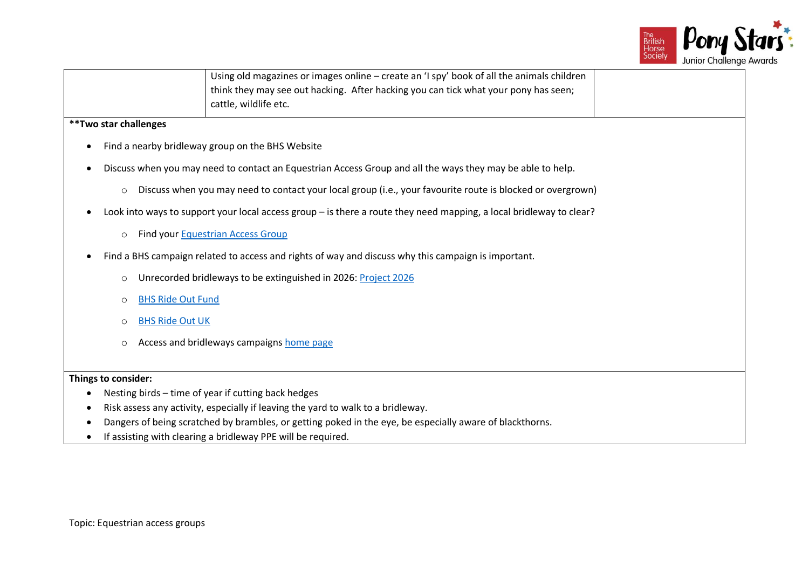

|                       |         | Using old magazines or images online - create an 'I spy' book of all the animals children<br>think they may see out hacking. After hacking you can tick what your pony has seen; |  |
|-----------------------|---------|----------------------------------------------------------------------------------------------------------------------------------------------------------------------------------|--|
|                       |         | cattle, wildlife etc.                                                                                                                                                            |  |
| **Two star challenges |         |                                                                                                                                                                                  |  |
|                       |         | Find a nearby bridleway group on the BHS Website                                                                                                                                 |  |
|                       |         | Discuss when you may need to contact an Equestrian Access Group and all the ways they may be able to help.                                                                       |  |
|                       | $\circ$ | Discuss when you may need to contact your local group (i.e., your favourite route is blocked or overgrown)                                                                       |  |
|                       |         | Look into ways to support your local access group - is there a route they need mapping, a local bridleway to clear?                                                              |  |
|                       | $\circ$ | Find your Equestrian Access Group                                                                                                                                                |  |
|                       |         | Find a BHS campaign related to access and rights of way and discuss why this campaign is important.                                                                              |  |
|                       | $\circ$ | Unrecorded bridleways to be extinguished in 2026: Project 2026                                                                                                                   |  |
|                       | $\circ$ | <b>BHS Ride Out Fund</b>                                                                                                                                                         |  |
|                       | $\circ$ | <b>BHS Ride Out UK</b>                                                                                                                                                           |  |
|                       | $\circ$ | Access and bridleways campaigns home page                                                                                                                                        |  |
|                       |         |                                                                                                                                                                                  |  |
| Things to consider:   |         |                                                                                                                                                                                  |  |
|                       |         | Nesting birds - time of year if cutting back hedges                                                                                                                              |  |
|                       |         | Risk assess any activity, especially if leaving the yard to walk to a bridleway.                                                                                                 |  |
|                       |         | Dangers of being scratched by brambles, or getting poked in the eye, be especially aware of blackthorns.                                                                         |  |
|                       |         | If assisting with clearing a bridleway PPE will be required.                                                                                                                     |  |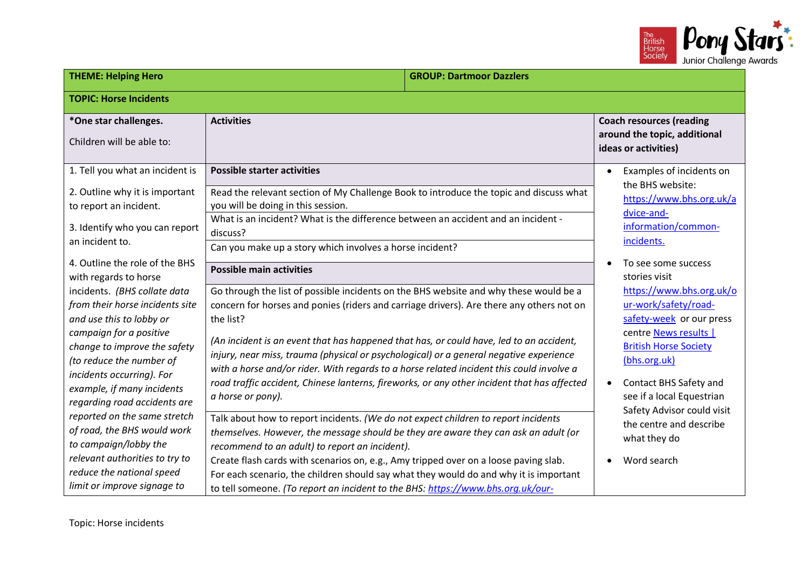

| <b>THEME: Helping Hero</b><br><b>GROUP: Dartmoor Dazzlers</b>                                                                                                                      |                                                                                                                                                                                                                                                                                                                                                                                     |  |                                                                                   |                                                                                                                                                       |
|------------------------------------------------------------------------------------------------------------------------------------------------------------------------------------|-------------------------------------------------------------------------------------------------------------------------------------------------------------------------------------------------------------------------------------------------------------------------------------------------------------------------------------------------------------------------------------|--|-----------------------------------------------------------------------------------|-------------------------------------------------------------------------------------------------------------------------------------------------------|
| <b>TOPIC: Horse Incidents</b>                                                                                                                                                      |                                                                                                                                                                                                                                                                                                                                                                                     |  |                                                                                   |                                                                                                                                                       |
| *One star challenges.<br>Children will be able to:                                                                                                                                 | <b>Activities</b>                                                                                                                                                                                                                                                                                                                                                                   |  |                                                                                   | <b>Coach resources (reading</b><br>around the topic, additional<br>ideas or activities)                                                               |
| 1. Tell you what an incident is                                                                                                                                                    | <b>Possible starter activities</b>                                                                                                                                                                                                                                                                                                                                                  |  |                                                                                   | Examples of incidents on                                                                                                                              |
| 2. Outline why it is important<br>to report an incident.<br>3. Identify who you can report                                                                                         | Read the relevant section of My Challenge Book to introduce the topic and discuss what<br>you will be doing in this session.<br>What is an incident? What is the difference between an accident and an incident -<br>discuss?                                                                                                                                                       |  | the BHS website:<br>https://www.bhs.org.uk/a<br>dvice-and-<br>information/common- |                                                                                                                                                       |
| an incident to.<br>4. Outline the role of the BHS                                                                                                                                  | Can you make up a story which involves a horse incident?                                                                                                                                                                                                                                                                                                                            |  |                                                                                   | incidents.<br>To see some success                                                                                                                     |
| with regards to horse                                                                                                                                                              | <b>Possible main activities</b>                                                                                                                                                                                                                                                                                                                                                     |  |                                                                                   | stories visit                                                                                                                                         |
| incidents. (BHS collate data<br>from their horse incidents site<br>and use this to lobby or<br>campaign for a positive<br>change to improve the safety<br>(to reduce the number of | Go through the list of possible incidents on the BHS website and why these would be a<br>concern for horses and ponies (riders and carriage drivers). Are there any others not on<br>the list?<br>(An incident is an event that has happened that has, or could have, led to an accident,<br>injury, near miss, trauma (physical or psychological) or a general negative experience |  |                                                                                   | https://www.bhs.org.uk/o<br>ur-work/safety/road-<br>safety-week or our press<br>centre News results  <br><b>British Horse Society</b><br>(bhs.org.uk) |
| incidents occurring). For<br>example, if many incidents<br>regarding road accidents are                                                                                            | with a horse and/or rider. With regards to a horse related incident this could involve a<br>road traffic accident, Chinese lanterns, fireworks, or any other incident that has affected<br>a horse or pony).                                                                                                                                                                        |  | $\bullet$                                                                         | <b>Contact BHS Safety and</b><br>see if a local Equestrian<br>Safety Advisor could visit                                                              |
| reported on the same stretch<br>of road, the BHS would work<br>to campaign/lobby the                                                                                               | Talk about how to report incidents. (We do not expect children to report incidents<br>themselves. However, the message should be they are aware they can ask an adult (or<br>recommend to an adult) to report an incident).                                                                                                                                                         |  |                                                                                   | the centre and describe<br>what they do                                                                                                               |
| relevant authorities to try to<br>reduce the national speed<br>limit or improve signage to                                                                                         | Create flash cards with scenarios on, e.g., Amy tripped over on a loose paving slab.<br>For each scenario, the children should say what they would do and why it is important<br>to tell someone. (To report an incident to the BHS: https://www.bhs.org.uk/our-                                                                                                                    |  | Word search                                                                       |                                                                                                                                                       |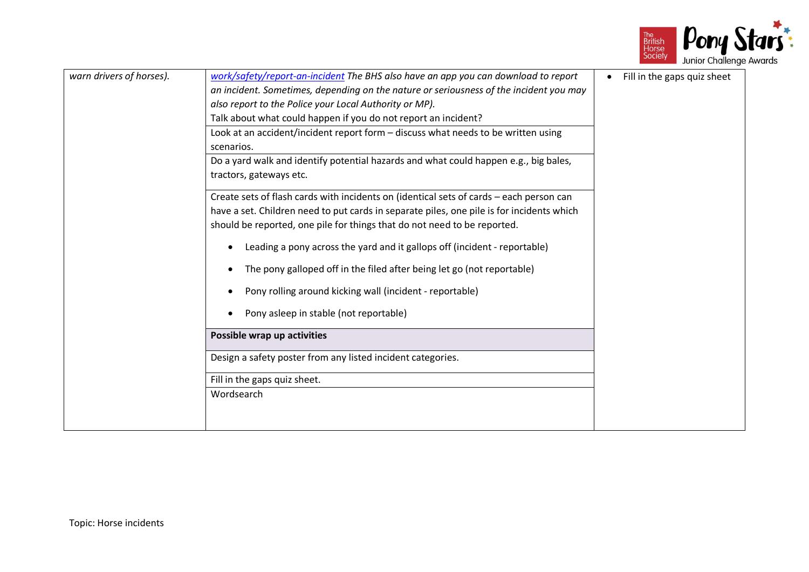

| warn drivers of horses). | work/safety/report-an-incident The BHS also have an app you can download to report<br>an incident. Sometimes, depending on the nature or seriousness of the incident you may<br>also report to the Police your Local Authority or MP).<br>Talk about what could happen if you do not report an incident? | Fill in the gaps quiz sheet<br>$\bullet$ |
|--------------------------|----------------------------------------------------------------------------------------------------------------------------------------------------------------------------------------------------------------------------------------------------------------------------------------------------------|------------------------------------------|
|                          |                                                                                                                                                                                                                                                                                                          |                                          |
|                          | Look at an accident/incident report form - discuss what needs to be written using<br>scenarios.                                                                                                                                                                                                          |                                          |
|                          | Do a yard walk and identify potential hazards and what could happen e.g., big bales,<br>tractors, gateways etc.                                                                                                                                                                                          |                                          |
|                          | Create sets of flash cards with incidents on (identical sets of cards - each person can<br>have a set. Children need to put cards in separate piles, one pile is for incidents which                                                                                                                     |                                          |
|                          | should be reported, one pile for things that do not need to be reported.<br>Leading a pony across the yard and it gallops off (incident - reportable)                                                                                                                                                    |                                          |
|                          | The pony galloped off in the filed after being let go (not reportable)                                                                                                                                                                                                                                   |                                          |
|                          | Pony rolling around kicking wall (incident - reportable)                                                                                                                                                                                                                                                 |                                          |
|                          | Pony asleep in stable (not reportable)                                                                                                                                                                                                                                                                   |                                          |
|                          | Possible wrap up activities                                                                                                                                                                                                                                                                              |                                          |
|                          | Design a safety poster from any listed incident categories.                                                                                                                                                                                                                                              |                                          |
|                          | Fill in the gaps quiz sheet.                                                                                                                                                                                                                                                                             |                                          |
|                          | Wordsearch                                                                                                                                                                                                                                                                                               |                                          |
|                          |                                                                                                                                                                                                                                                                                                          |                                          |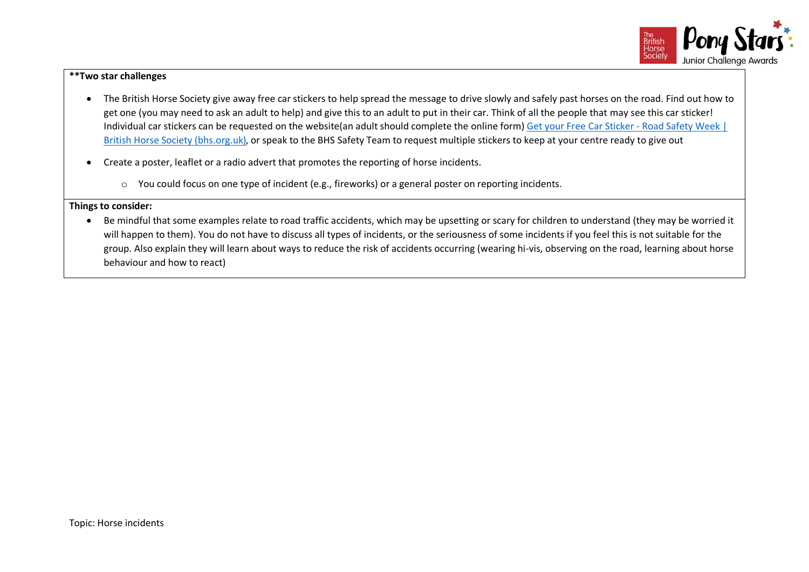

## **\*\*Two star challenges**

- The British Horse Society give away free car stickers to help spread the message to drive slowly and safely past horses on the road. Find out how to get one (you may need to ask an adult to help) and give this to an adult to put in their car. Think of all the people that may see this car sticker! Individual car stickers can be requested on the website(an adult should complete the online form) [Get your Free Car Sticker -](https://www.bhs.org.uk/our-work/safety/road-safety/car-sticker) Road Safety Week | British [Horse Society \(bhs.org.uk\)](https://www.bhs.org.uk/our-work/safety/road-safety/car-sticker), or speak to the BHS Safety Team to request multiple stickers to keep at your centre ready to give out
- Create a poster, leaflet or a radio advert that promotes the reporting of horse incidents.
	- o You could focus on one type of incident (e.g., fireworks) or a general poster on reporting incidents.

## **Things to consider:**

• Be mindful that some examples relate to road traffic accidents, which may be upsetting or scary for children to understand (they may be worried it will happen to them). You do not have to discuss all types of incidents, or the seriousness of some incidents if you feel this is not suitable for the group. Also explain they will learn about ways to reduce the risk of accidents occurring (wearing hi-vis, observing on the road, learning about horse behaviour and how to react)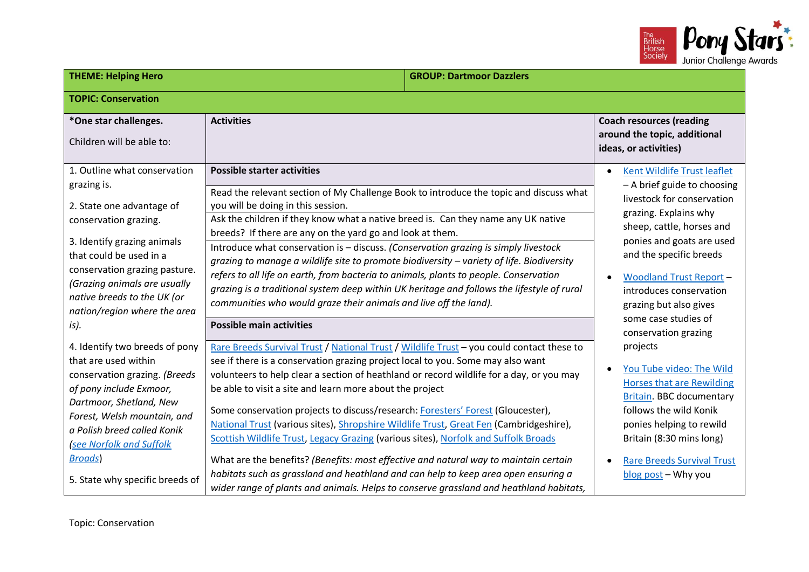

| <b>THEME: Helping Hero</b><br><b>GROUP: Dartmoor Dazzlers</b>                                                                                                                                                                                                                                       |                                                                                                                                                                                                                                                                                                                                                                                                                                                                                                                                                                                                                                                                                                                                                                                                                                                                                  |                                                                                                                                                                                                                                                                                                                       |
|-----------------------------------------------------------------------------------------------------------------------------------------------------------------------------------------------------------------------------------------------------------------------------------------------------|----------------------------------------------------------------------------------------------------------------------------------------------------------------------------------------------------------------------------------------------------------------------------------------------------------------------------------------------------------------------------------------------------------------------------------------------------------------------------------------------------------------------------------------------------------------------------------------------------------------------------------------------------------------------------------------------------------------------------------------------------------------------------------------------------------------------------------------------------------------------------------|-----------------------------------------------------------------------------------------------------------------------------------------------------------------------------------------------------------------------------------------------------------------------------------------------------------------------|
| <b>TOPIC: Conservation</b>                                                                                                                                                                                                                                                                          |                                                                                                                                                                                                                                                                                                                                                                                                                                                                                                                                                                                                                                                                                                                                                                                                                                                                                  |                                                                                                                                                                                                                                                                                                                       |
| *One star challenges.<br>Children will be able to:                                                                                                                                                                                                                                                  | <b>Activities</b>                                                                                                                                                                                                                                                                                                                                                                                                                                                                                                                                                                                                                                                                                                                                                                                                                                                                | <b>Coach resources (reading</b><br>around the topic, additional<br>ideas, or activities)                                                                                                                                                                                                                              |
| 1. Outline what conservation<br>grazing is.<br>2. State one advantage of<br>conservation grazing.<br>3. Identify grazing animals<br>that could be used in a<br>conservation grazing pasture.<br>(Grazing animals are usually<br>native breeds to the UK (or<br>nation/region where the area<br>is). | <b>Possible starter activities</b><br>Read the relevant section of My Challenge Book to introduce the topic and discuss what<br>you will be doing in this session.<br>Ask the children if they know what a native breed is. Can they name any UK native<br>breeds? If there are any on the yard go and look at them.<br>Introduce what conservation is - discuss. (Conservation grazing is simply livestock<br>grazing to manage a wildlife site to promote biodiversity - variety of life. Biodiversity<br>refers to all life on earth, from bacteria to animals, plants to people. Conservation<br>grazing is a traditional system deep within UK heritage and follows the lifestyle of rural<br>communities who would graze their animals and live off the land).<br><b>Possible main activities</b>                                                                          | Kent Wildlife Trust leaflet<br>- A brief guide to choosing<br>livestock for conservation<br>grazing. Explains why<br>sheep, cattle, horses and<br>ponies and goats are used<br>and the specific breeds<br><b>Woodland Trust Report -</b><br>introduces conservation<br>grazing but also gives<br>some case studies of |
| 4. Identify two breeds of pony<br>that are used within<br>conservation grazing. (Breeds<br>of pony include Exmoor,<br>Dartmoor, Shetland, New<br>Forest, Welsh mountain, and<br>a Polish breed called Konik<br>see Norfolk and Suffolk<br><b>Broads</b><br>5. State why specific breeds of          | Rare Breeds Survival Trust / National Trust / Wildlife Trust - you could contact these to<br>see if there is a conservation grazing project local to you. Some may also want<br>volunteers to help clear a section of heathland or record wildlife for a day, or you may<br>be able to visit a site and learn more about the project<br>Some conservation projects to discuss/research: Foresters' Forest (Gloucester),<br>National Trust (various sites), Shropshire Wildlife Trust, Great Fen (Cambridgeshire),<br>Scottish Wildlife Trust, Legacy Grazing (various sites), Norfolk and Suffolk Broads<br>What are the benefits? (Benefits: most effective and natural way to maintain certain<br>habitats such as grassland and heathland and can help to keep area open ensuring a<br>wider range of plants and animals. Helps to conserve grassland and heathland habitats, | conservation grazing<br>projects<br>You Tube video: The Wild<br><b>Horses that are Rewilding</b><br>Britain. BBC documentary<br>follows the wild Konik<br>ponies helping to rewild<br>Britain (8:30 mins long)<br><b>Rare Breeds Survival Trust</b><br>blog post - Why you                                            |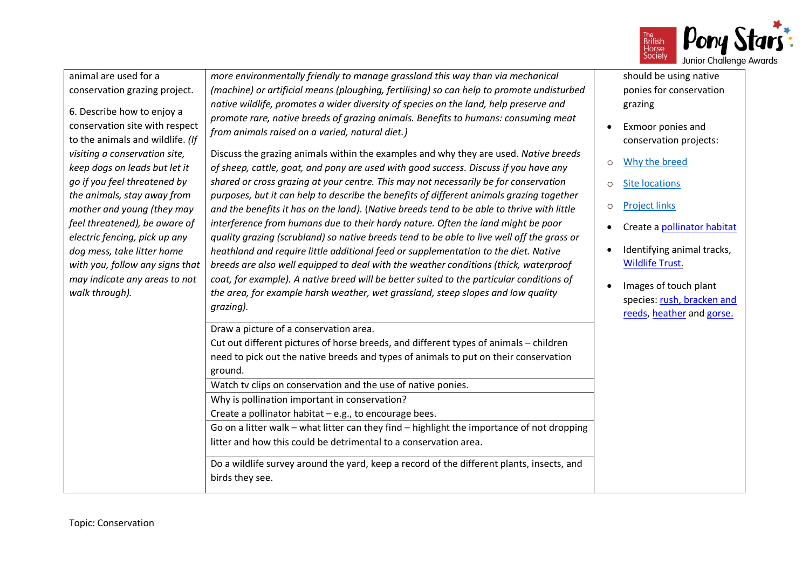

| animal are used for a<br>conservation grazing project.<br>6. Describe how to enjoy a<br>conservation site with respect<br>to the animals and wildlife. (If<br>visiting a conservation site,<br>keep dogs on leads but let it<br>go if you feel threatened by<br>the animals, stay away from<br>mother and young (they may<br>feel threatened), be aware of<br>electric fencing, pick up any<br>dog mess, take litter home<br>with you, follow any signs that<br>may indicate any areas to not<br>walk through). | more environmentally friendly to manage grassland this way than via mechanical<br>(machine) or artificial means (ploughing, fertilising) so can help to promote undisturbed<br>native wildlife, promotes a wider diversity of species on the land, help preserve and<br>promote rare, native breeds of grazing animals. Benefits to humans: consuming meat<br>from animals raised on a varied, natural diet.)<br>Discuss the grazing animals within the examples and why they are used. Native breeds<br>of sheep, cattle, goat, and pony are used with good success. Discuss if you have any<br>shared or cross grazing at your centre. This may not necessarily be for conservation<br>purposes, but it can help to describe the benefits of different animals grazing together<br>and the benefits it has on the land). (Native breeds tend to be able to thrive with little<br>interference from humans due to their hardy nature. Often the land might be poor<br>quality grazing (scrubland) so native breeds tend to be able to live well off the grass or<br>heathland and require little additional feed or supplementation to the diet. Native<br>breeds are also well equipped to deal with the weather conditions (thick, waterproof<br>coat, for example). A native breed will be better suited to the particular conditions of<br>the area, for example harsh weather, wet grassland, steep slopes and low quality | should be using native<br>ponies for conservation<br>grazing<br>Exmoor ponies and<br>conservation projects:<br>Why the breed<br>$\circ$<br><b>Site locations</b><br>$\circ$<br><b>Project links</b><br>O<br>Create a pollinator habitat<br>Identifying animal tracks,<br><b>Wildlife Trust.</b><br>Images of touch plant<br>species: rush, bracken and |
|-----------------------------------------------------------------------------------------------------------------------------------------------------------------------------------------------------------------------------------------------------------------------------------------------------------------------------------------------------------------------------------------------------------------------------------------------------------------------------------------------------------------|----------------------------------------------------------------------------------------------------------------------------------------------------------------------------------------------------------------------------------------------------------------------------------------------------------------------------------------------------------------------------------------------------------------------------------------------------------------------------------------------------------------------------------------------------------------------------------------------------------------------------------------------------------------------------------------------------------------------------------------------------------------------------------------------------------------------------------------------------------------------------------------------------------------------------------------------------------------------------------------------------------------------------------------------------------------------------------------------------------------------------------------------------------------------------------------------------------------------------------------------------------------------------------------------------------------------------------------------------------------------------------------------------------------------------------|--------------------------------------------------------------------------------------------------------------------------------------------------------------------------------------------------------------------------------------------------------------------------------------------------------------------------------------------------------|
|                                                                                                                                                                                                                                                                                                                                                                                                                                                                                                                 | grazing).<br>Draw a picture of a conservation area.<br>Cut out different pictures of horse breeds, and different types of animals - children<br>need to pick out the native breeds and types of animals to put on their conservation<br>ground.<br>Watch tv clips on conservation and the use of native ponies.<br>Why is pollination important in conservation?<br>Create a pollinator habitat - e.g., to encourage bees.<br>Go on a litter walk - what litter can they find - highlight the importance of not dropping<br>litter and how this could be detrimental to a conservation area.<br>Do a wildlife survey around the yard, keep a record of the different plants, insects, and<br>birds they see.                                                                                                                                                                                                                                                                                                                                                                                                                                                                                                                                                                                                                                                                                                                     | reeds, heather and gorse.                                                                                                                                                                                                                                                                                                                              |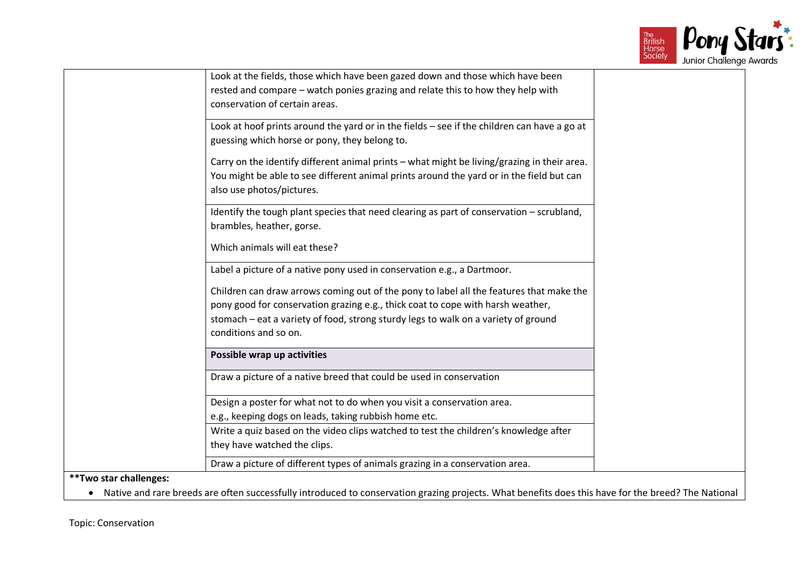

| Look at the fields, those which have been gazed down and those which have been              |
|---------------------------------------------------------------------------------------------|
| rested and compare - watch ponies grazing and relate this to how they help with             |
| conservation of certain areas.                                                              |
|                                                                                             |
| Look at hoof prints around the yard or in the fields - see if the children can have a go at |
| guessing which horse or pony, they belong to.                                               |
| Carry on the identify different animal prints - what might be living/grazing in their area. |
| You might be able to see different animal prints around the yard or in the field but can    |
| also use photos/pictures.                                                                   |
|                                                                                             |
| Identify the tough plant species that need clearing as part of conservation - scrubland,    |
| brambles, heather, gorse.                                                                   |
|                                                                                             |
| Which animals will eat these?                                                               |
| Label a picture of a native pony used in conservation e.g., a Dartmoor.                     |
|                                                                                             |
| Children can draw arrows coming out of the pony to label all the features that make the     |
| pony good for conservation grazing e.g., thick coat to cope with harsh weather,             |
| stomach - eat a variety of food, strong sturdy legs to walk on a variety of ground          |
| conditions and so on.                                                                       |
| Possible wrap up activities                                                                 |
|                                                                                             |
| Draw a picture of a native breed that could be used in conservation                         |
| Design a poster for what not to do when you visit a conservation area.                      |
| e.g., keeping dogs on leads, taking rubbish home etc.                                       |
| Write a quiz based on the video clips watched to test the children's knowledge after        |
| they have watched the clips.                                                                |
|                                                                                             |
| Draw a picture of different types of animals grazing in a conservation area.                |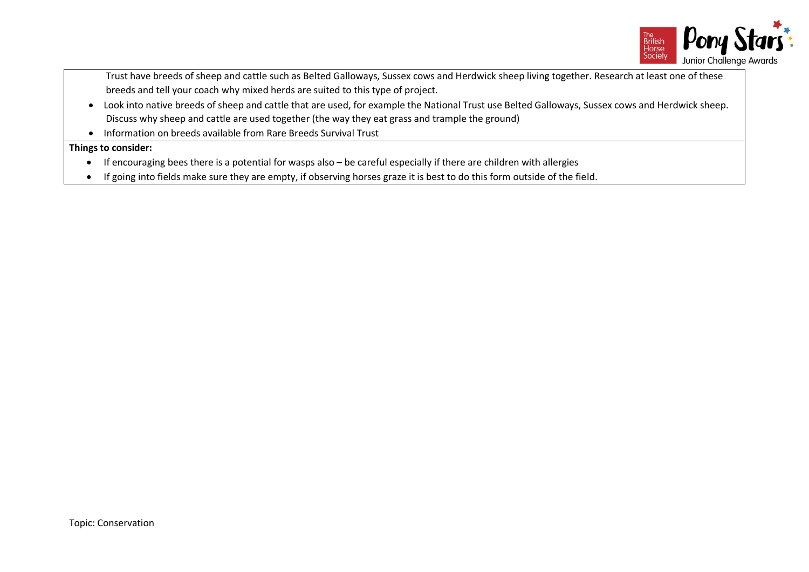

Trust have breeds of sheep and cattle such as Belted Galloways, Sussex cows and Herdwick sheep living together. Research at least one of these breeds and tell your coach why mixed herds are suited to this type of project.

- Look into native breeds of sheep and cattle that are used, for example the National Trust use Belted Galloways, Sussex cows and Herdwick sheep. Discuss why sheep and cattle are used together (the way they eat grass and trample the ground)
- Information on breeds available from Rare Breeds Survival Trust

## **Things to consider:**

- If encouraging bees there is a potential for wasps also be careful especially if there are children with allergies
- If going into fields make sure they are empty, if observing horses graze it is best to do this form outside of the field.